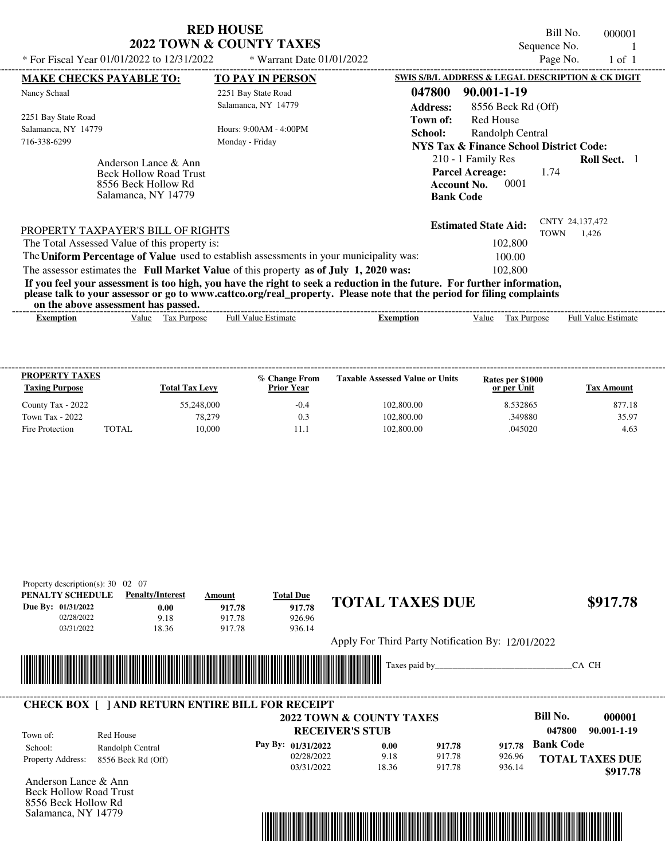|                                                                                                                                                                                                                                                                                         | <b>RED HOUSE</b>                    | Bill No.<br>000001                                                                                                            |
|-----------------------------------------------------------------------------------------------------------------------------------------------------------------------------------------------------------------------------------------------------------------------------------------|-------------------------------------|-------------------------------------------------------------------------------------------------------------------------------|
|                                                                                                                                                                                                                                                                                         | <b>2022 TOWN &amp; COUNTY TAXES</b> | Sequence No.                                                                                                                  |
| * For Fiscal Year 01/01/2022 to 12/31/2022                                                                                                                                                                                                                                              | * Warrant Date 01/01/2022           | Page No.<br>$1$ of $1$                                                                                                        |
| <b>MAKE CHECKS PAYABLE TO:</b>                                                                                                                                                                                                                                                          | <b>TO PAY IN PERSON</b>             | SWIS S/B/L ADDRESS & LEGAL DESCRIPTION & CK DIGIT                                                                             |
| Nancy Schaal                                                                                                                                                                                                                                                                            | 2251 Bay State Road                 | 047800<br>90.001-1-19                                                                                                         |
|                                                                                                                                                                                                                                                                                         | Salamanca, NY 14779                 | <b>Address:</b><br>8556 Beck Rd (Off)                                                                                         |
| 2251 Bay State Road                                                                                                                                                                                                                                                                     |                                     | Red House<br>Town of:                                                                                                         |
| Salamanca, NY 14779                                                                                                                                                                                                                                                                     | Hours: $9:00AM - 4:00PM$            | School:<br>Randolph Central                                                                                                   |
| 716-338-6299                                                                                                                                                                                                                                                                            | Monday - Friday                     | <b>NYS Tax &amp; Finance School District Code:</b>                                                                            |
| Anderson Lance & Ann<br><b>Beck Hollow Road Trust</b><br>8556 Beck Hollow Rd<br>Salamanca, NY 14779                                                                                                                                                                                     |                                     | 210 - 1 Family Res<br><b>Roll Sect.</b> 1<br><b>Parcel Acreage:</b><br>1.74<br>0001<br><b>Account No.</b><br><b>Bank Code</b> |
| PROPERTY TAXPAYER'S BILL OF RIGHTS                                                                                                                                                                                                                                                      |                                     | CNTY 24,137,472<br><b>Estimated State Aid:</b><br><b>TOWN</b><br>1.426                                                        |
| The Total Assessed Value of this property is:                                                                                                                                                                                                                                           |                                     | 102,800                                                                                                                       |
| The Uniform Percentage of Value used to establish assessments in your municipality was:                                                                                                                                                                                                 |                                     | 100.00                                                                                                                        |
| The assessor estimates the Full Market Value of this property as of July 1, 2020 was:                                                                                                                                                                                                   |                                     | 102,800                                                                                                                       |
| If you feel your assessment is too high, you have the right to seek a reduction in the future. For further information,<br>please talk to your assessor or go to www.cattco.org/real_property. Please note that the period for filing complaints<br>on the above assessment has passed. |                                     |                                                                                                                               |

| on the above assessment nas basseur |       |                       |                         |           |       |                       |                                         |
|-------------------------------------|-------|-----------------------|-------------------------|-----------|-------|-----------------------|-----------------------------------------|
| Exemption                           | Value | tax<br><b>Purpose</b> | Estimate<br>Full<br>11A | Exemption | /alue | <b>Purpose</b><br>Lάλ | - Full <sup>V</sup><br>Estimate<br>alue |
|                                     |       |                       |                         |           |       |                       |                                         |

| <b>PROPERTY TAXES</b><br><b>Taxing Purpose</b> |              | <b>Total Tax Levy</b> | % Change From<br><b>Prior Year</b> | <b>Taxable Assessed Value or Units</b> | Rates per \$1000<br>or per Unit | Tax Amount |
|------------------------------------------------|--------------|-----------------------|------------------------------------|----------------------------------------|---------------------------------|------------|
| County Tax - 2022                              |              | 55,248,000            | $-0.4$                             | 102,800.00                             | 8.532865                        | 877.18     |
| Town Tax - 2022                                |              | 78.279                | 0.3                                | 102,800.00                             | .349880                         | 35.97      |
| Fire Protection                                | <b>TOTAL</b> | 10.000                |                                    | 102,800.00                             | .045020                         | 4.63       |

| Property description(s): $30 \quad 02 \quad 07$<br>PENALTY SCHEDULE | <b>Penalty/Interest</b> | Amount | <b>Total Due</b> |                                                   |                                                                                        |
|---------------------------------------------------------------------|-------------------------|--------|------------------|---------------------------------------------------|----------------------------------------------------------------------------------------|
| Due By: 01/31/2022                                                  | 0.00                    | 917.78 | 917.78           | <b>TOTAL TAXES DUE</b>                            | \$917.78                                                                               |
| 02/28/2022                                                          | 9.18                    | 917.78 | 926.96           |                                                   |                                                                                        |
| 03/31/2022                                                          | 18.36                   | 917.78 | 936.14           |                                                   |                                                                                        |
|                                                                     |                         |        |                  | Apply For Third Party Notification By: 12/01/2022 |                                                                                        |
|                                                                     |                         |        |                  | Taxes paid by                                     | CA CH                                                                                  |
|                                                                     |                         |        |                  |                                                   |                                                                                        |
| <b>CHECK BOX [ ] AND RETURN ENTIRE BILL FOR RECEIPT</b>             |                         |        |                  |                                                   |                                                                                        |
|                                                                     |                         |        |                  | D'IL NT                                           | $\begin{array}{c} \bullet \bullet \bullet \bullet \bullet \bullet \bullet \end{array}$ |

|                          |                               |                      | <b>RECEIVER'S STUB</b>   | <b>2022 TOWN &amp; COUNTY TAXES</b> |                  |                  | Bill No.<br>047800 | 000001<br>90.001-1-19              |
|--------------------------|-------------------------------|----------------------|--------------------------|-------------------------------------|------------------|------------------|--------------------|------------------------------------|
| Town of:<br>School:      | Red House<br>Randolph Central | Pay By: $01/31/2022$ |                          | 0.00                                | 917.78           |                  | 917.78 Bank Code   |                                    |
| <b>Property Address:</b> | 8556 Beck Rd (Off)            |                      | 02/28/2022<br>03/31/2022 | 9.18<br>18.36                       | 917.78<br>917.78 | 926.96<br>936.14 |                    | <b>TOTAL TAXES DUE</b><br>\$917.78 |

Anderson Lance & Ann Beck Hollow Road Trust 8556 Beck Hollow Rd Salamanca, NY 14779

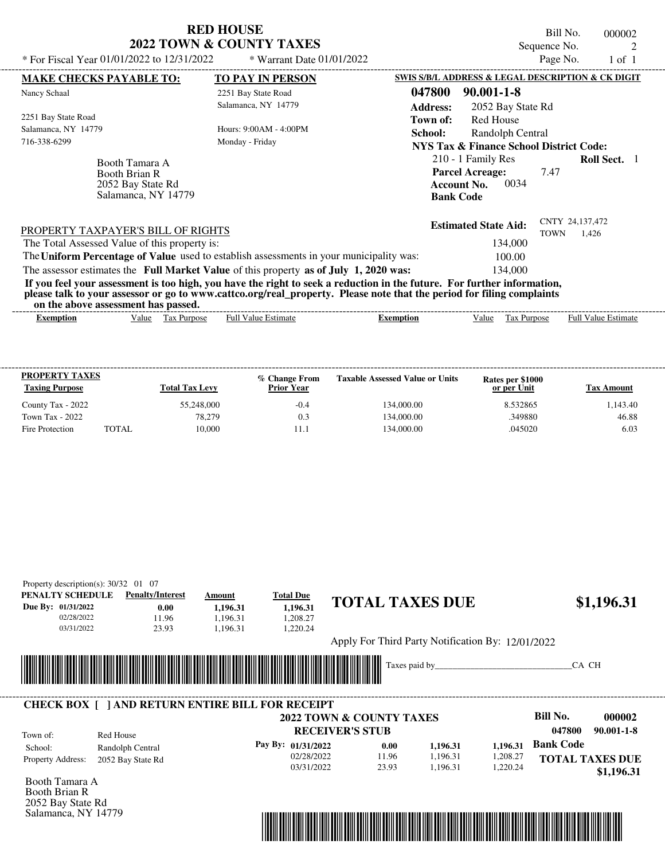| * For Fiscal Year 01/01/2022 to $12/31/2022$                                | <b>RED HOUSE</b><br>2022 TOWN & COUNTY TAXES<br>$*$ Warrant Date 01/01/2022 | Bill No.<br>000002<br>Sequence No.<br>Page No.<br>$1$ of $1$                                                                  |
|-----------------------------------------------------------------------------|-----------------------------------------------------------------------------|-------------------------------------------------------------------------------------------------------------------------------|
| <b>MAKE CHECKS PAYABLE TO:</b>                                              | <b>TO PAY IN PERSON</b>                                                     | SWIS S/B/L ADDRESS & LEGAL DESCRIPTION & CK DIGIT                                                                             |
| Nancy Schaal                                                                | 2251 Bay State Road<br>Salamanca, NY 14779                                  | $90.001 - 1 - 8$<br>047800<br><b>Address:</b><br>2052 Bay State Rd                                                            |
| 2251 Bay State Road<br>Salamanca, NY 14779<br>716-338-6299                  | Hours: 9:00AM - 4:00PM<br>Monday - Friday                                   | Red House<br>Town of:<br>School:<br>Randolph Central<br>NYS Tax & Finance School District Code:                               |
| Booth Tamara A<br>Booth Brian R<br>2052 Bay State Rd<br>Salamanca, NY 14779 |                                                                             | <b>Roll Sect.</b> 1<br>210 - 1 Family Res<br><b>Parcel Acreage:</b><br>7.47<br>0034<br><b>Account No.</b><br><b>Bank Code</b> |

|                                                                                         | <b>Estimated State Aid:</b> | CNTY 24,137,472 |       |
|-----------------------------------------------------------------------------------------|-----------------------------|-----------------|-------|
| <b>PROPERTY TAXPAYER'S BILL OF RIGHTS</b>                                               |                             | <b>TOWN</b>     | 1.426 |
| The Total Assessed Value of this property is:                                           | 134,000                     |                 |       |
| The Uniform Percentage of Value used to establish assessments in your municipality was: | 100.00                      |                 |       |
| The assessor estimates the Full Market Value of this property as of July 1, 2020 was:   | 134,000                     |                 |       |

**If you feel your assessment is too high, you have the right to seek a reduction in the future. For further information, please talk to your assessor or go to www.cattco.org/real\_property. Please note that the period for filing complaints on the above assessment has passed.** ----------------------------------------------------------------------------------------------------------------------------------------------------------------------------------------------------

| ixemption | alue/ | $\sim$<br>Purpose<br>. u | Full<br>alue<br>'stimate | Exemption | /alue | $\overline{\phantom{a}}$<br><b>Purpose</b><br>L CL | /alue<br>Full<br>stimate |
|-----------|-------|--------------------------|--------------------------|-----------|-------|----------------------------------------------------|--------------------------|
|           |       |                          |                          |           |       |                                                    |                          |

| <b>PROPERTY TAXES</b><br><b>Taxing Purpose</b> |       | <b>Total Tax Levy</b> | % Change From<br><b>Prior Year</b> | <b>Taxable Assessed Value or Units</b> | Rates per \$1000<br>or per Unit | Tax Amount |
|------------------------------------------------|-------|-----------------------|------------------------------------|----------------------------------------|---------------------------------|------------|
| County Tax - 2022                              |       | 55,248,000            | $-0.4$                             | 134,000.00                             | 8.532865                        | .143.40    |
| Town Tax - 2022                                |       | 78,279                | 0.3                                | 134,000.00                             | 349880                          | 46.88      |
| Fire Protection                                | TOTAL | 10.000                |                                    | 134,000.00                             | .045020                         | 6.03       |

| PENALTY SCHEDULE   | <b>Penalty/Interest</b>                                 | Amount   | <b>Total Due</b>                    |       |                                                   |          |                            |
|--------------------|---------------------------------------------------------|----------|-------------------------------------|-------|---------------------------------------------------|----------|----------------------------|
| Due By: 01/31/2022 | 0.00                                                    | 1,196.31 | 1.196.31                            |       | <b>TOTAL TAXES DUE</b>                            |          | \$1,196.31                 |
| 02/28/2022         | 11.96                                                   | 1.196.31 | 1.208.27                            |       |                                                   |          |                            |
| 03/31/2022         | 23.93                                                   | 1,196.31 | 1,220.24                            |       |                                                   |          |                            |
|                    |                                                         |          |                                     |       | Apply For Third Party Notification By: 12/01/2022 |          |                            |
|                    |                                                         |          |                                     |       |                                                   |          |                            |
|                    |                                                         |          |                                     |       |                                                   |          |                            |
|                    |                                                         |          |                                     |       | Taxes paid by                                     |          | CA CH                      |
| <b>IIIIIIIII</b>   |                                                         |          |                                     |       |                                                   |          |                            |
|                    |                                                         |          |                                     |       |                                                   |          |                            |
|                    | <b>CHECK BOX [ ] AND RETURN ENTIRE BILL FOR RECEIPT</b> |          |                                     |       |                                                   |          |                            |
|                    |                                                         |          | <b>2022 TOWN &amp; COUNTY TAXES</b> |       |                                                   |          | <b>Bill No.</b><br>000002  |
| Town of:           | Red House                                               |          | <b>RECEIVER'S STUB</b>              |       |                                                   |          | 047800<br>$90.001 - 1 - 8$ |
| School:            |                                                         |          | Pay By: 01/31/2022                  | 0.00  | 1,196.31                                          | 1.196.31 | <b>Bank Code</b>           |
| Property Address:  | Randolph Central<br>2052 Bay State Rd                   |          | 02/28/2022                          | 11.96 | 1,196.31                                          | 1,208.27 | <b>TOTAL TAXES DUE</b>     |

Booth Brian R 2052 Bay State Rd Salamanca, NY 14779



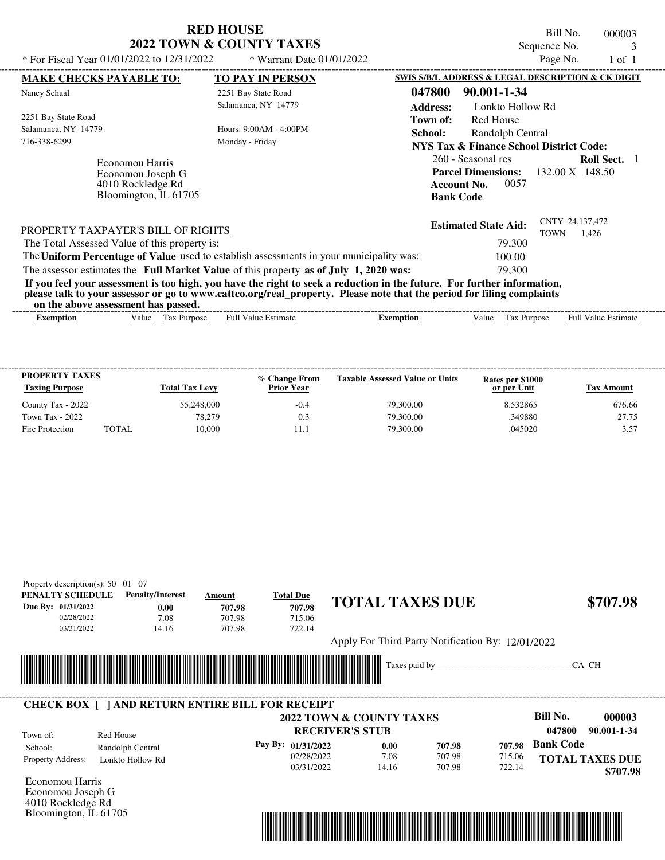| <b>RED HOUSE</b>                    |  |
|-------------------------------------|--|
| <b>2022 TOWN &amp; COUNTY TAXES</b> |  |

Bill No. 000003 Sequence No. 3<br>Page No. 3 1 of 1

| * For Fiscal Year 01/01/2022 to 12/31/2022                                          | * Warrant Date $01/01/2022$                                                                                                                                                                                                                      |                           |                                                                                                         | Page No.                | 1 of 1              |  |
|-------------------------------------------------------------------------------------|--------------------------------------------------------------------------------------------------------------------------------------------------------------------------------------------------------------------------------------------------|---------------------------|---------------------------------------------------------------------------------------------------------|-------------------------|---------------------|--|
| <b>MAKE CHECKS PAYABLE TO:</b>                                                      | <b>TO PAY IN PERSON</b>                                                                                                                                                                                                                          |                           | SWIS S/B/L ADDRESS & LEGAL DESCRIPTION & CK DIGIT                                                       |                         |                     |  |
| Nancy Schaal                                                                        | 2251 Bay State Road<br>Salamanca, NY 14779                                                                                                                                                                                                       | 047800<br><b>Address:</b> | 90.001-1-34<br>Lonkto Hollow Rd                                                                         |                         |                     |  |
| 2251 Bay State Road<br>Salamanca, NY 14779<br>716-338-6299                          | Hours: $9:00AM - 4:00PM$<br>Monday - Friday                                                                                                                                                                                                      | Town of:<br>School:       | Red House<br>Randolph Central<br><b>NYS Tax &amp; Finance School District Code:</b>                     |                         |                     |  |
| Economou Harris<br>Economou Joseph G<br>4010 Rockledge Rd<br>Bloomington, IL 61705  |                                                                                                                                                                                                                                                  | <b>Bank Code</b>          | 260 - Seasonal res<br><b>Parcel Dimensions:</b> $132.00 \text{ X}$ 148.50<br>0057<br><b>Account No.</b> |                         | <b>Roll Sect.</b> 1 |  |
| PROPERTY TAXPAYER'S BILL OF RIGHTS<br>The Total Assessed Value of this property is: |                                                                                                                                                                                                                                                  |                           | <b>Estimated State Aid:</b><br>79,300                                                                   | CNTY 24,137,472<br>TOWN | 1,426               |  |
|                                                                                     | The Uniform Percentage of Value used to establish assessments in your municipality was:<br>The assessor estimates the Full Market Value of this property as of July 1, 2020 was:                                                                 |                           | 100.00<br>79,300                                                                                        |                         |                     |  |
| on the above assessment has passed.                                                 | If you feel your assessment is too high, you have the right to seek a reduction in the future. For further information,<br>please talk to your assessor or go to www.cattco.org/real_property. Please note that the period for filing complaints |                           |                                                                                                         |                         |                     |  |

| on the above assessment nas basseur |       |                             |                  |         |      |                                  |                                        |
|-------------------------------------|-------|-----------------------------|------------------|---------|------|----------------------------------|----------------------------------------|
| Exemption                           | Value | lax<br><b>Purpose</b><br>__ | Estimate<br>Full | emption | alue | $\sim$<br><b>Purpose</b><br>. uz | - Full <sup>V</sup><br>Estimate<br>alu |
|                                     |       |                             |                  |         |      |                                  |                                        |

| <b>PROPERTY TAXES</b><br><b>Taxing Purpose</b> |       | <b>Total Tax Levy</b> | % Change From<br><b>Prior Year</b> | <b>Taxable Assessed Value or Units</b> | Rates per \$1000<br>or per Unit | Tax Amount |
|------------------------------------------------|-------|-----------------------|------------------------------------|----------------------------------------|---------------------------------|------------|
| County Tax - 2022                              |       | 55,248,000            | $-0.4$                             | 79,300.00                              | 8.532865                        | 676.66     |
| Town Tax - 2022                                |       | 78.279                | 0.3                                | 79,300.00                              | 349880                          | 27.75      |
| Fire Protection                                | TOTAL | 10.000                |                                    | 79,300.00                              | .045020                         | 3.57       |

| Property description(s): $50 \quad 01 \quad 07$ |                                                         |                                                                                                                      |                    |                                                   |        |        |                  |                        |
|-------------------------------------------------|---------------------------------------------------------|----------------------------------------------------------------------------------------------------------------------|--------------------|---------------------------------------------------|--------|--------|------------------|------------------------|
| PENALTY SCHEDULE                                | <b>Penalty/Interest</b>                                 | Amount                                                                                                               | <b>Total Due</b>   | <b>TOTAL TAXES DUE</b>                            |        |        |                  | \$707.98               |
| Due By: 01/31/2022                              | 0.00                                                    | 707.98                                                                                                               | 707.98             |                                                   |        |        |                  |                        |
| 02/28/2022                                      | 7.08                                                    | 707.98                                                                                                               | 715.06             |                                                   |        |        |                  |                        |
| 03/31/2022                                      | 14.16                                                   | 707.98                                                                                                               | 722.14             |                                                   |        |        |                  |                        |
|                                                 |                                                         |                                                                                                                      |                    | Apply For Third Party Notification By: 12/01/2022 |        |        |                  |                        |
|                                                 |                                                         |                                                                                                                      |                    |                                                   |        |        |                  |                        |
|                                                 |                                                         | <u> Tanzania di Baratta di Baratta di Baratta di Baratta di Baratta di Baratta di Baratta di Baratta di Baratta </u> |                    | Taxes paid by_                                    |        |        |                  | CA CH                  |
|                                                 |                                                         |                                                                                                                      |                    |                                                   |        |        |                  |                        |
|                                                 | <b>CHECK BOX [ ] AND RETURN ENTIRE BILL FOR RECEIPT</b> |                                                                                                                      |                    |                                                   |        |        |                  |                        |
|                                                 |                                                         |                                                                                                                      |                    | 2022 TOWN & COUNTY TAXES                          |        |        | Bill No.         | 000003                 |
| Town of:                                        | Red House                                               |                                                                                                                      |                    | <b>RECEIVER'S STUB</b>                            |        |        | 047800           | 90.001-1-34            |
| School:                                         | Randolph Central                                        |                                                                                                                      | Pay By: 01/31/2022 | 0.00                                              | 707.98 | 707.98 | <b>Bank Code</b> |                        |
| Property Address:                               | Lonkto Hollow Rd                                        |                                                                                                                      | 02/28/2022         | 7.08                                              | 707.98 | 715.06 |                  | <b>TOTAL TAXES DUE</b> |
|                                                 |                                                         |                                                                                                                      | 03/31/2022         | 14.16                                             | 707.98 | 722.14 |                  | \$707.98               |
| Economou Harris                                 |                                                         |                                                                                                                      |                    |                                                   |        |        |                  |                        |
| Economou Joseph G                               |                                                         |                                                                                                                      |                    |                                                   |        |        |                  |                        |
| 4010 Rockledge Rd                               |                                                         |                                                                                                                      |                    |                                                   |        |        |                  |                        |
| Bloomington, IL 61705                           |                                                         |                                                                                                                      |                    |                                                   |        |        |                  |                        |

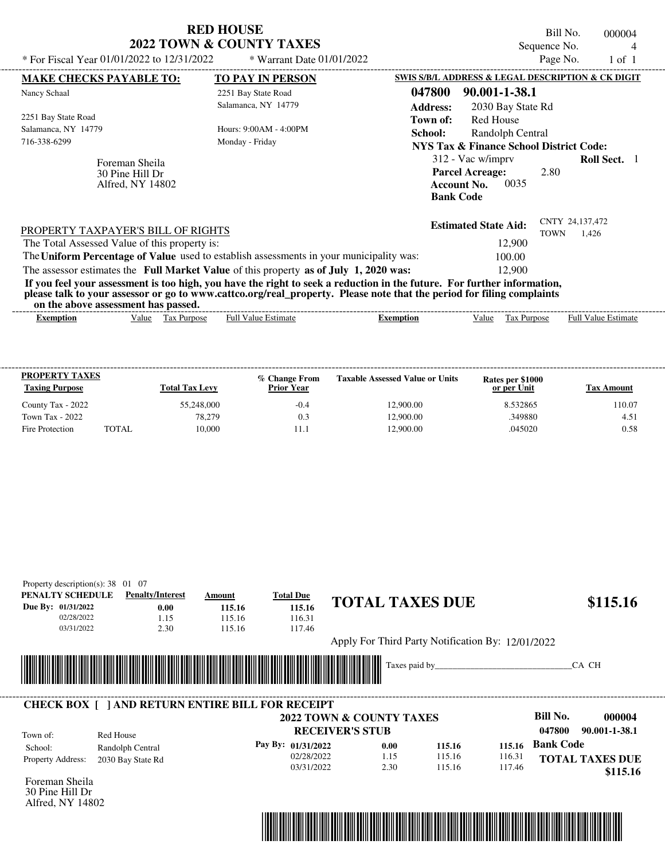|                                                                                                                                                                                                                                                                                         | <b>RED HOUSE</b><br>2022 TOWN & COUNTY TAXES |                                                                        |                                                                                               | Bill No.<br>Sequence No. | 000004              |  |
|-----------------------------------------------------------------------------------------------------------------------------------------------------------------------------------------------------------------------------------------------------------------------------------------|----------------------------------------------|------------------------------------------------------------------------|-----------------------------------------------------------------------------------------------|--------------------------|---------------------|--|
| * For Fiscal Year 01/01/2022 to 12/31/2022                                                                                                                                                                                                                                              | * Warrant Date 01/01/2022                    |                                                                        |                                                                                               | Page No.                 | $1$ of $1$          |  |
| <b>MAKE CHECKS PAYABLE TO:</b>                                                                                                                                                                                                                                                          | <b>TO PAY IN PERSON</b>                      |                                                                        | SWIS S/B/L ADDRESS & LEGAL DESCRIPTION & CK DIGIT                                             |                          |                     |  |
| Nancy Schaal                                                                                                                                                                                                                                                                            | 2251 Bay State Road                          | 047800                                                                 | 90.001-1-38.1                                                                                 |                          |                     |  |
|                                                                                                                                                                                                                                                                                         | Salamanca, NY 14779                          | <b>Address:</b>                                                        | 2030 Bay State Rd                                                                             |                          |                     |  |
| 2251 Bay State Road<br>Salamanca, NY 14779<br>716-338-6299                                                                                                                                                                                                                              | Hours: 9:00AM - 4:00PM<br>Monday - Friday    | Town of:<br>School:                                                    | <b>Red House</b><br>Randolph Central<br><b>NYS Tax &amp; Finance School District Code:</b>    |                          |                     |  |
| Foreman Sheila<br>30 Pine Hill Dr<br>Alfred, NY 14802                                                                                                                                                                                                                                   |                                              |                                                                        | 312 - Vac w/imprv<br><b>Parcel Acreage:</b><br>0035<br><b>Account No.</b><br><b>Bank Code</b> | 2.80                     | <b>Roll Sect.</b> 1 |  |
| PROPERTY TAXPAYER'S BILL OF RIGHTS                                                                                                                                                                                                                                                      |                                              | CNTY 24,137,472<br><b>Estimated State Aid:</b><br><b>TOWN</b><br>1.426 |                                                                                               |                          |                     |  |
| The Total Assessed Value of this property is:<br>The Uniform Percentage of Value used to establish assessments in your municipality was:                                                                                                                                                |                                              | 12,900                                                                 |                                                                                               |                          |                     |  |
| The assessor estimates the Full Market Value of this property as of July 1, 2020 was:                                                                                                                                                                                                   |                                              | 100.00<br>12,900                                                       |                                                                                               |                          |                     |  |
| If you feel your assessment is too high, you have the right to seek a reduction in the future. For further information,<br>please talk to your assessor or go to www.cattco.org/real_property. Please note that the period for filing complaints<br>on the above assessment has passed. |                                              |                                                                        |                                                                                               |                          |                     |  |

| xemption | alue | Purpose<br>ľax | ∠stimate<br>'alue<br>⊦ull | xemption | /alue | $\mathbf{v}$<br>urdose<br>ι αλ | -------<br>Full<br>Estimate<br>value |
|----------|------|----------------|---------------------------|----------|-------|--------------------------------|--------------------------------------|
|          |      |                |                           |          |       |                                |                                      |

| <b>PROPERTY TAXES</b><br><b>Taxing Purpose</b> |       | <b>Total Tax Levy</b> | % Change From<br><b>Prior Year</b> | <b>Taxable Assessed Value or Units</b> | Rates per \$1000<br>or per Unit | Tax Amount |
|------------------------------------------------|-------|-----------------------|------------------------------------|----------------------------------------|---------------------------------|------------|
| County Tax - 2022                              |       | 55,248,000            | $-0.4$                             | 12,900.00                              | 8.532865                        | 10.07      |
| Town Tax - 2022                                |       | 78.279                | 0.3                                | 12,900.00                              | .349880                         | 4.51       |
| Fire Protection                                | TOTAL | 10.000                |                                    | 12,900.00                              | .045020                         | 0.58       |

| PENALTY SCHEDULE<br><b>Penalty/Interest</b> |                                                         | Amount | <b>Total Due</b><br><b>TOTAL TAXES DUE</b> |      |                                                   |        |                         |  |
|---------------------------------------------|---------------------------------------------------------|--------|--------------------------------------------|------|---------------------------------------------------|--------|-------------------------|--|
| Due By: 01/31/2022                          | 0.00                                                    | 115.16 | 115.16                                     |      |                                                   |        | \$115.16                |  |
| 02/28/2022                                  | 1.15                                                    | 115.16 | 116.31                                     |      |                                                   |        |                         |  |
| 03/31/2022                                  | 2.30                                                    | 115.16 | 117.46                                     |      |                                                   |        |                         |  |
|                                             |                                                         |        |                                            |      | Apply For Third Party Notification By: 12/01/2022 |        |                         |  |
|                                             |                                                         |        |                                            |      |                                                   |        |                         |  |
|                                             |                                                         |        |                                            |      |                                                   |        |                         |  |
|                                             |                                                         |        |                                            |      |                                                   |        | CA CH                   |  |
|                                             |                                                         |        |                                            |      |                                                   |        |                         |  |
|                                             |                                                         |        |                                            |      |                                                   |        |                         |  |
|                                             | <b>CHECK BOX [ ] AND RETURN ENTIRE BILL FOR RECEIPT</b> |        |                                            |      |                                                   |        |                         |  |
|                                             |                                                         |        | <b>2022 TOWN &amp; COUNTY TAXES</b>        |      |                                                   |        | Bill No.<br>000004      |  |
|                                             |                                                         |        | <b>RECEIVER'S STUB</b>                     |      |                                                   |        | 047800<br>90.001-1-38.1 |  |
| Town of:                                    | Red House                                               |        | Pay By: 01/31/2022                         | 0.00 | 115.16                                            | 115.16 | <b>Bank Code</b>        |  |
| School:<br>Property Address:                | Randolph Central<br>2030 Bay State Rd                   |        | 02/28/2022                                 | 1.15 | 115.16                                            | 116.31 | <b>TOTAL TAXES DUE</b>  |  |

30 Pine Hill Dr Alfred, NY 14802

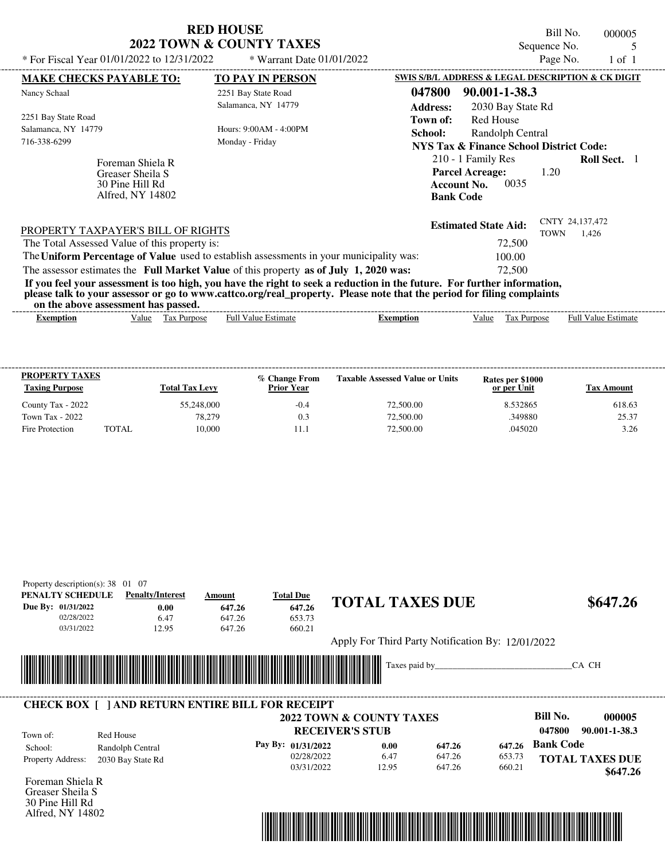| * For Fiscal Year 01/01/2022 to 12/31/2022                                                                                                                                     | <b>RED HOUSE</b><br><b>2022 TOWN &amp; COUNTY TAXES</b><br>$*$ Warrant Date 01/01/2022 | Bill No.<br>000005<br>Sequence No.<br>5<br>Page No.<br>$1$ of $1$                                                                 |
|--------------------------------------------------------------------------------------------------------------------------------------------------------------------------------|----------------------------------------------------------------------------------------|-----------------------------------------------------------------------------------------------------------------------------------|
| <b>MAKE CHECKS PAYABLE TO:</b>                                                                                                                                                 | <b>TO PAY IN PERSON</b>                                                                | SWIS S/B/L ADDRESS & LEGAL DESCRIPTION & CK DIGIT                                                                                 |
| Nancy Schaal                                                                                                                                                                   | 2251 Bay State Road<br>Salamanca, NY 14779                                             | 047800<br>90.001-1-38.3<br><b>Address:</b><br>2030 Bay State Rd                                                                   |
| 2251 Bay State Road<br>Salamanca, NY 14779<br>716-338-6299                                                                                                                     | Hours: 9:00AM - 4:00PM<br>Monday - Friday                                              | Red House<br>Town of:<br>School:<br>Randolph Central<br>NYS Tax & Finance School District Code:                                   |
| Foreman Shiela R<br>Greaser Sheila S<br>30 Pine Hill Rd<br>Alfred, NY 14802                                                                                                    |                                                                                        | 210 - 1 Family Res<br><b>Roll Sect.</b> 1<br><b>Parcel Acreage:</b><br>1.20<br>0035<br><b>Account No.</b><br><b>Bank Code</b>     |
| PROPERTY TAXPAYER'S BILL OF RIGHTS<br>The Total Assessed Value of this property is:<br>The Uniform Percentage of Value used to establish assessments in your municipality was: |                                                                                        | CNTY 24,137,472<br><b>Estimated State Aid:</b><br><b>TOWN</b><br>1,426<br>72,500<br>100.00                                        |
| The assessor estimates the Full Market Value of this property as of July 1, 2020 was:                                                                                          |                                                                                        | 72,500<br>If you feel your assessment is too high, you have the right to seek a reduction in the future. For further information, |

**please talk to your assessor or go to www.cattco.org/real\_property. Please note that the period for filing complaints**

| or<br>assessment<br>the<br>above<br>---- | . has<br>passed.               |                         |         |       |                       |                             |
|------------------------------------------|--------------------------------|-------------------------|---------|-------|-----------------------|-----------------------------|
| Exemption                                | √alue<br>`ax<br><b>Purpose</b> | <b>Estimate</b><br>Full | `mption | /alue | <b>Aurpose</b><br>ιαλ | Full $V$<br>Estimate<br>alu |

| <b>PROPERTY TAXES</b><br><b>Taxing Purpose</b> |       | <b>Total Tax Levy</b> | % Change From<br><b>Prior Year</b> | <b>Taxable Assessed Value or Units</b> | Rates per \$1000<br>or per Unit | Tax Amount |
|------------------------------------------------|-------|-----------------------|------------------------------------|----------------------------------------|---------------------------------|------------|
| County Tax - 2022                              |       | 55,248,000            | $-0.4$                             | 72,500.00                              | 8.532865                        | 618.63     |
| Town Tax - 2022                                |       | 78.279                | 0.3                                | 72,500.00                              | .349880                         | 25.37      |
| Fire Protection                                | TOTAL | 10.000                |                                    | 72,500.00                              | .045020                         | 3.26       |

| PENALTY SCHEDULE    | <b>Penalty/Interest</b>                                | Amount | <b>Total Due</b>                    |                                                   |        |        |                  |                        |
|---------------------|--------------------------------------------------------|--------|-------------------------------------|---------------------------------------------------|--------|--------|------------------|------------------------|
| Due By: 01/31/2022  | <b>TOTAL TAXES DUE</b><br>0.00<br>647.26<br>647.26     |        |                                     | \$647.26                                          |        |        |                  |                        |
| 02/28/2022          | 6.47                                                   | 647.26 | 653.73                              |                                                   |        |        |                  |                        |
| 03/31/2022          | 12.95                                                  | 647.26 | 660.21                              |                                                   |        |        |                  |                        |
|                     |                                                        |        |                                     | Apply For Third Party Notification By: 12/01/2022 |        |        |                  |                        |
|                     |                                                        |        |                                     |                                                   |        |        |                  |                        |
|                     |                                                        |        |                                     |                                                   |        |        |                  | CA CH                  |
|                     |                                                        |        |                                     | Taxes paid by                                     |        |        |                  |                        |
|                     | <u> Hillingan k</u>                                    |        |                                     |                                                   |        |        |                  |                        |
|                     |                                                        |        |                                     |                                                   |        |        |                  |                        |
|                     | <b>CHECK BOX   JAND RETURN ENTIRE BILL FOR RECEIPT</b> |        |                                     |                                                   |        |        |                  |                        |
|                     |                                                        |        | <b>2022 TOWN &amp; COUNTY TAXES</b> |                                                   |        |        | <b>Bill No.</b>  | 000005                 |
|                     |                                                        |        | <b>RECEIVER'S STUB</b>              |                                                   |        |        | 047800           | 90.001-1-38.3          |
| Town of:<br>School: | Red House                                              |        | Pay By: 01/31/2022                  | 0.00                                              | 647.26 | 647.26 | <b>Bank Code</b> |                        |
| Property Address:   | Randolph Central<br>2030 Bay State Rd                  |        | 02/28/2022                          | 6.47                                              | 647.26 | 653.73 |                  | <b>TOTAL TAXES DUE</b> |



Greaser Sheila S 30 Pine Hill Rd Alfred, NY 14802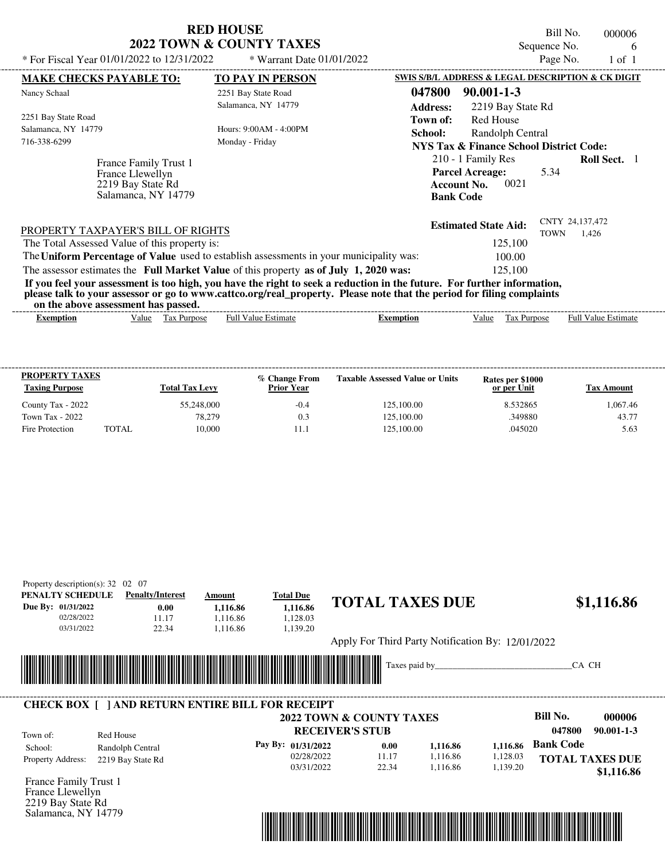| <b>RED HOUSE</b>         |
|--------------------------|
| 2022 TOWN & COUNTY TAXES |

Bill No. 000006 Sequence No. 6<br>Page No. 1 of 1

 **\$1,116.86**

| * For Fiscal Year 01/01/2022 to 12/31/2022    | * Warrant Date 01/01/2022                                                                                               |                                                    | Page No.    | $1$ of $1$                 |  |
|-----------------------------------------------|-------------------------------------------------------------------------------------------------------------------------|----------------------------------------------------|-------------|----------------------------|--|
| <b>MAKE CHECKS PAYABLE TO:</b>                | <b>TO PAY IN PERSON</b>                                                                                                 | SWIS S/B/L ADDRESS & LEGAL DESCRIPTION & CK DIGIT  |             |                            |  |
| Nancy Schaal                                  | 2251 Bay State Road                                                                                                     | 047800<br>$90.001 - 1 - 3$                         |             |                            |  |
|                                               | Salamanca, NY 14779                                                                                                     | <b>Address:</b><br>2219 Bay State Rd               |             |                            |  |
| 2251 Bay State Road                           |                                                                                                                         | <b>Red House</b><br>Town of:                       |             |                            |  |
| Salamanca, NY 14779                           | Hours: 9:00AM - 4:00PM                                                                                                  | School:<br>Randolph Central                        |             |                            |  |
| 716-338-6299                                  | Monday - Friday                                                                                                         | <b>NYS Tax &amp; Finance School District Code:</b> |             |                            |  |
| France Family Trust 1                         |                                                                                                                         | 210 - 1 Family Res                                 |             | <b>Roll Sect.</b> 1        |  |
| France Llewellyn                              |                                                                                                                         | <b>Parcel Acreage:</b>                             | 5.34        |                            |  |
| 2219 Bay State Rd                             |                                                                                                                         | <b>Account No.</b>                                 | 0021        |                            |  |
| Salamanca, NY 14779                           |                                                                                                                         | <b>Bank Code</b>                                   |             |                            |  |
|                                               |                                                                                                                         |                                                    |             |                            |  |
| PROPERTY TAXPAYER'S BILL OF RIGHTS            |                                                                                                                         | <b>Estimated State Aid:</b>                        |             | CNTY 24,137,472            |  |
| The Total Assessed Value of this property is: |                                                                                                                         | 125,100                                            | <b>TOWN</b> | 1.426                      |  |
|                                               | The Uniform Percentage of Value used to establish assessments in your municipality was:                                 | 100.00                                             |             |                            |  |
|                                               | The assessor estimates the Full Market Value of this property as of July 1, 2020 was:                                   | 125,100                                            |             |                            |  |
|                                               | If you feel your assessment is too high, you have the right to seek a reduction in the future. For further information, |                                                    |             |                            |  |
|                                               | please talk to your assessor or go to www.cattco.org/real_property. Please note that the period for filing complaints   |                                                    |             |                            |  |
| on the above assessment has passed.           |                                                                                                                         |                                                    |             |                            |  |
| Tax Purpose<br><b>Exemption</b><br>Value      | <b>Full Value Estimate</b>                                                                                              | <b>Exemption</b><br>Value                          | Tax Purpose | <b>Full Value Estimate</b> |  |
|                                               |                                                                                                                         |                                                    |             |                            |  |
|                                               |                                                                                                                         |                                                    |             |                            |  |

| <b>PROPERTY TAXES</b><br><b>Taxing Purpose</b> |       | <b>Total Tax Levy</b> | % Change From<br><b>Prior Year</b> | <b>Taxable Assessed Value or Units</b> | Rates per \$1000<br>or per Unit | Tax Amount |
|------------------------------------------------|-------|-----------------------|------------------------------------|----------------------------------------|---------------------------------|------------|
| County Tax - 2022                              |       | 55,248,000            | $-0.4$                             | 125,100.00                             | 8.532865                        | 1.067.46   |
| Town Tax - 2022                                |       | 78.279                | 0.3                                | 125,100.00                             | .349880                         | 43.77      |
| Fire Protection                                | TOTAL | 10.000                |                                    | 125,100.00                             | .045020                         | 5.63       |

| PENALTY SCHEDULE   | Property description(s): $32 \quad 02 \quad 07$<br><b>Penalty/Interest</b>  | Amount                      | <b>Total Due</b>       | <b>TOTAL TAXES DUE</b>              |                                                   | \$1,116.86                 |
|--------------------|-----------------------------------------------------------------------------|-----------------------------|------------------------|-------------------------------------|---------------------------------------------------|----------------------------|
| Due By: 01/31/2022 | 0.00                                                                        | 1,116.86                    | 1,116.86               |                                     |                                                   |                            |
| 02/28/2022         | 11.17                                                                       | 1.116.86                    | 1,128.03               |                                     |                                                   |                            |
| 03/31/2022         | 22.34                                                                       | 1.116.86                    | 1,139.20               |                                     |                                                   |                            |
|                    |                                                                             |                             |                        |                                     | Apply For Third Party Notification By: 12/01/2022 |                            |
|                    |                                                                             |                             |                        | Taxes paid by                       |                                                   | CA CH                      |
|                    | <b>All Maria</b><br><b>CHECK BOX     AND RETURN ENTIRE BILL FOR RECEIPT</b> | <u> Tanzania (h. 1878).</u> |                        |                                     |                                                   |                            |
|                    |                                                                             |                             |                        | <b>2022 TOWN &amp; COUNTY TAXES</b> |                                                   | <b>Bill No.</b><br>000006  |
| Town of:           | Red House                                                                   |                             | <b>RECEIVER'S STUB</b> |                                     |                                                   | 047800<br>$90.001 - 1 - 3$ |
| School:            | Randolph Central                                                            |                             | Pay By: 01/31/2022     | 0.00                                | 1,116.86<br>1,116.86                              | <b>Bank Code</b>           |
| Property Address:  | 2219 Bay State Rd                                                           |                             | 02/28/2022             | 11.17                               | 1,116.86<br>1,128.03                              | <b>TOTAL TAXES DUE</b>     |

03/31/2022

France Family Trust 1 France Llewellyn 2219 Bay State Rd Salamanca, NY 14779



1,116.86

1,139.20

22.34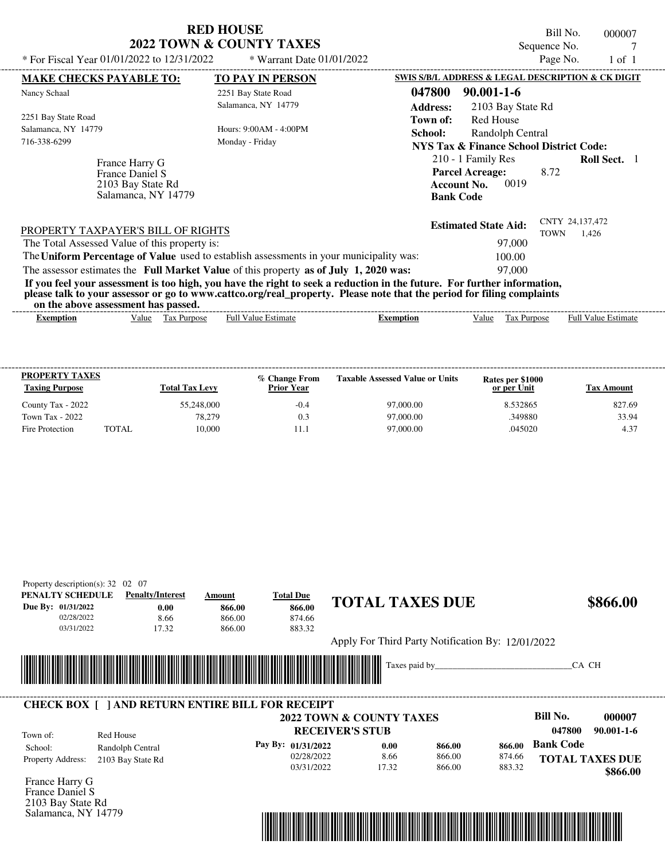|                                                                                         | <b>RED HOUSE</b><br><b>2022 TOWN &amp; COUNTY TAXES</b> | Bill No.<br>000007<br>Sequence No.                                                                                            |
|-----------------------------------------------------------------------------------------|---------------------------------------------------------|-------------------------------------------------------------------------------------------------------------------------------|
| * For Fiscal Year 01/01/2022 to 12/31/2022                                              | * Warrant Date 01/01/2022                               | Page No.<br>$1$ of $1$                                                                                                        |
| <b>MAKE CHECKS PAYABLE TO:</b>                                                          | <b>TO PAY IN PERSON</b>                                 | SWIS S/B/L ADDRESS & LEGAL DESCRIPTION & CK DIGIT                                                                             |
| Nancy Schaal                                                                            | 2251 Bay State Road                                     | 047800<br>$90.001 - 1 - 6$                                                                                                    |
| 2251 Bay State Road                                                                     | Salamanca, NY 14779                                     | <b>Address:</b><br>2103 Bay State Rd                                                                                          |
| Salamanca, NY 14779                                                                     | Hours: 9:00AM - 4:00PM                                  | Town of:<br>Red House<br>School:<br>Randolph Central                                                                          |
| 716-338-6299                                                                            | Monday - Friday                                         | NYS Tax & Finance School District Code:                                                                                       |
| France Harry G<br>France Daniel S<br>2103 Bay State Rd<br>Salamanca, NY 14779           |                                                         | 210 - 1 Family Res<br><b>Roll Sect.</b> 1<br><b>Parcel Acreage:</b><br>8.72<br>0019<br><b>Account No.</b><br><b>Bank Code</b> |
| PROPERTY TAXPAYER'S BILL OF RIGHTS                                                      |                                                         | CNTY 24,137,472<br><b>Estimated State Aid:</b><br>1,426<br>TOWN                                                               |
| The Total Assessed Value of this property is:                                           |                                                         | 97,000                                                                                                                        |
| The Uniform Percentage of Value used to establish assessments in your municipality was: |                                                         | 100.00                                                                                                                        |
| The assessor estimates the Full Market Value of this property as of July 1, 2020 was:   |                                                         | 97,000                                                                                                                        |
|                                                                                         |                                                         | If you feel your assessment is too high you have the right to seek a reduction in the future. For further information         |

**If you feel your assessment is too high, you have the right to seek a reduction in the future. For further information, please talk to your assessor or go to www.cattco.org/real\_property. Please note that the period for filing complaints**

| the<br>or | ssment<br>70 ass.<br>. abov | has   | passed.      |                |         |                      |              |                                |
|-----------|-----------------------------|-------|--------------|----------------|---------|----------------------|--------------|--------------------------------|
| xemption  |                             | value | ax<br>ITDOSI | Estimat<br>Ful | `mption | $\mathbf{v}$<br>alue | -<br>urpose' | Full<br><b>Estimate</b><br>alu |
|           |                             |       |              |                |         |                      |              |                                |

| <b>PROPERTY TAXES</b><br><b>Taxing Purpose</b> |       | <b>Total Tax Levy</b> | % Change From<br><b>Prior Year</b> | <b>Taxable Assessed Value or Units</b> | Rates per \$1000<br>or per Unit | Tax Amount |
|------------------------------------------------|-------|-----------------------|------------------------------------|----------------------------------------|---------------------------------|------------|
| County Tax - 2022                              |       | 55,248,000            | $-0.4$                             | 97,000.00                              | 8.532865                        | 827.69     |
| Town Tax - 2022                                |       | 78.279                | 0.3                                | 97,000.00                              | .349880                         | 33.94      |
| Fire Protection                                | TOTAL | 10.000                |                                    | 97,000.00                              | .045020                         | 4.37       |

| PENALTY SCHEDULE                         | <b>Penalty/Interest</b>                                 | Amount | <b>Total Due</b>   | <b>TOTAL TAXES DUE</b>                            |        |        | \$866.00                   |
|------------------------------------------|---------------------------------------------------------|--------|--------------------|---------------------------------------------------|--------|--------|----------------------------|
| Due By: 01/31/2022                       | 0.00                                                    | 866.00 | 866.00             |                                                   |        |        |                            |
| 02/28/2022                               | 8.66                                                    | 866.00 | 874.66             |                                                   |        |        |                            |
| 03/31/2022                               | 17.32                                                   | 866.00 | 883.32             |                                                   |        |        |                            |
|                                          |                                                         |        |                    | Apply For Third Party Notification By: 12/01/2022 |        |        |                            |
|                                          |                                                         |        |                    | Taxes paid by                                     |        |        | CA CH                      |
|                                          |                                                         |        |                    |                                                   |        |        |                            |
|                                          |                                                         |        |                    |                                                   |        |        |                            |
|                                          | <b>CHECK BOX [ ] AND RETURN ENTIRE BILL FOR RECEIPT</b> |        |                    |                                                   |        |        |                            |
|                                          |                                                         |        |                    | <b>2022 TOWN &amp; COUNTY TAXES</b>               |        |        | <b>Bill No.</b><br>000007  |
| Town of:                                 | Red House                                               |        |                    | <b>RECEIVER'S STUB</b>                            |        |        | 047800<br>$90.001 - 1 - 6$ |
| School:                                  | Randolph Central                                        |        | Pay By: 01/31/2022 | 0.00                                              | 866.00 | 866.00 | <b>Bank Code</b>           |
|                                          |                                                         |        | 02/28/2022         | 8.66                                              | 866.00 | 874.66 | <b>TOTAL TAXES DUE</b>     |
| Property Address:                        | 2103 Bay State Rd                                       |        | 03/31/2022         | 17.32                                             | 866.00 | 883.32 |                            |
|                                          |                                                         |        |                    |                                                   |        |        | \$866.00                   |
|                                          |                                                         |        |                    |                                                   |        |        |                            |
| France Harry G                           |                                                         |        |                    |                                                   |        |        |                            |
| France Daniel S                          |                                                         |        |                    |                                                   |        |        |                            |
| 2103 Bay State Rd<br>Salamanca, NY 14779 |                                                         |        |                    |                                                   |        |        |                            |
|                                          |                                                         |        |                    |                                                   |        |        |                            |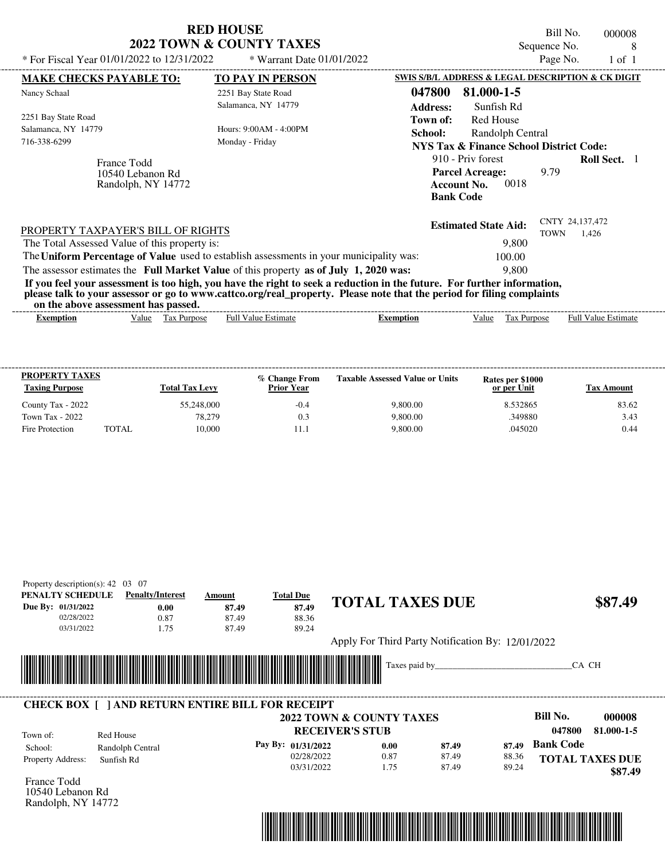| * For Fiscal Year 01/01/2022 to 12/31/2022                                                                                                                                                                                                                                                                                                                                       | <b>RED HOUSE</b><br><b>2022 TOWN &amp; COUNTY TAXES</b><br>* Warrant Date 01/01/2022 | Bill No.<br>000008<br>Sequence No.<br>8<br>Page No.<br>$1$ of $1$                                                                                  |
|----------------------------------------------------------------------------------------------------------------------------------------------------------------------------------------------------------------------------------------------------------------------------------------------------------------------------------------------------------------------------------|--------------------------------------------------------------------------------------|----------------------------------------------------------------------------------------------------------------------------------------------------|
| <b>MAKE CHECKS PAYABLE TO:</b>                                                                                                                                                                                                                                                                                                                                                   | <b>TO PAY IN PERSON</b>                                                              | SWIS S/B/L ADDRESS & LEGAL DESCRIPTION & CK DIGIT                                                                                                  |
| Nancy Schaal                                                                                                                                                                                                                                                                                                                                                                     | 2251 Bay State Road<br>Salamanca, NY 14779                                           | 81.000-1-5<br>047800                                                                                                                               |
| 2251 Bay State Road<br>Salamanca, NY 14779<br>716-338-6299                                                                                                                                                                                                                                                                                                                       | Hours: $9:00AM - 4:00PM$<br>Monday - Friday                                          | <b>Address:</b><br>Sunfish Rd<br><b>Red House</b><br>Town of:<br>School:<br>Randolph Central<br><b>NYS Tax &amp; Finance School District Code:</b> |
| France Todd<br>10540 Lebanon Rd<br>Randolph, NY 14772                                                                                                                                                                                                                                                                                                                            |                                                                                      | 910 - Priv forest<br><b>Roll Sect.</b> 1<br><b>Parcel Acreage:</b><br>9.79<br>0018<br><b>Account No.</b><br><b>Bank Code</b>                       |
| PROPERTY TAXPAYER'S BILL OF RIGHTS<br>The Total Assessed Value of this property is:<br>The Uniform Percentage of Value used to establish assessments in your municipality was:                                                                                                                                                                                                   |                                                                                      | CNTY 24,137,472<br><b>Estimated State Aid:</b><br><b>TOWN</b><br>1,426<br>9.800<br>100.00                                                          |
| The assessor estimates the Full Market Value of this property as of July 1, 2020 was:<br>If you feel your assessment is too high, you have the right to seek a reduction in the future. For further information,<br>please talk to your assessor or go to www.cattco.org/real_property. Please note that the period for filing complaints<br>on the above assessment has passed. |                                                                                      | 9.800                                                                                                                                              |

| Full $V$<br>'alue<br>Value<br>Estimate<br>-Estimate<br>Purpose<br>ax.<br>alu<br><b>Purpose</b><br>Ful<br>Exemption<br>Exemption | on the above assessment nas basseur |  |  |  |  |
|---------------------------------------------------------------------------------------------------------------------------------|-------------------------------------|--|--|--|--|
|                                                                                                                                 |                                     |  |  |  |  |

| <b>PROPERTY TAXES</b><br><b>Taxing Purpose</b> |              | <b>Total Tax Levy</b> | % Change From<br><b>Prior Year</b> | <b>Taxable Assessed Value or Units</b> | Rates per \$1000<br>or per Unit | Tax Amount |
|------------------------------------------------|--------------|-----------------------|------------------------------------|----------------------------------------|---------------------------------|------------|
| County Tax - 2022                              |              | 55,248,000            | $-0.4$                             | 9,800.00                               | 8.532865                        | 83.62      |
| Town Tax - 2022                                |              | 78.279                | 0.3                                | 9,800.00                               | .349880                         | 3.43       |
| Fire Protection                                | <b>TOTAL</b> | 10.000                |                                    | 9,800.00                               | .045020                         | 0.44       |

| PENALTY SCHEDULE             | <b>Penalty/Interest</b>                                 | Amount | <b>Total Due</b>                    | <b>TOTAL TAXES DUE</b> |                                                   |       |                        |            |
|------------------------------|---------------------------------------------------------|--------|-------------------------------------|------------------------|---------------------------------------------------|-------|------------------------|------------|
| Due By: 01/31/2022           | 0.00                                                    | 87.49  | 87.49                               |                        |                                                   |       |                        | \$87.49    |
| 02/28/2022                   | 0.87                                                    | 87.49  | 88.36                               |                        |                                                   |       |                        |            |
| 03/31/2022                   | 1.75                                                    | 87.49  | 89.24                               |                        |                                                   |       |                        |            |
|                              |                                                         |        |                                     |                        | Apply For Third Party Notification By: 12/01/2022 |       |                        |            |
|                              |                                                         |        |                                     |                        |                                                   |       |                        |            |
|                              |                                                         |        |                                     |                        |                                                   |       |                        |            |
|                              |                                                         |        |                                     |                        |                                                   |       | CA CH                  |            |
|                              |                                                         |        |                                     |                        |                                                   |       |                        |            |
|                              |                                                         |        |                                     |                        |                                                   |       |                        |            |
|                              | <b>CHECK BOX     AND RETURN ENTIRE BILL FOR RECEIPT</b> |        |                                     |                        |                                                   |       |                        |            |
|                              |                                                         |        | <b>2022 TOWN &amp; COUNTY TAXES</b> |                        |                                                   |       | Bill No.               | 000008     |
| Town of:                     | Red House                                               |        | <b>RECEIVER'S STUB</b>              |                        |                                                   |       | 047800                 | 81.000-1-5 |
|                              |                                                         |        | Pay By: 01/31/2022                  | 0.00                   | 87.49                                             | 87.49 | <b>Bank Code</b>       |            |
| School:<br>Property Address: | Randolph Central<br>Sunfish Rd                          |        | 02/28/2022                          | 0.87                   | 87.49                                             | 88.36 | <b>TOTAL TAXES DUE</b> |            |



10540 Lebanon Rd Randolph, NY 14772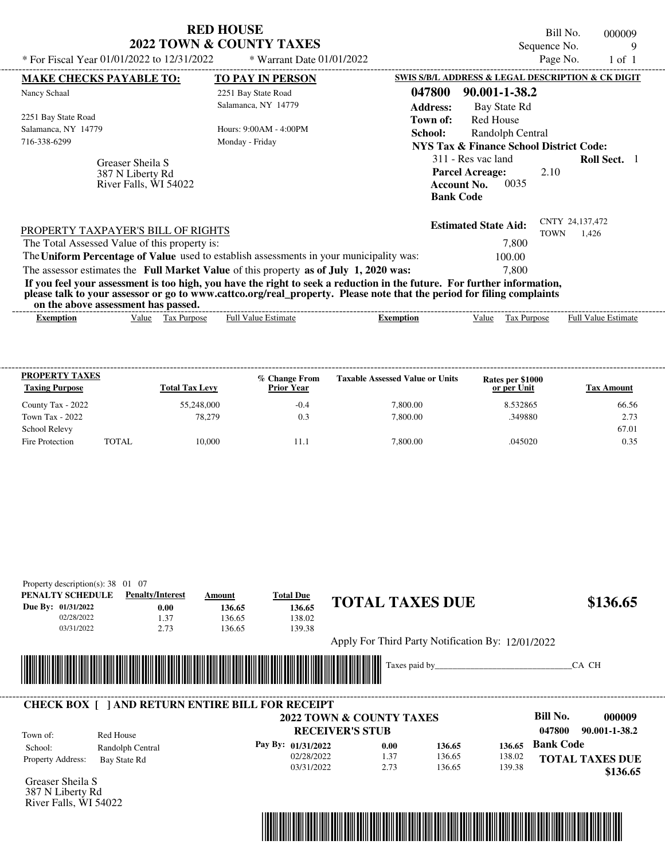|                                                               | KED HOUSE<br><b>2022 TOWN &amp; COUNTY TAXES</b>                                                                                                                                                                                                 | Bill No.<br>000009<br>Sequence No.<br>9                                                                                       |
|---------------------------------------------------------------|--------------------------------------------------------------------------------------------------------------------------------------------------------------------------------------------------------------------------------------------------|-------------------------------------------------------------------------------------------------------------------------------|
| * For Fiscal Year 01/01/2022 to 12/31/2022                    | * Warrant Date 01/01/2022                                                                                                                                                                                                                        | Page No.<br>$1$ of $1$                                                                                                        |
| <b>MAKE CHECKS PAYABLE TO:</b>                                | <b>TO PAY IN PERSON</b>                                                                                                                                                                                                                          | SWIS S/B/L ADDRESS & LEGAL DESCRIPTION & CK DIGIT                                                                             |
| Nancy Schaal                                                  | 2251 Bay State Road                                                                                                                                                                                                                              | 047800<br>90.001-1-38.2                                                                                                       |
|                                                               | Salamanca, NY 14779                                                                                                                                                                                                                              | <b>Address:</b><br>Bay State Rd                                                                                               |
| 2251 Bay State Road                                           |                                                                                                                                                                                                                                                  | Town of:<br>Red House                                                                                                         |
| Salamanca, NY 14779<br>716-338-6299                           | Hours: $9:00AM - 4:00PM$                                                                                                                                                                                                                         | School:<br>Randolph Central                                                                                                   |
|                                                               | Monday - Friday                                                                                                                                                                                                                                  | <b>NYS Tax &amp; Finance School District Code:</b>                                                                            |
| Greaser Sheila S<br>387 N Liberty Rd<br>River Falls, WI 54022 |                                                                                                                                                                                                                                                  | 311 - Res vac land<br><b>Roll Sect.</b> 1<br><b>Parcel Acreage:</b><br>2.10<br>0035<br><b>Account No.</b><br><b>Bank Code</b> |
| PROPERTY TAXPAYER'S BILL OF RIGHTS                            |                                                                                                                                                                                                                                                  | CNTY 24,137,472<br><b>Estimated State Aid:</b><br><b>TOWN</b><br>1,426                                                        |
| The Total Assessed Value of this property is:                 |                                                                                                                                                                                                                                                  | 7,800                                                                                                                         |
|                                                               | The Uniform Percentage of Value used to establish assessments in your municipality was:                                                                                                                                                          | 100.00                                                                                                                        |
|                                                               | The assessor estimates the Full Market Value of this property as of July 1, 2020 was:                                                                                                                                                            | 7.800                                                                                                                         |
| on the above assessment has passed.                           | If you feel your assessment is too high, you have the right to seek a reduction in the future. For further information,<br>please talk to your assessor or go to www.cattco.org/real_property. Please note that the period for filing complaints |                                                                                                                               |

| on the above assessment nas basseur |       |                       |                         |           |       |                       |                                         |
|-------------------------------------|-------|-----------------------|-------------------------|-----------|-------|-----------------------|-----------------------------------------|
| Exemption                           | Value | tax<br><b>Purpose</b> | Estimate<br>Full<br>11A | Exemption | /alue | <b>Purpose</b><br>Lάλ | - Full <sup>V</sup><br>Estimate<br>alue |
|                                     |       |                       |                         |           |       |                       |                                         |

| <b>PROPERTY TAXES</b><br><b>Taxing Purpose</b> |              | <b>Total Tax Levy</b> | % Change From<br><b>Prior Year</b> | <b>Taxable Assessed Value or Units</b> | Rates per \$1000<br>or per Unit | <b>Tax Amount</b> |
|------------------------------------------------|--------------|-----------------------|------------------------------------|----------------------------------------|---------------------------------|-------------------|
| County Tax - 2022                              |              | 55,248,000            | $-0.4$                             | 7,800.00                               | 8.532865                        | 66.56             |
| Town Tax - 2022                                |              | 78.279                | 0.3                                | 7,800.00                               | .349880                         | 2.73              |
| School Relevy                                  |              |                       |                                    |                                        |                                 | 67.01             |
| Fire Protection                                | <b>TOTAL</b> | 10,000                | 11.1                               | 7.800.00                               | .045020                         | 0.35              |

| PENALTY SCHEDULE             | <b>Penalty/Interest</b>                                 |      | Amount | <b>Total Due</b>                                                                                                                                                                                                                     |                                                               |      | <b>TOTAL TAXES DUE</b>                            |        |                    |                         |
|------------------------------|---------------------------------------------------------|------|--------|--------------------------------------------------------------------------------------------------------------------------------------------------------------------------------------------------------------------------------------|---------------------------------------------------------------|------|---------------------------------------------------|--------|--------------------|-------------------------|
| Due By: 01/31/2022           |                                                         | 0.00 | 136.65 | 136.65                                                                                                                                                                                                                               |                                                               |      |                                                   |        |                    | \$136.65                |
| 02/28/2022                   |                                                         | 1.37 | 136.65 | 138.02                                                                                                                                                                                                                               |                                                               |      |                                                   |        |                    |                         |
| 03/31/2022                   |                                                         | 2.73 | 136.65 | 139.38                                                                                                                                                                                                                               |                                                               |      |                                                   |        |                    |                         |
|                              |                                                         |      |        |                                                                                                                                                                                                                                      |                                                               |      | Apply For Third Party Notification By: 12/01/2022 |        |                    |                         |
|                              |                                                         |      |        |                                                                                                                                                                                                                                      |                                                               |      |                                                   |        |                    |                         |
|                              |                                                         |      |        |                                                                                                                                                                                                                                      |                                                               |      |                                                   |        |                    |                         |
|                              |                                                         |      |        |                                                                                                                                                                                                                                      |                                                               |      | Taxes paid by                                     |        |                    | CA CH                   |
|                              |                                                         |      |        | <u> Tanzania di Baratta di Baratta di Baratta di Baratta di Baratta di Baratta di Baratta di Baratta di Baratta di Baratta di Baratta di Baratta di Baratta di Baratta di Baratta di Baratta di Baratta di Baratta di Baratta di</u> |                                                               |      |                                                   |        |                    |                         |
|                              |                                                         |      |        |                                                                                                                                                                                                                                      |                                                               |      |                                                   |        |                    |                         |
|                              | <b>CHECK BOX [ ] AND RETURN ENTIRE BILL FOR RECEIPT</b> |      |        |                                                                                                                                                                                                                                      |                                                               |      |                                                   |        |                    |                         |
|                              |                                                         |      |        |                                                                                                                                                                                                                                      | <b>2022 TOWN &amp; COUNTY TAXES</b><br><b>RECEIVER'S STUB</b> |      |                                                   |        | Bill No.<br>047800 | 000009<br>90.001-1-38.2 |
| Town of:                     | Red House                                               |      |        | Pay By: 01/31/2022                                                                                                                                                                                                                   |                                                               | 0.00 | 136.65                                            | 136.65 | <b>Bank Code</b>   |                         |
| School:<br>Property Address: | Randolph Central<br>Bay State Rd                        |      |        | 02/28/2022                                                                                                                                                                                                                           |                                                               | 1.37 | 136.65                                            | 138.02 |                    | <b>TOTAL TAXES DUE</b>  |



387 N Liberty Rd River Falls, WI 54022

# **RED HOUSE**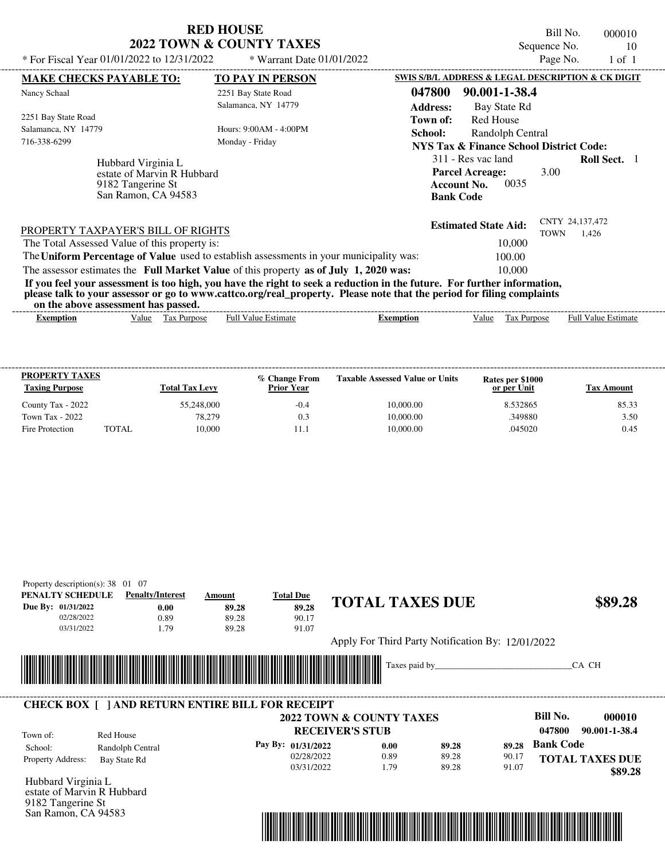Property description(s): 38 01 07

9182 Tangerine St San Ramon, CA 94583

Bill No. 000010 Sequence No. 10<br>Page No. 1 of 1

| * For Fiscal Year 01/01/2022 to $12/31/2022$  |                                                                                              | * Warrant Date $01/01/2022$                                                                                                                                                                                                                      |                             |                                                                                                | Page No.                       | 1 of 1                     |  |
|-----------------------------------------------|----------------------------------------------------------------------------------------------|--------------------------------------------------------------------------------------------------------------------------------------------------------------------------------------------------------------------------------------------------|-----------------------------|------------------------------------------------------------------------------------------------|--------------------------------|----------------------------|--|
| <b>MAKE CHECKS PAYABLE TO:</b>                |                                                                                              | <b>TO PAY IN PERSON</b>                                                                                                                                                                                                                          |                             | SWIS S/B/L ADDRESS & LEGAL DESCRIPTION & CK DIGIT                                              |                                |                            |  |
| Nancy Schaal                                  |                                                                                              | 2251 Bay State Road                                                                                                                                                                                                                              | 047800                      | 90.001-1-38.4                                                                                  |                                |                            |  |
| 2251 Bay State Road                           |                                                                                              | Salamanca, NY 14779                                                                                                                                                                                                                              | <b>Address:</b><br>Town of: | Bay State Rd<br><b>Red House</b>                                                               |                                |                            |  |
| Salamanca, NY 14779                           |                                                                                              | Hours: 9:00 AM - 4:00 PM                                                                                                                                                                                                                         | School:                     | Randolph Central                                                                               |                                |                            |  |
| 716-338-6299                                  |                                                                                              | Monday - Friday                                                                                                                                                                                                                                  |                             | NYS Tax & Finance School District Code:                                                        |                                |                            |  |
|                                               | Hubbard Virginia L<br>estate of Marvin R Hubbard<br>9182 Tangerine St<br>San Ramon, CA 94583 |                                                                                                                                                                                                                                                  |                             | 311 - Res vac land<br><b>Parcel Acreage:</b><br>0035<br><b>Account No.</b><br><b>Bank Code</b> | 3.00                           | <b>Roll Sect.</b> 1        |  |
| PROPERTY TAXPAYER'S BILL OF RIGHTS            |                                                                                              |                                                                                                                                                                                                                                                  |                             | <b>Estimated State Aid:</b>                                                                    | CNTY 24,137,472<br><b>TOWN</b> | 1.426                      |  |
| The Total Assessed Value of this property is: |                                                                                              |                                                                                                                                                                                                                                                  |                             | 10,000                                                                                         |                                |                            |  |
|                                               |                                                                                              | The Uniform Percentage of Value used to establish assessments in your municipality was:                                                                                                                                                          |                             | 100.00                                                                                         |                                |                            |  |
|                                               |                                                                                              | The assessor estimates the Full Market Value of this property as of July 1, 2020 was:                                                                                                                                                            |                             | 10,000                                                                                         |                                |                            |  |
| on the above assessment has passed.           |                                                                                              | If you feel your assessment is too high, you have the right to seek a reduction in the future. For further information,<br>please talk to your assessor or go to www.cattco.org/real_property. Please note that the period for filing complaints |                             |                                                                                                |                                |                            |  |
| <b>Exemption</b>                              | Tax Purpose<br>Value                                                                         | <b>Full Value Estimate</b>                                                                                                                                                                                                                       | <b>Exemption</b>            | Value<br>Tax Purpose                                                                           |                                | <b>Full Value Estimate</b> |  |
|                                               |                                                                                              |                                                                                                                                                                                                                                                  |                             |                                                                                                |                                |                            |  |

| <b>PROPERTY TAXES</b><br><b>Taxing Purpose</b> |       | <b>Total Tax Levy</b> | % Change From<br><b>Prior Year</b> | <b>Taxable Assessed Value or Units</b> | Rates per \$1000<br>or per Unit | Tax Amount |
|------------------------------------------------|-------|-----------------------|------------------------------------|----------------------------------------|---------------------------------|------------|
| County Tax - 2022                              |       | 55,248,000            | $-0.4$                             | 10,000.00                              | 8.532865                        | 85.33      |
| Town Tax - 2022                                |       | 78.279                | 0.3                                | 10,000.00                              | 349880                          | 3.50       |
| Fire Protection                                | TOTAL | 10.000                |                                    | 10,000.00                              | .045020                         | 0.45       |

| PENALTY SCHEDULE                                        |                  | <b>Penalty/Interest</b> | Amount                                                                                                               | <b>Total Due</b>         |                        |               | <b>TOTAL TAXES DUE</b>                            |       |                  | \$89.28                |
|---------------------------------------------------------|------------------|-------------------------|----------------------------------------------------------------------------------------------------------------------|--------------------------|------------------------|---------------|---------------------------------------------------|-------|------------------|------------------------|
| Due By: 01/31/2022                                      |                  | 0.00                    | 89.28                                                                                                                | 89.28                    |                        |               |                                                   |       |                  |                        |
| 02/28/2022                                              |                  | 0.89                    | 89.28                                                                                                                | 90.17                    |                        |               |                                                   |       |                  |                        |
| 03/31/2022                                              |                  | 1.79                    | 89.28                                                                                                                | 91.07                    |                        |               |                                                   |       |                  |                        |
|                                                         |                  |                         |                                                                                                                      |                          |                        |               | Apply For Third Party Notification By: 12/01/2022 |       |                  |                        |
|                                                         |                  |                         |                                                                                                                      |                          |                        |               |                                                   |       |                  |                        |
|                                                         |                  |                         |                                                                                                                      |                          |                        |               |                                                   |       |                  |                        |
|                                                         |                  |                         |                                                                                                                      |                          |                        | Taxes paid by |                                                   |       |                  | CA CH                  |
|                                                         |                  |                         |                                                                                                                      |                          |                        |               |                                                   |       |                  |                        |
|                                                         |                  |                         | <u> 1989 - Johann Maria Maria Maria Maria Maria Maria Maria Maria Maria Maria Maria Maria Maria Maria Maria Mari</u> |                          |                        |               |                                                   |       |                  |                        |
|                                                         |                  |                         |                                                                                                                      |                          |                        |               |                                                   |       |                  |                        |
| <b>CHECK BOX [ ] AND RETURN ENTIRE BILL FOR RECEIPT</b> |                  |                         |                                                                                                                      |                          |                        |               |                                                   |       |                  |                        |
|                                                         |                  |                         |                                                                                                                      | 2022 TOWN & COUNTY TAXES |                        |               |                                                   |       | <b>Bill No.</b>  | 000010                 |
| Town of:                                                | Red House        |                         |                                                                                                                      |                          | <b>RECEIVER'S STUB</b> |               |                                                   |       | 047800           | 90.001-1-38.4          |
| School:                                                 | Randolph Central |                         |                                                                                                                      | Pay By: 01/31/2022       |                        | 0.00          | 89.28                                             | 89.28 | <b>Bank Code</b> |                        |
| Property Address:                                       | Bay State Rd     |                         |                                                                                                                      | 02/28/2022               |                        | 0.89          | 89.28                                             | 90.17 |                  | <b>TOTAL TAXES DUE</b> |

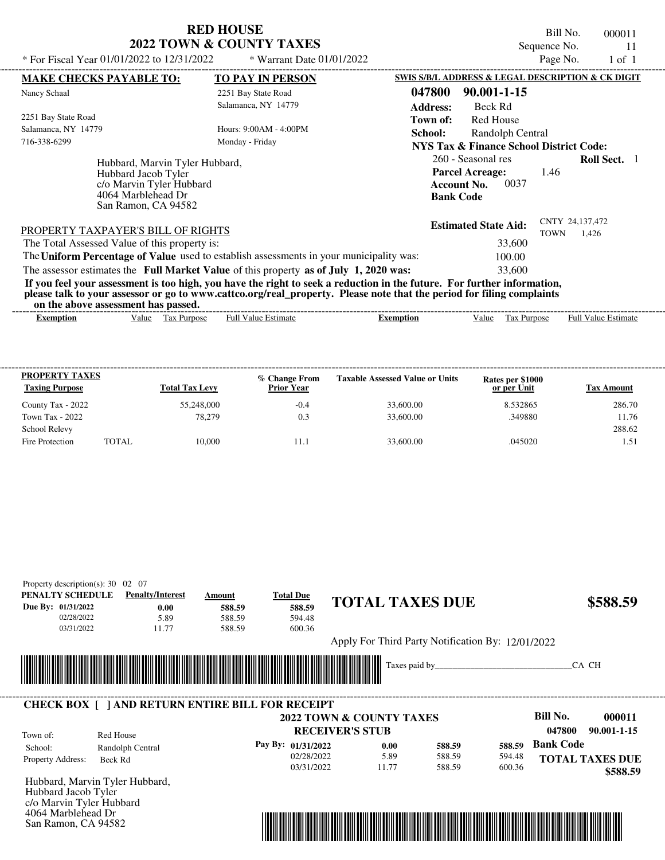Bill No. 000011 Sequence No. 11<br>Page No. 1 of 1

| * For Fiscal Year 01/01/2022 to $12/31/2022$                                                                                   | * Warrant Date $01/01/2022$                                                                                                                                                                                                                                                                                                               | Page No.<br>$1$ of $1$<br>SWIS S/B/L ADDRESS & LEGAL DESCRIPTION & CK DIGIT                                                   |
|--------------------------------------------------------------------------------------------------------------------------------|-------------------------------------------------------------------------------------------------------------------------------------------------------------------------------------------------------------------------------------------------------------------------------------------------------------------------------------------|-------------------------------------------------------------------------------------------------------------------------------|
| <b>MAKE CHECKS PAYABLE TO:</b><br>Nancy Schaal                                                                                 | TO PAY IN PERSON<br>2251 Bay State Road<br>Salamanca, NY 14779                                                                                                                                                                                                                                                                            | 047800<br>90.001-1-15<br><b>Address:</b><br>Beck Rd                                                                           |
| 2251 Bay State Road<br>Salamanca, NY 14779<br>716-338-6299                                                                     | Hours: 9:00AM - 4:00PM<br>Monday - Friday                                                                                                                                                                                                                                                                                                 | Red House<br>Town of:<br>School:<br>Randolph Central<br>NYS Tax & Finance School District Code:                               |
| Hubbard, Marvin Tyler Hubbard,<br>Hubbard Jacob Tyler<br>c/o Marvin Tyler Hubbard<br>4064 Marblehead Dr<br>San Ramon, CA 94582 |                                                                                                                                                                                                                                                                                                                                           | 260 - Seasonal res<br><b>Roll Sect.</b> 1<br><b>Parcel Acreage:</b><br>1.46<br>0037<br><b>Account No.</b><br><b>Bank Code</b> |
| PROPERTY TAXPAYER'S BILL OF RIGHTS<br>The Total Assessed Value of this property is:                                            | The Uniform Percentage of Value used to establish assessments in your municipality was:                                                                                                                                                                                                                                                   | CNTY 24,137,472<br><b>Estimated State Aid:</b><br><b>TOWN</b><br>1,426<br>33,600                                              |
|                                                                                                                                | The assessor estimates the Full Market Value of this property as of July 1, 2020 was:<br>If you feel your assessment is too high, you have the right to seek a reduction in the future. For further information,<br>please talk to your assessor or go to www.cattco.org/real_property. Please note that the period for filing complaints | 100.00<br>33,600                                                                                                              |

**on the above assessment has passed.**

| vn me anv re assessment nas passea. |       |                       |                 |         |       |                        |                                           |
|-------------------------------------|-------|-----------------------|-----------------|---------|-------|------------------------|-------------------------------------------|
| Exemption                           | Value | ax.<br><b>Purpose</b> | Estimate<br>Ful | emption | 'alue | Purpose<br>$\sim$ 0.7. | - Full <sup>V</sup><br>Estimate<br>. alue |
|                                     |       |                       |                 |         |       |                        |                                           |

| <b>PROPERTY TAXES</b><br><b>Taxing Purpose</b> |              | <b>Total Tax Levy</b> | % Change From<br><b>Prior Year</b> | <b>Taxable Assessed Value or Units</b> | Rates per \$1000<br>or per Unit | <b>Tax Amount</b> |
|------------------------------------------------|--------------|-----------------------|------------------------------------|----------------------------------------|---------------------------------|-------------------|
| County Tax - 2022                              |              | 55,248,000            | $-0.4$                             | 33,600.00                              | 8.532865                        | 286.70            |
| Town Tax - 2022                                |              | 78.279                | 0.3                                | 33,600.00                              | .349880                         | 11.76             |
| School Relevy                                  |              |                       |                                    |                                        |                                 | 288.62            |
| Fire Protection                                | <b>TOTAL</b> | 10,000                | 11.1                               | 33,600.00                              | .045020                         | 1.51              |

| Property description(s): $30 \quad 02 \quad 07$<br>PENALTY SCHEDULE<br>Due By: 01/31/2022<br>02/28/2022 | <b>Penalty/Interest</b><br>0.00<br>5.89 | Amount<br>588.59<br>588.59 | <b>Total Due</b><br>588.59<br>594.48 | <b>TOTAL TAXES DUE</b>                                             | \$588.59                                                    |
|---------------------------------------------------------------------------------------------------------|-----------------------------------------|----------------------------|--------------------------------------|--------------------------------------------------------------------|-------------------------------------------------------------|
| 03/31/2022                                                                                              | 11.77                                   | 588.59                     | 600.36                               | Apply For Third Party Notification By: 12/01/2022<br>Taxes paid by | CA CH                                                       |
| <b>CHECK BOX   JAND RETURN ENTIRE BILL FOR RECEIPT</b>                                                  |                                         |                            |                                      | 2022 TOWN & COUNTY TAXES<br>BRABILD 10 ABLIB                       | <b>Bill No.</b><br>000011<br>$0.1$ $0.00$<br>. <del>.</del> |

|                          |                  | 2022 TOWN & COUNTY TAXES |       |        |        | DIII INO.        | VVVVII                 |
|--------------------------|------------------|--------------------------|-------|--------|--------|------------------|------------------------|
| Town of:                 | Red House        | <b>RECEIVER'S STUB</b>   |       |        |        | 047800           | 90.001-1-15            |
| School:                  | Randolph Central | Pay By: 01/31/2022       | 0.00  | 588.59 | 588.59 | <b>Bank Code</b> |                        |
| <b>Property Address:</b> | Beck Rd          | 02/28/2022               | 5.89  | 588.59 | 594.48 |                  | <b>TOTAL TAXES DUE</b> |
|                          |                  | 03/31/2022               | 11.77 | 588.59 | 600.36 |                  | \$588.59               |

Hubbard, Marvin Tyler Hubbard, Hubbard Jacob Tyler c/o Marvin Tyler Hubbard 4064 Marblehead Dr San Ramon, CA 94582

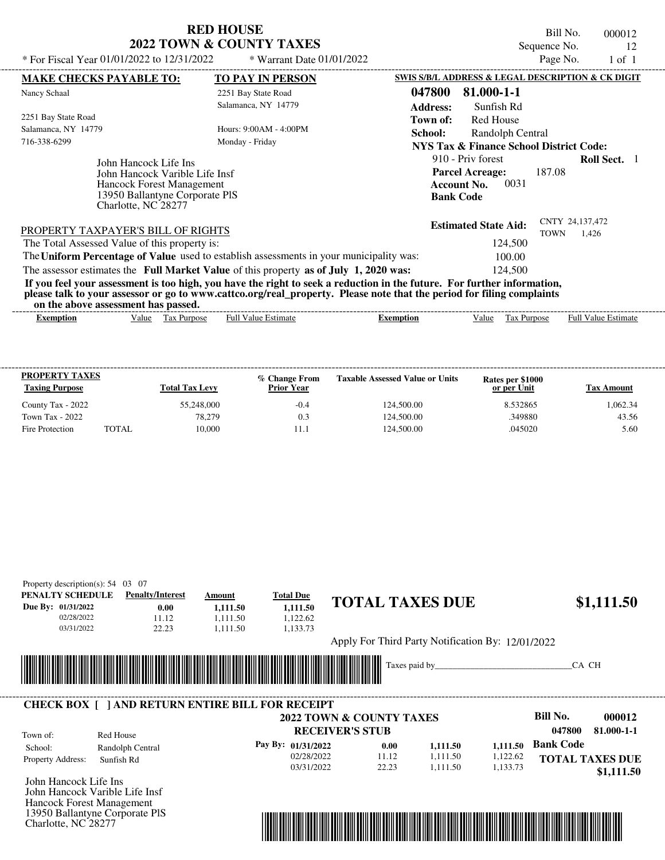Bill No. 000012 Sequence No. 12<br>Page No. 1 of 1

| * For Fiscal Year 01/01/2022 to 12/31/2022                                                                                                                                                                                                                                              | * Warrant Date $01/01/2022$                 |                           |                                                                                               | Page No.    | 1 of 1                     |  |
|-----------------------------------------------------------------------------------------------------------------------------------------------------------------------------------------------------------------------------------------------------------------------------------------|---------------------------------------------|---------------------------|-----------------------------------------------------------------------------------------------|-------------|----------------------------|--|
| <b>MAKE CHECKS PAYABLE TO:</b>                                                                                                                                                                                                                                                          | <b>TO PAY IN PERSON</b>                     |                           | SWIS S/B/L ADDRESS & LEGAL DESCRIPTION & CK DIGIT                                             |             |                            |  |
| Nancy Schaal                                                                                                                                                                                                                                                                            | 2251 Bay State Road<br>Salamanca, NY 14779  | 047800<br><b>Address:</b> | 81.000-1-1<br>Sunfish Rd                                                                      |             |                            |  |
| 2251 Bay State Road<br>Salamanca, NY 14779<br>716-338-6299                                                                                                                                                                                                                              | Hours: 9:00 AM - 4:00 PM<br>Monday - Friday | Town of:<br>School:       | Red House<br>Randolph Central<br><b>NYS Tax &amp; Finance School District Code:</b>           |             |                            |  |
| John Hancock Life Ins<br>John Hancock Varible Life Insf<br>Hancock Forest Management<br>13950 Ballantyne Corporate PIS<br>Charlotte, NC 28277                                                                                                                                           |                                             |                           | 910 - Priv forest<br><b>Parcel Acreage:</b><br>0031<br><b>Account No.</b><br><b>Bank Code</b> | 187.08      | <b>Roll Sect.</b>          |  |
| PROPERTY TAXPAYER'S BILL OF RIGHTS                                                                                                                                                                                                                                                      |                                             |                           | <b>Estimated State Aid:</b>                                                                   | <b>TOWN</b> | CNTY 24,137,472<br>1.426   |  |
| The Total Assessed Value of this property is:                                                                                                                                                                                                                                           |                                             |                           | 124,500                                                                                       |             |                            |  |
| The Uniform Percentage of Value used to establish assessments in your municipality was:                                                                                                                                                                                                 |                                             |                           | 100.00                                                                                        |             |                            |  |
| The assessor estimates the Full Market Value of this property as of July 1, 2020 was:                                                                                                                                                                                                   |                                             |                           | 124,500                                                                                       |             |                            |  |
| If you feel your assessment is too high, you have the right to seek a reduction in the future. For further information,<br>please talk to your assessor or go to www.cattco.org/real_property. Please note that the period for filing complaints<br>on the above assessment has passed. |                                             |                           |                                                                                               |             |                            |  |
| Tax Purpose<br><b>Exemption</b><br>Value                                                                                                                                                                                                                                                | <b>Full Value Estimate</b>                  | <b>Exemption</b>          | Value                                                                                         | Tax Purpose | <b>Full Value Estimate</b> |  |

| <b>PROPERTY TAXES</b><br><b>Taxing Purpose</b> |       | <b>Total Tax Levy</b> | % Change From<br><b>Prior Year</b> | <b>Taxable Assessed Value or Units</b> | Rates per \$1000<br>or per Unit | Tax Amount |
|------------------------------------------------|-------|-----------------------|------------------------------------|----------------------------------------|---------------------------------|------------|
| County Tax - 2022                              |       | 55,248,000            | $-0.4$                             | 124,500.00                             | 8.532865                        | 1.062.34   |
| Town Tax - 2022                                |       | 78.279                | 0.3                                | 124,500.00                             | 349880                          | 43.56      |
| Fire Protection                                | TOTAL | 10,000                |                                    | 124,500.00                             | .045020                         | 5.60       |

| Property description(s): $54 \quad 03 \quad 07$        |                         |          |                  |                                                   |                    |
|--------------------------------------------------------|-------------------------|----------|------------------|---------------------------------------------------|--------------------|
| PENALTY SCHEDULE                                       | <b>Penalty/Interest</b> | Amount   | <b>Total Due</b> |                                                   |                    |
| Due By: 01/31/2022                                     | 0.00                    | 1,111.50 | 1,111.50         | <b>TOTAL TAXES DUE</b>                            | \$1,111.50         |
| 02/28/2022                                             | 11.12                   | 1.111.50 | 1,122.62         |                                                   |                    |
| 03/31/2022                                             | 22.23                   | 1.111.50 | 1,133.73         |                                                   |                    |
|                                                        |                         |          |                  | Apply For Third Party Notification By: 12/01/2022 |                    |
|                                                        |                         | WWW      |                  | Taxes paid by                                     | CA CH              |
| <b>CHECK BOX   JAND RETURN ENTIRE BILL FOR RECEIPT</b> |                         |          |                  | <b>2022 TOWN &amp; COUNTY TAXES</b>               | Bill No.<br>000012 |

|                          |                  | <b>2022 TOWN &amp; COUNTY TAXES</b> |       |          |          | Bill No.         | 000012                 |
|--------------------------|------------------|-------------------------------------|-------|----------|----------|------------------|------------------------|
| Town of:                 | Red House        | <b>RECEIVER'S STUB</b>              |       |          |          | 047800           | 81.000-1-1             |
| School:                  | Randolph Central | Pay By: $01/31/2022$                | 0.00  | 1,111.50 | 1.111.50 | <b>Bank Code</b> |                        |
| <b>Property Address:</b> | Sunfish Rd       | 02/28/2022                          | 11.12 | .111.50  | 1.122.62 |                  | <b>TOTAL TAXES DUE</b> |
| _ _ _                    | .                | 03/31/2022                          | 22.23 | .111.50  | 133.73   |                  | \$1,111.50             |

John Hancock Life Ins John Hancock Varible Life Insf Hancock Forest Management 13950 Ballantyne Corporate PlS Charlotte, NC 28277

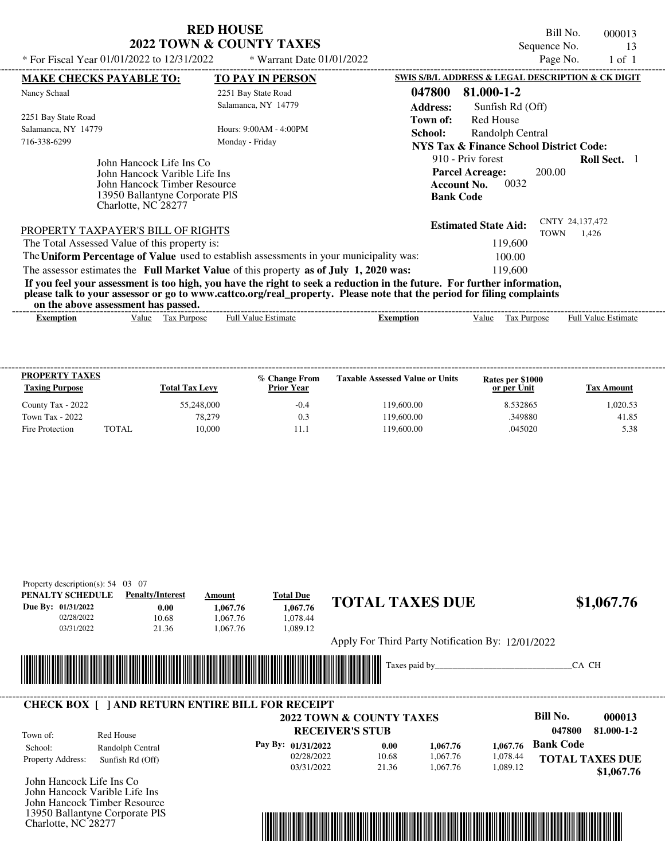Bill No. 000013 Sequence No. 13

| * For Fiscal Year 01/01/2022 to 12/31/2022    | * Warrant Date $01/01/2022$                                                                                             |                  |                                                   | Page No.                       | 1 of 1                     |  |
|-----------------------------------------------|-------------------------------------------------------------------------------------------------------------------------|------------------|---------------------------------------------------|--------------------------------|----------------------------|--|
| <b>MAKE CHECKS PAYABLE TO:</b>                | <b>TO PAY IN PERSON</b>                                                                                                 |                  | SWIS S/B/L ADDRESS & LEGAL DESCRIPTION & CK DIGIT |                                |                            |  |
| Nancy Schaal                                  | 2251 Bay State Road                                                                                                     | 047800           | 81.000-1-2                                        |                                |                            |  |
|                                               | Salamanca, NY 14779                                                                                                     | <b>Address:</b>  | Sunfish Rd (Off)                                  |                                |                            |  |
| 2251 Bay State Road                           |                                                                                                                         | Town of:         | <b>Red House</b>                                  |                                |                            |  |
| Salamanca, NY 14779                           | Hours: 9:00AM - 4:00PM                                                                                                  | School:          | Randolph Central                                  |                                |                            |  |
| 716-338-6299                                  | Monday - Friday                                                                                                         |                  | NYS Tax & Finance School District Code:           |                                |                            |  |
| John Hancock Life Ins Co                      |                                                                                                                         |                  | 910 - Priv forest                                 |                                | <b>Roll Sect.</b> 1        |  |
|                                               | John Hancock Varible Life Ins                                                                                           |                  |                                                   |                                |                            |  |
|                                               | John Hancock Timber Resource                                                                                            |                  |                                                   |                                |                            |  |
|                                               | 13950 Ballantyne Corporate PIS                                                                                          |                  |                                                   |                                |                            |  |
| Charlotte, NC 28277                           |                                                                                                                         |                  |                                                   |                                |                            |  |
| PROPERTY TAXPAYER'S BILL OF RIGHTS            |                                                                                                                         |                  | <b>Estimated State Aid:</b>                       | CNTY 24,137,472<br><b>TOWN</b> | 1.426                      |  |
| The Total Assessed Value of this property is: |                                                                                                                         |                  | 119,600                                           |                                |                            |  |
|                                               | The Uniform Percentage of Value used to establish assessments in your municipality was:                                 |                  | 100.00                                            |                                |                            |  |
|                                               | The assessor estimates the Full Market Value of this property as of July 1, 2020 was:                                   |                  | 119,600                                           |                                |                            |  |
|                                               | If you feel your assessment is too high, you have the right to seek a reduction in the future. For further information, |                  |                                                   |                                |                            |  |
|                                               | please talk to your assessor or go to www.cattco.org/real_property. Please note that the period for filing complaints   |                  |                                                   |                                |                            |  |
| on the above assessment has passed.           |                                                                                                                         |                  |                                                   |                                |                            |  |
| Value<br><b>Exemption</b>                     | <b>Full Value Estimate</b><br>Tax Purpose                                                                               | <b>Exemption</b> | Value<br>Tax Purpose                              |                                | <b>Full Value Estimate</b> |  |

| <b>PROPERTY TAXES</b><br><b>Taxing Purpose</b> |       | <b>Total Tax Levy</b> | % Change From<br><b>Prior Year</b> | <b>Taxable Assessed Value or Units</b> | Rates per \$1000<br>or per Unit | Tax Amount |
|------------------------------------------------|-------|-----------------------|------------------------------------|----------------------------------------|---------------------------------|------------|
| County Tax - 2022                              |       | 55,248,000            | $-0.4$                             | 119.600.00                             | 8.532865                        | 1.020.53   |
| Town Tax - 2022                                |       | 78.279                | 0.3                                | 119.600.00                             | .349880                         | 41.85      |
| Fire Protection                                | TOTAL | 10.000                |                                    | 119.600.00                             | .045020                         | 5.38       |

| PENALTY SCHEDULE              | Property description(s): $54$ 03 07<br><b>Penalty/Interest</b> | Amount   | <b>Total Due</b>   | <b>TOTAL TAXES DUE</b>                            |          |          | \$1,067.76             |
|-------------------------------|----------------------------------------------------------------|----------|--------------------|---------------------------------------------------|----------|----------|------------------------|
| Due By: 01/31/2022            | 0.00                                                           | 1,067.76 | 1,067.76           |                                                   |          |          |                        |
| 02/28/2022<br>03/31/2022      | 10.68                                                          | 1,067.76 | 1,078.44           |                                                   |          |          |                        |
|                               | 21.36                                                          | 1,067.76 | 1,089.12           |                                                   |          |          |                        |
|                               |                                                                |          |                    | Apply For Third Party Notification By: 12/01/2022 |          |          |                        |
|                               |                                                                |          |                    |                                                   |          |          |                        |
|                               |                                                                |          |                    | Taxes paid by                                     |          |          | CA CH                  |
|                               |                                                                |          |                    |                                                   |          |          |                        |
|                               |                                                                |          |                    |                                                   |          |          |                        |
|                               | <b>CHECK BOX [ ] AND RETURN ENTIRE BILL FOR RECEIPT</b>        |          |                    |                                                   |          |          |                        |
|                               |                                                                |          |                    | 2022 TOWN & COUNTY TAXES                          |          |          | Bill No.<br>000013     |
| Town of:                      | Red House                                                      |          |                    | <b>RECEIVER'S STUB</b>                            |          |          | 047800<br>81.000-1-2   |
| School:                       | Randolph Central                                               |          | Pay By: 01/31/2022 | 0.00                                              | 1,067.76 | 1,067.76 | <b>Bank Code</b>       |
| Property Address:             | Sunfish Rd (Off)                                               |          | 02/28/2022         | 10.68                                             | 1,067.76 | 1,078.44 | <b>TOTAL TAXES DUE</b> |
|                               |                                                                |          | 03/31/2022         | 21.36                                             | 1,067.76 | 1,089.12 | \$1,067.76             |
| John Hancock Life Ins Co.     |                                                                |          |                    |                                                   |          |          |                        |
| John Hancock Varible Life Ins |                                                                |          |                    |                                                   |          |          |                        |
|                               | John Hancock Timber Resource                                   |          |                    |                                                   |          |          |                        |
|                               | 13950 Ballantyne Corporate PIS                                 |          |                    |                                                   |          |          |                        |
| Charlotte, NC 28277           |                                                                |          |                    |                                                   |          |          |                        |
|                               |                                                                |          |                    |                                                   |          |          |                        |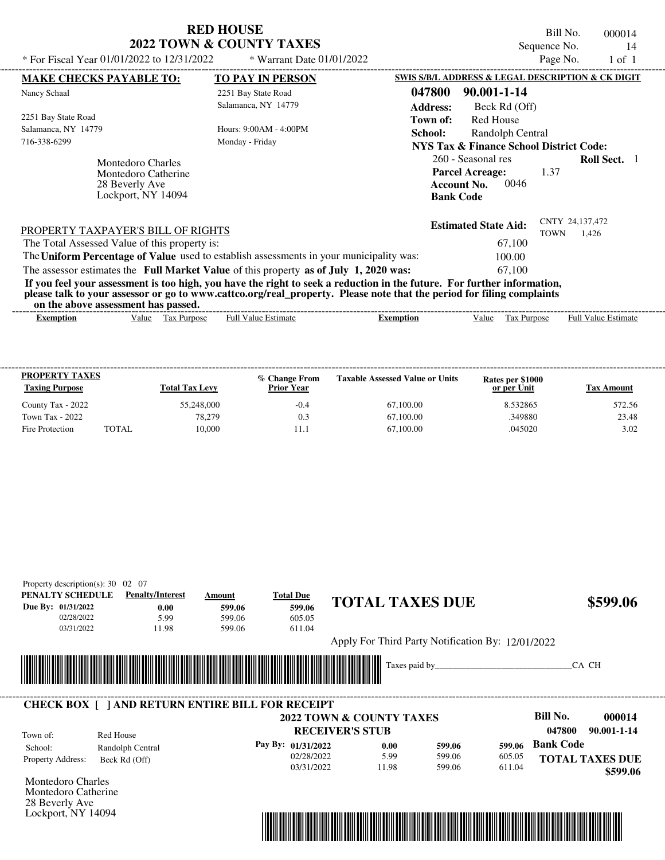| <b>RED HOUSE</b>         |  |
|--------------------------|--|
| 2022 TOWN & COUNTY TAXES |  |

Bill No. 000014 Sequence No. 14<br>Page No. 1 of 1

| * For Fiscal Year 01/01/2022 to 12/31/2022                                          | * Warrant Date $01/01/2022$                                                             |                                                                                                                                                                                                                                                            | Page No.<br>$1$ of $1$                  |  |
|-------------------------------------------------------------------------------------|-----------------------------------------------------------------------------------------|------------------------------------------------------------------------------------------------------------------------------------------------------------------------------------------------------------------------------------------------------------|-----------------------------------------|--|
| <b>MAKE CHECKS PAYABLE TO:</b>                                                      | <b>TO PAY IN PERSON</b>                                                                 | SWIS S/B/L ADDRESS & LEGAL DESCRIPTION & CK DIGIT                                                                                                                                                                                                          |                                         |  |
| Nancy Schaal                                                                        | 2251 Bay State Road<br>Salamanca, NY 14779                                              | 047800<br>90.001-1-14<br><b>Address:</b><br>Beck Rd (Off)                                                                                                                                                                                                  |                                         |  |
| 2251 Bay State Road<br>Salamanca, NY 14779<br>716-338-6299                          | Hours: 9:00 AM - 4:00 PM<br>Monday - Friday                                             | <b>Red House</b><br>Town of:<br>School:<br>Randolph Central<br><b>NYS Tax &amp; Finance School District Code:</b>                                                                                                                                          |                                         |  |
| Montedoro Charles<br>Montedoro Catherine<br>28 Beverly Ave<br>Lockport, NY 14094    |                                                                                         | 260 - Seasonal res<br><b>Parcel Acreage:</b><br>0046<br><b>Account No.</b><br><b>Bank Code</b>                                                                                                                                                             | <b>Roll Sect.</b> 1<br>1.37             |  |
| PROPERTY TAXPAYER'S BILL OF RIGHTS<br>The Total Assessed Value of this property is: |                                                                                         | <b>Estimated State Aid:</b><br>67,100                                                                                                                                                                                                                      | CNTY 24,137,472<br><b>TOWN</b><br>1,426 |  |
|                                                                                     | The Uniform Percentage of Value used to establish assessments in your municipality was: | 100.00                                                                                                                                                                                                                                                     |                                         |  |
| on the above assessment has passed.                                                 | The assessor estimates the Full Market Value of this property as of July 1, 2020 was:   | 67,100<br>If you feel your assessment is too high, you have the right to seek a reduction in the future. For further information,<br>please talk to your assessor or go to www.cattco.org/real_property. Please note that the period for filing complaints |                                         |  |
| <b>Exemption</b><br>Value                                                           | Full Value Estimate<br>Tax Purpose                                                      | Tax Purpose<br><b>Exemption</b><br>Value                                                                                                                                                                                                                   | <b>Full Value Estimate</b>              |  |

| <b>PROPERTY TAXES</b><br><b>Taxing Purpose</b> |       | <b>Total Tax Levy</b> | % Change From<br><b>Prior Year</b> | <b>Taxable Assessed Value or Units</b> | Rates per \$1000<br>or per Unit | Tax Amount |
|------------------------------------------------|-------|-----------------------|------------------------------------|----------------------------------------|---------------------------------|------------|
| County Tax - 2022                              |       | 55,248,000            | $-0.4$                             | 67,100.00                              | 8.532865                        | 572.56     |
| Town Tax - 2022                                |       | 78,279                | 0.3                                | 67,100.00                              | .349880                         | 23.48      |
| Fire Protection                                | TOTAL | 10.000                |                                    | 67,100.00                              | .045020                         | 3.02       |

| PENALTY SCHEDULE         | <b>Penalty/Interest</b> | Amount                                                  | <b>Total Due</b>       | <b>TOTAL TAXES DUE</b>                            |        |        | \$599.06                  |
|--------------------------|-------------------------|---------------------------------------------------------|------------------------|---------------------------------------------------|--------|--------|---------------------------|
| Due By: 01/31/2022       | 0.00                    | 599.06                                                  | 599.06                 |                                                   |        |        |                           |
| 02/28/2022               | 5.99                    | 599.06                                                  | 605.05                 |                                                   |        |        |                           |
| 03/31/2022               | 11.98                   | 599.06                                                  | 611.04                 |                                                   |        |        |                           |
|                          |                         |                                                         |                        | Apply For Third Party Notification By: 12/01/2022 |        |        |                           |
|                          |                         |                                                         |                        | Taxes paid by                                     |        |        | CA CH                     |
|                          |                         |                                                         |                        |                                                   |        |        |                           |
|                          |                         |                                                         |                        |                                                   |        |        |                           |
|                          |                         | <b>CHECK BOX [ ] AND RETURN ENTIRE BILL FOR RECEIPT</b> |                        |                                                   |        |        |                           |
|                          |                         |                                                         |                        | <b>2022 TOWN &amp; COUNTY TAXES</b>               |        |        | <b>Bill No.</b><br>000014 |
|                          | Red House               |                                                         | <b>RECEIVER'S STUB</b> |                                                   |        |        | 047800<br>90.001-1-14     |
|                          |                         |                                                         |                        |                                                   |        |        |                           |
| Town of:                 |                         |                                                         | Pay By: 01/31/2022     | 0.00                                              | 599.06 | 599.06 | <b>Bank Code</b>          |
| School:                  | Randolph Central        |                                                         | 02/28/2022             | 5.99                                              | 599.06 | 605.05 |                           |
| Property Address:        | Beck Rd (Off)           |                                                         | 03/31/2022             | 11.98                                             | 599.06 | 611.04 | <b>TOTAL TAXES DUE</b>    |
| <b>Montedoro Charles</b> |                         |                                                         |                        |                                                   |        |        | \$599.06                  |
| Montedoro Catherine      |                         |                                                         |                        |                                                   |        |        |                           |
| 28 Beverly Ave           |                         |                                                         |                        |                                                   |        |        |                           |
| Lockport, NY 14094       |                         |                                                         |                        |                                                   |        |        |                           |
|                          |                         |                                                         |                        |                                                   |        |        |                           |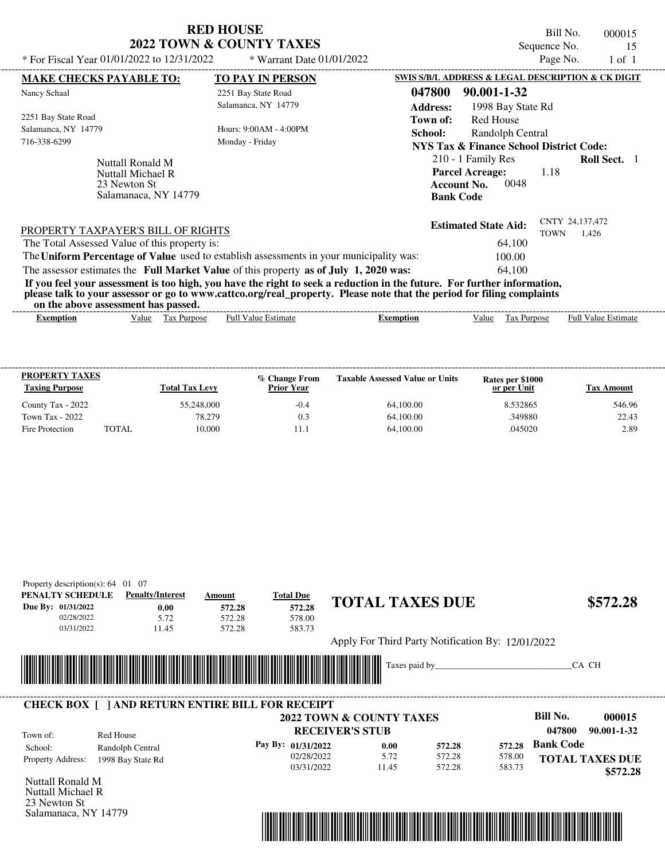|                                                                                                                                                                                  | <b>RED HOUSE</b><br>2022 TOWN & COUNTY TAXES | Bill No.<br>000015<br>Sequence No.<br>15                                                                                                    |
|----------------------------------------------------------------------------------------------------------------------------------------------------------------------------------|----------------------------------------------|---------------------------------------------------------------------------------------------------------------------------------------------|
| * For Fiscal Year 01/01/2022 to 12/31/2022                                                                                                                                       | * Warrant Date 01/01/2022                    | Page No.<br>$1$ of $1$                                                                                                                      |
| <b>MAKE CHECKS PAYABLE TO:</b>                                                                                                                                                   | <b>TO PAY IN PERSON</b>                      | SWIS S/B/L ADDRESS & LEGAL DESCRIPTION & CK DIGIT                                                                                           |
| Nancy Schaal                                                                                                                                                                     | 2251 Bay State Road<br>Salamanca, NY 14779   | 90.001-1-32<br>047800<br><b>Address:</b><br>1998 Bay State Rd                                                                               |
| 2251 Bay State Road<br>Salamanca, NY 14779<br>716-338-6299                                                                                                                       | Hours: 9:00AM - 4:00PM<br>Monday - Friday    | Red House<br>Town of:<br>School:<br>Randolph Central<br>NYS Tax & Finance School District Code:                                             |
| Nuttall Ronald M<br><b>Nuttall Michael R</b><br>23 Newton St<br>Salamanaca, NY 14779                                                                                             |                                              | 210 - 1 Family Res<br><b>Roll Sect.</b> 1<br><b>Parcel Acreage:</b><br>1.18<br>0048<br><b>Account No.</b><br><b>Bank Code</b>               |
| PROPERTY TAXPAYER'S BILL OF RIGHTS<br>The Total Assessed Value of this property is:                                                                                              |                                              | CNTY 24,137,472<br><b>Estimated State Aid:</b><br><b>TOWN</b><br>1,426<br>64,100                                                            |
| The Uniform Percentage of Value used to establish assessments in your municipality was:<br>The assessor estimates the Full Market Value of this property as of July 1, 2020 was: |                                              | 100.00<br>64.100<br>If you feel your assessment is too high, you have the right to seek a reduction in the future. For further information, |

**please talk to your assessor or go to www.cattco.org/real\_property. Please note that the period for filing complaints**

**on the above assessment has passed.**

| on the above assessment nas basseur                                                                                        |                                              |
|----------------------------------------------------------------------------------------------------------------------------|----------------------------------------------|
| - Full <sup>V</sup><br>alue<br>Value<br><b>Estimate</b><br>Purnose<br>tax<br>Ful<br><b>Purpose</b><br>emption<br>Exemption | $\overline{\phantom{a}}$<br>Estimate<br>alu⁄ |

| <b>PROPERTY TAXES</b><br><b>Taxing Purpose</b> |              | <b>Total Tax Levy</b> | % Change From<br><b>Prior Year</b> | <b>Taxable Assessed Value or Units</b> | Rates per \$1000<br>or per Unit | Tax Amount |
|------------------------------------------------|--------------|-----------------------|------------------------------------|----------------------------------------|---------------------------------|------------|
| County Tax - 2022                              |              | 55,248,000            | $-0.4$                             | 64,100.00                              | 8.532865                        | 546.96     |
| Town Tax - 2022                                |              | 78.279                | 0.3                                | 64,100.00                              | .349880                         | 22.43      |
| Fire Protection                                | <b>TOTAL</b> | 10.000                |                                    | 64,100.00                              | .045020                         | 2.89       |

| Property description(s): $64$                          | 01 07                       |        |                  |                                                   |                           |
|--------------------------------------------------------|-----------------------------|--------|------------------|---------------------------------------------------|---------------------------|
| PENALTY SCHEDULE                                       | <b>Penalty/Interest</b>     | Amount | <b>Total Due</b> |                                                   |                           |
| Due By: 01/31/2022                                     | 0.00                        | 572.28 | 572.28           | <b>TOTAL TAXES DUE</b>                            | \$572.28                  |
| 02/28/2022                                             | 5.72                        | 572.28 | 578.00           |                                                   |                           |
| 03/31/2022                                             | 11.45                       | 572.28 | 583.73           |                                                   |                           |
|                                                        |                             |        |                  | Apply For Third Party Notification By: 12/01/2022 |                           |
| ║║                                                     | <u> Tanzania (h. 1888).</u> |        |                  | Taxes paid by                                     | CA CH                     |
| <b>CHECK BOX   JAND RETURN ENTIRE BILL FOR RECEIPT</b> |                             |        |                  | 2022 TOWN & COUNTY TAXES                          | <b>Bill No.</b><br>000015 |

|                          |                   |                        | 2022 TOWN & COUNTY TAXES |        |        | рш го.           | UUWI 3                 |
|--------------------------|-------------------|------------------------|--------------------------|--------|--------|------------------|------------------------|
| Town of:                 | Red House         | <b>RECEIVER'S STUB</b> |                          |        |        | 047800           | 90.001-1-32            |
| School:                  | Randolph Central  | Pay By: 01/31/2022     | 0.00                     | 572.28 |        | 572.28 Bank Code |                        |
| <b>Property Address:</b> | 1998 Bay State Rd | 02/28/2022             | 5.72                     | 572.28 | 578.00 |                  | <b>TOTAL TAXES DUE</b> |
|                          |                   | 03/31/2022             | 11.45                    | 572.28 | 583.73 |                  | \$572.28               |

Nuttall Ronald M Nuttall Michael R 23 Newton St Salamanaca, NY 14779

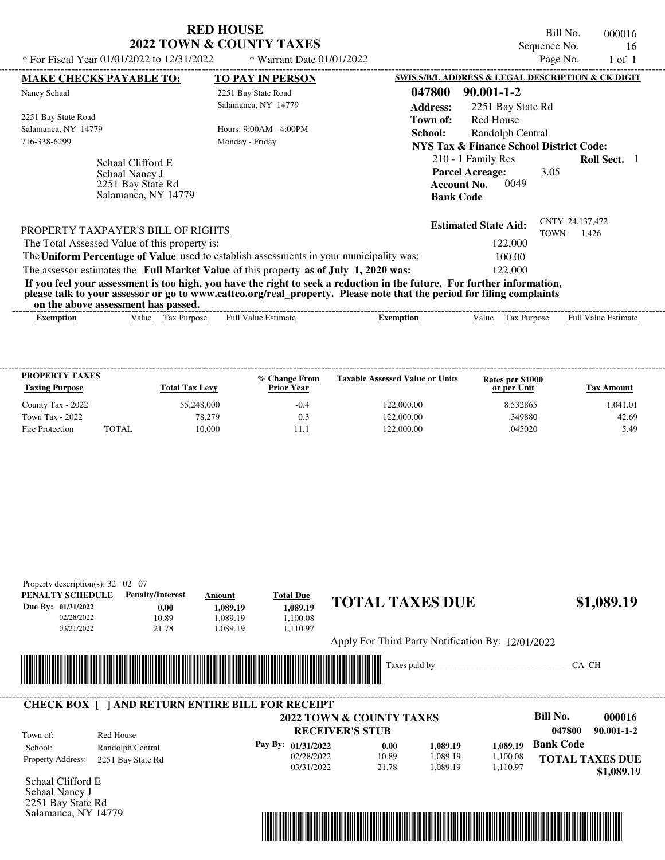| <b>RED HOUSE</b>                    |  |
|-------------------------------------|--|
| <b>2022 TOWN &amp; COUNTY TAXES</b> |  |

Bill No. 000016 Sequence No. 16<br>Page No. 1 of 1

| * For Fiscal Year 01/01/2022 to 12/31/2022                                                                                                                                                                                                                                              | * Warrant Date 01/01/2022                   |                           |                                                                                                | Page No.    | $1$ of $1$                 |  |
|-----------------------------------------------------------------------------------------------------------------------------------------------------------------------------------------------------------------------------------------------------------------------------------------|---------------------------------------------|---------------------------|------------------------------------------------------------------------------------------------|-------------|----------------------------|--|
| <b>MAKE CHECKS PAYABLE TO:</b>                                                                                                                                                                                                                                                          | <b>TO PAY IN PERSON</b>                     |                           | SWIS S/B/L ADDRESS & LEGAL DESCRIPTION & CK DIGIT                                              |             |                            |  |
| Nancy Schaal                                                                                                                                                                                                                                                                            | 2251 Bay State Road<br>Salamanca, NY 14779  | 047800<br><b>Address:</b> | $90.001 - 1 - 2$<br>2251 Bay State Rd                                                          |             |                            |  |
| 2251 Bay State Road<br>Salamanca, NY 14779<br>716-338-6299                                                                                                                                                                                                                              | Hours: 9:00 AM - 4:00 PM<br>Monday - Friday | Town of:<br>School:       | <b>Red House</b><br>Randolph Central<br>NYS Tax & Finance School District Code:                |             |                            |  |
| Schaal Clifford E<br>Schaal Nancy J<br>2251 Bay State Rd<br>Salamanca, NY 14779                                                                                                                                                                                                         |                                             |                           | 210 - 1 Family Res<br><b>Parcel Acreage:</b><br>0049<br><b>Account No.</b><br><b>Bank Code</b> | 3.05        | <b>Roll Sect.</b> 1        |  |
| PROPERTY TAXPAYER'S BILL OF RIGHTS<br>The Total Assessed Value of this property is:                                                                                                                                                                                                     |                                             |                           | <b>Estimated State Aid:</b><br>122,000                                                         | <b>TOWN</b> | CNTY 24,137,472<br>1.426   |  |
| The Uniform Percentage of Value used to establish assessments in your municipality was:<br>The assessor estimates the Full Market Value of this property as of July 1, 2020 was:                                                                                                        |                                             |                           | 100.00<br>122,000                                                                              |             |                            |  |
| If you feel your assessment is too high, you have the right to seek a reduction in the future. For further information,<br>please talk to your assessor or go to www.cattco.org/real_property. Please note that the period for filing complaints<br>on the above assessment has passed. |                                             |                           |                                                                                                |             |                            |  |
|                                                                                                                                                                                                                                                                                         | <b>Full Value Estimate</b><br>Tax Purpose   | <b>Exemption</b>          | Value                                                                                          | Tax Purpose | <b>Full Value Estimate</b> |  |

| <b>PROPERTY TAXES</b><br><b>Taxing Purpose</b> |       | <b>Total Tax Levy</b> | % Change From<br><b>Prior Year</b> | <b>Taxable Assessed Value or Units</b> | Rates per \$1000<br>or per Unit | Tax Amount |
|------------------------------------------------|-------|-----------------------|------------------------------------|----------------------------------------|---------------------------------|------------|
| County Tax - 2022                              |       | 55,248,000            | $-0.4$                             | 122,000.00                             | 8.532865                        | 1.041.01   |
| Town Tax - 2022                                |       | 78,279                | 0.3                                | 122,000.00                             | .349880                         | 42.69      |
| Fire Protection                                | TOTAL | 10.000                |                                    | 122,000.00                             | .045020                         | 5.49       |

| PENALTY SCHEDULE                       | <b>Penalty/Interest</b>                                 | Amount   | <b>Total Due</b>   |                                                   |          |          |                            |
|----------------------------------------|---------------------------------------------------------|----------|--------------------|---------------------------------------------------|----------|----------|----------------------------|
| Due By: 01/31/2022                     | 0.00                                                    | 1,089.19 | 1,089.19           | <b>TOTAL TAXES DUE</b>                            |          |          | \$1,089.19                 |
| 02/28/2022                             | 10.89                                                   | 1,089.19 | 1,100.08           |                                                   |          |          |                            |
| 03/31/2022                             | 21.78                                                   | 1,089.19 | 1,110.97           |                                                   |          |          |                            |
|                                        |                                                         |          |                    | Apply For Third Party Notification By: 12/01/2022 |          |          |                            |
|                                        |                                                         |          |                    | IIIIIII                                           |          |          | CA CH                      |
|                                        |                                                         |          |                    |                                                   |          |          |                            |
|                                        |                                                         |          |                    |                                                   |          |          |                            |
|                                        |                                                         |          |                    |                                                   |          |          |                            |
|                                        | <b>CHECK BOX [ ] AND RETURN ENTIRE BILL FOR RECEIPT</b> |          |                    |                                                   |          |          |                            |
|                                        |                                                         |          |                    | <b>2022 TOWN &amp; COUNTY TAXES</b>               |          |          | <b>Bill No.</b><br>000016  |
|                                        |                                                         |          |                    | <b>RECEIVER'S STUB</b>                            |          |          | 047800<br>$90.001 - 1 - 2$ |
| Town of:<br>School:                    | Red House                                               |          | Pay By: 01/31/2022 | 0.00                                              | 1,089.19 | 1,089.19 | <b>Bank Code</b>           |
|                                        | Randolph Central                                        |          | 02/28/2022         | 10.89                                             | 1,089.19 | 1,100.08 |                            |
|                                        | 2251 Bay State Rd                                       |          | 03/31/2022         | 21.78                                             | 1,089.19 | 1,110.97 | <b>TOTAL TAXES DUE</b>     |
| Property Address:<br>Schaal Clifford E |                                                         |          |                    |                                                   |          |          | \$1,089.19                 |
| Schaal Nancy J                         |                                                         |          |                    |                                                   |          |          |                            |
| 2251 Bay State Rd                      |                                                         |          |                    |                                                   |          |          |                            |
| Salamanca, NY 14779                    |                                                         |          |                    |                                                   |          |          |                            |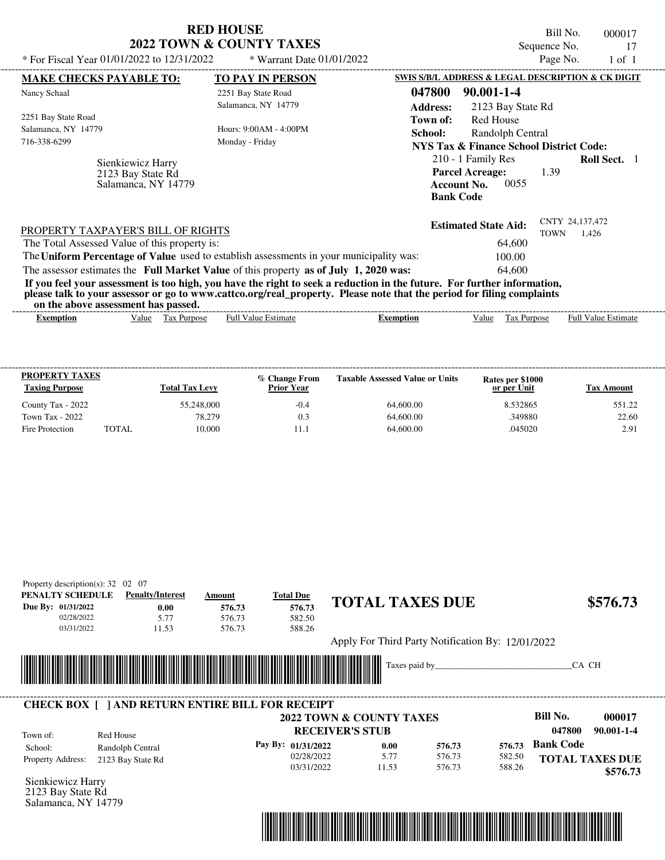| * For Fiscal Year 01/01/2022 to 12/31/2022                                              | <b>RED HOUSE</b><br><b>2022 TOWN &amp; COUNTY TAXES</b><br>* Warrant Date 01/01/2022                                                                                                                                                             | Bill No.<br>000017<br>Sequence No.<br>17<br>Page No.<br>$1$ of $1$                                                            |
|-----------------------------------------------------------------------------------------|--------------------------------------------------------------------------------------------------------------------------------------------------------------------------------------------------------------------------------------------------|-------------------------------------------------------------------------------------------------------------------------------|
| <b>MAKE CHECKS PAYABLE TO:</b>                                                          | <b>TO PAY IN PERSON</b>                                                                                                                                                                                                                          | SWIS S/B/L ADDRESS & LEGAL DESCRIPTION & CK DIGIT                                                                             |
| Nancy Schaal                                                                            | 2251 Bay State Road                                                                                                                                                                                                                              | 047800<br>90.001-1-4                                                                                                          |
|                                                                                         | Salamanca, NY 14779                                                                                                                                                                                                                              | <b>Address:</b><br>2123 Bay State Rd                                                                                          |
| 2251 Bay State Road                                                                     |                                                                                                                                                                                                                                                  | Red House<br>Town of:                                                                                                         |
| Salamanca, NY 14779                                                                     | Hours: $9:00AM - 4:00PM$                                                                                                                                                                                                                         | School:<br>Randolph Central                                                                                                   |
| 716-338-6299                                                                            | Monday - Friday                                                                                                                                                                                                                                  | <b>NYS Tax &amp; Finance School District Code:</b>                                                                            |
| Sienkiewicz Harry<br>2123 Bay State Rd<br>Salamanca, NY 14779                           |                                                                                                                                                                                                                                                  | 210 - 1 Family Res<br><b>Roll Sect.</b> 1<br><b>Parcel Acreage:</b><br>1.39<br>0055<br><b>Account No.</b><br><b>Bank Code</b> |
| PROPERTY TAXPAYER'S BILL OF RIGHTS                                                      |                                                                                                                                                                                                                                                  | CNTY 24,137,472<br><b>Estimated State Aid:</b><br><b>TOWN</b><br>1,426                                                        |
| The Total Assessed Value of this property is:                                           |                                                                                                                                                                                                                                                  | 64,600                                                                                                                        |
| The Uniform Percentage of Value used to establish assessments in your municipality was: |                                                                                                                                                                                                                                                  | 100.00                                                                                                                        |
| The assessor estimates the Full Market Value of this property as of July 1, 2020 was:   |                                                                                                                                                                                                                                                  | 64,600                                                                                                                        |
| on the above assessment has passed.                                                     | If you feel your assessment is too high, you have the right to seek a reduction in the future. For further information,<br>please talk to your assessor or go to www.cattco.org/real_property. Please note that the period for filing complaints |                                                                                                                               |

| Full $3$<br>alue<br>Value<br>Estimate<br>Estimate<br>Aurpose<br>ax.<br>Ful<br>, alue<br><b>Purpose</b><br>Exemption<br>emption<br>1 as | vn me anv re assessment nas passea. |  |  |  |  |
|----------------------------------------------------------------------------------------------------------------------------------------|-------------------------------------|--|--|--|--|
|                                                                                                                                        |                                     |  |  |  |  |

| <b>PROPERTY TAXES</b><br><b>Taxing Purpose</b> |       | <b>Total Tax Levy</b> | % Change From<br><b>Prior Year</b> | <b>Taxable Assessed Value or Units</b> | Rates per \$1000<br>or per Unit | Tax Amount |
|------------------------------------------------|-------|-----------------------|------------------------------------|----------------------------------------|---------------------------------|------------|
| County Tax - 2022                              |       | 55,248,000            | $-0.4$                             | 64,600.00                              | 8.532865                        | 551.22     |
| Town Tax - 2022                                |       | 78.279                | 0.3                                | 64,600.00                              | .349880                         | 22.60      |
| Fire Protection                                | TOTAL | 10.000                |                                    | 64,600.00                              | .045020                         | 2.91       |

| PENALTY SCHEDULE   | <b>Penalty/Interest</b> |       | Amount | <b>Total Due</b>                                        |                                                   |                  |                  |                  |                                    |
|--------------------|-------------------------|-------|--------|---------------------------------------------------------|---------------------------------------------------|------------------|------------------|------------------|------------------------------------|
| Due By: 01/31/2022 |                         | 0.00  | 576.73 | 576.73                                                  | <b>TOTAL TAXES DUE</b>                            |                  |                  |                  | \$576.73                           |
| 02/28/2022         |                         | 5.77  | 576.73 | 582.50                                                  |                                                   |                  |                  |                  |                                    |
| 03/31/2022         |                         | 11.53 | 576.73 | 588.26                                                  |                                                   |                  |                  |                  |                                    |
|                    |                         |       |        |                                                         | Apply For Third Party Notification By: 12/01/2022 |                  |                  |                  |                                    |
|                    |                         |       |        |                                                         |                                                   |                  |                  |                  |                                    |
|                    |                         |       |        |                                                         |                                                   |                  |                  |                  |                                    |
|                    |                         |       |        |                                                         |                                                   |                  |                  |                  | CA CH                              |
|                    |                         |       |        |                                                         |                                                   |                  |                  |                  |                                    |
|                    |                         |       |        |                                                         |                                                   |                  |                  |                  |                                    |
|                    |                         |       |        | <b>CHECK BOX     AND RETURN ENTIRE BILL FOR RECEIPT</b> |                                                   |                  |                  |                  |                                    |
|                    |                         |       |        |                                                         | 2022 TOWN & COUNTY TAXES                          |                  |                  | Bill No.         | 000017                             |
|                    |                         |       |        |                                                         | <b>RECEIVER'S STUB</b>                            |                  |                  | 047800           | $90.001 - 1 - 4$                   |
| Town of:           | Red House               |       |        |                                                         |                                                   |                  |                  | <b>Bank Code</b> |                                    |
| School:            | Randolph Central        |       |        | Pay By: 01/31/2022                                      | 0.00                                              | 576.73           | 576.73           |                  |                                    |
| Property Address:  | 2123 Bay State Rd       |       |        | 02/28/2022<br>03/31/2022                                | 5.77<br>11.53                                     | 576.73<br>576.73 | 582.50<br>588.26 |                  | <b>TOTAL TAXES DUE</b><br>\$576.73 |



Salamanca, NY 14779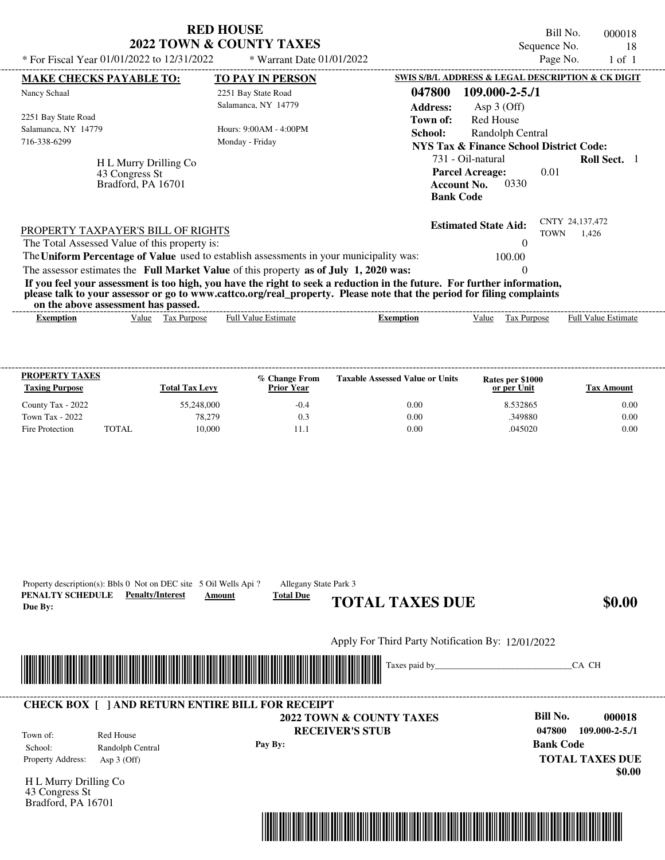| * For Fiscal Year 01/01/2022 to 12/31/2022                                          | <b>RED HOUSE</b><br>2022 TOWN & COUNTY TAXES<br>* Warrant Date 01/01/2022                                                                                                                                                                        |                           |                                                                                            | Bill No.<br>Sequence No.<br>Page No. |                            | 000018<br>18<br>$1$ of $1$ |
|-------------------------------------------------------------------------------------|--------------------------------------------------------------------------------------------------------------------------------------------------------------------------------------------------------------------------------------------------|---------------------------|--------------------------------------------------------------------------------------------|--------------------------------------|----------------------------|----------------------------|
| <b>MAKE CHECKS PAYABLE TO:</b>                                                      | <b>TO PAY IN PERSON</b>                                                                                                                                                                                                                          |                           | SWIS S/B/L ADDRESS & LEGAL DESCRIPTION & CK DIGIT                                          |                                      |                            |                            |
| Nancy Schaal                                                                        | 2251 Bay State Road<br>Salamanca, NY 14779                                                                                                                                                                                                       | 047800<br><b>Address:</b> | $109.000 - 2 - 5.71$<br>Asp $3$ (Off)                                                      |                                      |                            |                            |
| 2251 Bay State Road<br>Salamanca, NY 14779<br>716-338-6299                          | Hours: $9:00AM - 4:00PM$<br>Monday - Friday                                                                                                                                                                                                      | Town of:<br>School:       | <b>Red House</b><br>Randolph Central<br><b>NYS Tax &amp; Finance School District Code:</b> |                                      |                            |                            |
| H L Murry Drilling Co<br>43 Congress St<br>Bradford, PA 16701                       |                                                                                                                                                                                                                                                  | <b>Bank Code</b>          | 731 - Oil-natural<br><b>Parcel Acreage:</b><br>0330<br><b>Account No.</b>                  | 0.01                                 | <b>Roll Sect.</b> 1        |                            |
| PROPERTY TAXPAYER'S BILL OF RIGHTS<br>The Total Assessed Value of this property is: |                                                                                                                                                                                                                                                  |                           | <b>Estimated State Aid:</b><br>$\mathcal{O}$                                               | <b>TOWN</b>                          | CNTY 24,137,472<br>1.426   |                            |
|                                                                                     | The Uniform Percentage of Value used to establish assessments in your municipality was:                                                                                                                                                          |                           | 100.00                                                                                     |                                      |                            |                            |
|                                                                                     | The assessor estimates the Full Market Value of this property as of July 1, 2020 was:                                                                                                                                                            |                           |                                                                                            |                                      |                            |                            |
| on the above assessment has passed.                                                 | If you feel your assessment is too high, you have the right to seek a reduction in the future. For further information,<br>please talk to your assessor or go to www.cattco.org/real_property. Please note that the period for filing complaints |                           |                                                                                            |                                      |                            |                            |
| Value Tax Purpose<br><b>Exemption</b>                                               | <b>Full Value Estimate</b>                                                                                                                                                                                                                       | <b>Exemption</b>          | Value<br>Tax Purpose                                                                       |                                      | <b>Full Value Estimate</b> |                            |

| <b>PROPERTY TAXES</b><br><b>Taxing Purpose</b> |       | <b>Total Tax Levy</b> | % Change From<br><b>Prior Year</b> | <b>Taxable Assessed Value or Units</b> | Rates per \$1000<br>or per Unit | Tax Amount |
|------------------------------------------------|-------|-----------------------|------------------------------------|----------------------------------------|---------------------------------|------------|
| County Tax - 2022                              |       | 55,248,000            | $-0.4$                             | 0.00                                   | 8.532865                        | 0.00       |
| Town Tax - 2022                                |       | 78,279                | 0.3                                | 0.00                                   | .349880                         | 0.00       |
| Fire Protection                                | TOTAL | 10.000                |                                    | 0.00                                   | .045020                         | 0.00       |

| PENALTY SCHEDULE<br>Due By:                                   | Property description(s): Bbls 0 Not on DEC site 5 Oil Wells Api?<br><b>Penalty/Interest</b> | Allegany State Park 3<br><b>Total Due</b><br>Amount | <b>TOTAL TAXES DUE</b>                                        | \$0.00                                                                                                    |
|---------------------------------------------------------------|---------------------------------------------------------------------------------------------|-----------------------------------------------------|---------------------------------------------------------------|-----------------------------------------------------------------------------------------------------------|
|                                                               |                                                                                             |                                                     | Apply For Third Party Notification By: 12/01/2022             |                                                                                                           |
|                                                               |                                                                                             |                                                     | <b>IIIIIIIII</b>                                              | CA CH                                                                                                     |
|                                                               | <b>CHECK BOX [ ] AND RETURN ENTIRE BILL FOR RECEIPT</b>                                     |                                                     |                                                               |                                                                                                           |
| Town of:<br>School:<br>Property Address:                      | Red House<br>Randolph Central<br>Asp $3$ (Off)                                              | Pay By:                                             | <b>2022 TOWN &amp; COUNTY TAXES</b><br><b>RECEIVER'S STUB</b> | <b>Bill No.</b><br>000018<br>047800<br>$109.000 - 2 - 5.71$<br><b>Bank Code</b><br><b>TOTAL TAXES DUE</b> |
| H L Murry Drilling Co<br>43 Congress St<br>Bradford, PA 16701 |                                                                                             |                                                     |                                                               | \$0.00                                                                                                    |
|                                                               |                                                                                             |                                                     |                                                               |                                                                                                           |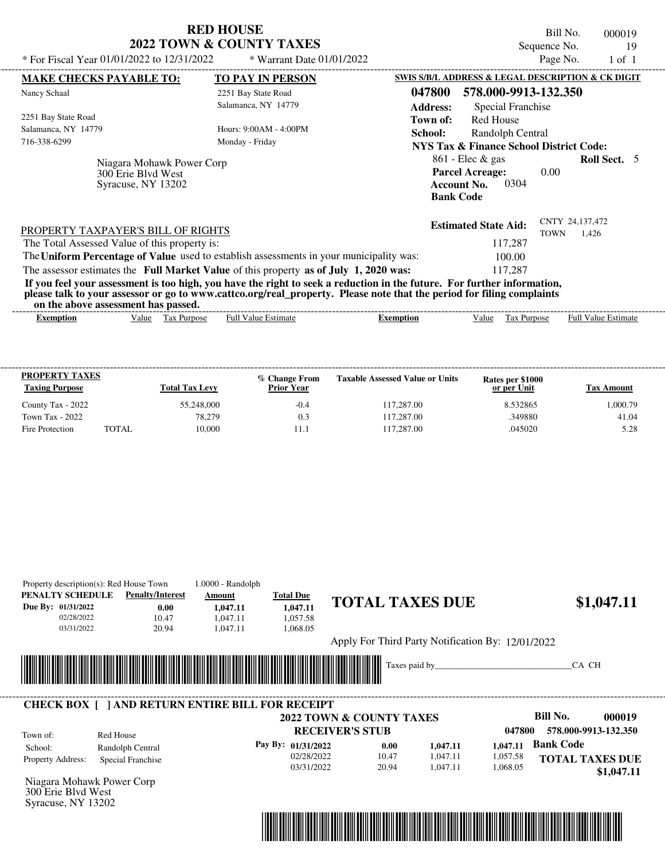| <b>RED HOUSE</b><br><b>2022 TOWN &amp; COUNTY TAXES</b><br>* For Fiscal Year 01/01/2022 to 12/31/2022<br>* Warrant Date 01/01/2022                                                                                                                                                                                                                                                                                                                                                                                          | Bill No.<br>000019<br>Sequence No.<br>19<br>Page No.<br>$1$ of $1$                                                                                                                                                                               |
|-----------------------------------------------------------------------------------------------------------------------------------------------------------------------------------------------------------------------------------------------------------------------------------------------------------------------------------------------------------------------------------------------------------------------------------------------------------------------------------------------------------------------------|--------------------------------------------------------------------------------------------------------------------------------------------------------------------------------------------------------------------------------------------------|
| <b>MAKE CHECKS PAYABLE TO:</b><br><b>TO PAY IN PERSON</b><br>Nancy Schaal<br>2251 Bay State Road<br>Salamanca, NY 14779<br>2251 Bay State Road<br>Salamanca, NY 14779<br>Hours: 9:00AM - 4:00PM<br>716-338-6299<br>Monday - Friday                                                                                                                                                                                                                                                                                          | SWIS S/B/L ADDRESS & LEGAL DESCRIPTION & CK DIGIT<br>578.000-9913-132.350<br>047800<br>Special Franchise<br><b>Address:</b><br><b>Red House</b><br>Town of:<br>School:<br>Randolph Central<br><b>NYS Tax &amp; Finance School District Code:</b> |
| Niagara Mohawk Power Corp<br>300 Erie Blyd West<br>Syracuse, NY 13202                                                                                                                                                                                                                                                                                                                                                                                                                                                       | $861$ - Elec & gas<br><b>Roll Sect.</b> 5<br><b>Parcel Acreage:</b><br>0.00<br>0304<br><b>Account No.</b><br><b>Bank Code</b>                                                                                                                    |
| PROPERTY TAXPAYER'S BILL OF RIGHTS<br>The Total Assessed Value of this property is:<br>The Uniform Percentage of Value used to establish assessments in your municipality was:<br>The assessor estimates the Full Market Value of this property as of July 1, 2020 was:<br>If you feel your assessment is too high, you have the right to seek a reduction in the future. For further information,<br>please talk to your assessor or go to www.cattco.org/real_property. Please note that the period for filing complaints | CNTY 24,137,472<br><b>Estimated State Aid:</b><br><b>TOWN</b><br>1.426<br>117,287<br>100.00<br>117.287                                                                                                                                           |

| Exemption | alue | rax<br><b>Purpose</b><br>$\sim$ $\sim$ | - Full <sup>V</sup><br>.stımate<br>alue | ixemption | Value | Purpos.<br>$^{\circ}$<br>l ax<br>$\sim$ $\sim$ | ________<br>Estimate<br>⊦ull<br>alue |
|-----------|------|----------------------------------------|-----------------------------------------|-----------|-------|------------------------------------------------|--------------------------------------|
|           |      |                                        |                                         |           |       |                                                |                                      |

| <b>PROPERTY TAXES</b><br><b>Taxing Purpose</b> |              | <b>Total Tax Levy</b> | % Change From<br><b>Prior Year</b> | <b>Taxable Assessed Value or Units</b> | Rates per \$1000<br>or per Unit | Tax Amount |
|------------------------------------------------|--------------|-----------------------|------------------------------------|----------------------------------------|---------------------------------|------------|
| County Tax - 2022                              |              | 55,248,000            | $-0.4$                             | 117,287.00                             | 8.532865                        | 1,000.79   |
| Town Tax - 2022                                |              | 78.279                | 0.3                                | 117.287.00                             | .349880                         | 41.04      |
| Fire Protection                                | <b>TOTAL</b> | 10.000                |                                    | 117.287.00                             | .045020                         | 5.28       |

|                           | Property description(s): Red House Town                 | 1.0000 - Randolph |                    |                                                   |          |          |                           |
|---------------------------|---------------------------------------------------------|-------------------|--------------------|---------------------------------------------------|----------|----------|---------------------------|
| PENALTY SCHEDULE          | <b>Penalty/Interest</b>                                 | Amount            | <b>Total Due</b>   |                                                   |          |          |                           |
| Due By: 01/31/2022        | 0.00                                                    | 1,047.11          | 1,047.11           | <b>TOTAL TAXES DUE</b>                            |          |          | \$1,047.11                |
| 02/28/2022                | 10.47                                                   | 1,047.11          | 1,057.58           |                                                   |          |          |                           |
| 03/31/2022                | 20.94                                                   | 1,047.11          | 1,068.05           |                                                   |          |          |                           |
|                           |                                                         |                   |                    | Apply For Third Party Notification By: 12/01/2022 |          |          |                           |
|                           |                                                         |                   |                    |                                                   |          |          | CA CH                     |
|                           |                                                         |                   |                    |                                                   |          |          |                           |
|                           |                                                         |                   |                    |                                                   |          |          |                           |
|                           | <b>CHECK BOX [ ] AND RETURN ENTIRE BILL FOR RECEIPT</b> |                   |                    |                                                   |          |          |                           |
|                           |                                                         |                   |                    | <b>2022 TOWN &amp; COUNTY TAXES</b>               |          |          | <b>Bill No.</b><br>000019 |
| Town of:                  | Red House                                               |                   |                    | <b>RECEIVER'S STUB</b>                            |          | 047800   | 578.000-9913-132.350      |
| School:                   | Randolph Central                                        |                   | Pay By: 01/31/2022 | 0.00                                              | 1,047.11 | 1,047.11 | <b>Bank Code</b>          |
| Property Address:         | Special Franchise                                       |                   | 02/28/2022         | 10.47                                             | 1,047.11 | 1,057.58 | <b>TOTAL TAXES DUE</b>    |
|                           |                                                         |                   | 03/31/2022         | 20.94                                             | 1,047.11 | 1,068.05 | \$1,047.11                |
| Niagara Mohawk Power Corp |                                                         |                   |                    |                                                   |          |          |                           |
| 300 Erie Blyd West        |                                                         |                   |                    |                                                   |          |          |                           |
| Syracuse, NY 13202        |                                                         |                   |                    |                                                   |          |          |                           |
|                           |                                                         |                   |                    |                                                   |          |          |                           |
|                           |                                                         |                   |                    |                                                   |          |          |                           |
|                           |                                                         |                   |                    |                                                   |          |          |                           |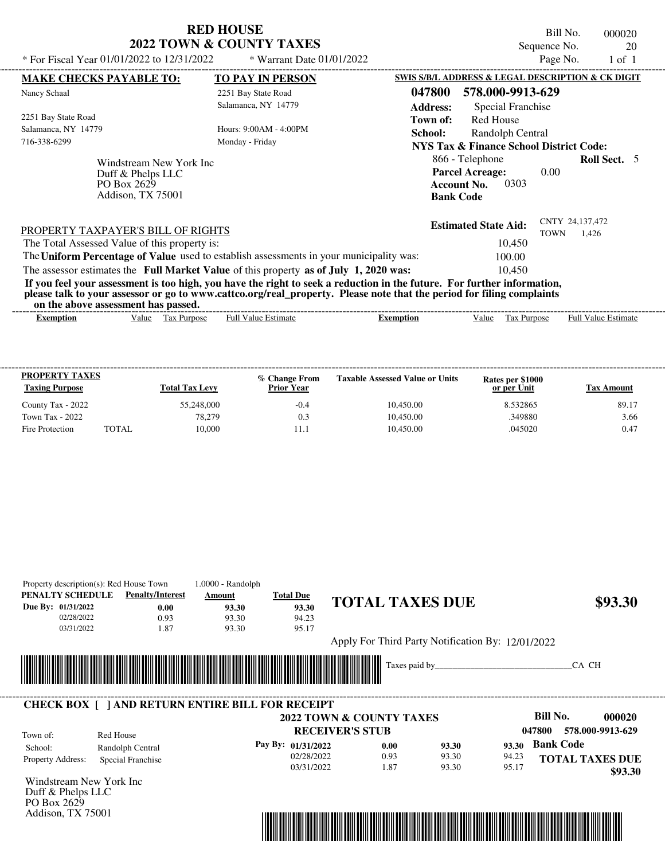Property description(s): Red House Town 1.0000 - Randolph

Addison, TX 75001

Bill No. 000020 Sequence No. 20 \* For Fiscal Year 01/01/2022 to 12/31/2022 \* Warrant Date 01/01/2022

| * For Fiscal Year 01/01/2022 to 12/31/2022                                                                                                                                                                                                                                              |                   | * Warrant Date 01/01/2022  |                  |                                                                                             | Page No.    | 1 of 1                     |  |
|-----------------------------------------------------------------------------------------------------------------------------------------------------------------------------------------------------------------------------------------------------------------------------------------|-------------------|----------------------------|------------------|---------------------------------------------------------------------------------------------|-------------|----------------------------|--|
| <b>MAKE CHECKS PAYABLE TO:</b>                                                                                                                                                                                                                                                          |                   | <b>TO PAY IN PERSON</b>    |                  | SWIS S/B/L ADDRESS & LEGAL DESCRIPTION & CK DIGIT                                           |             |                            |  |
| Nancy Schaal                                                                                                                                                                                                                                                                            |                   | 2251 Bay State Road        | 047800           | 578.000-9913-629                                                                            |             |                            |  |
|                                                                                                                                                                                                                                                                                         |                   | Salamanca, NY 14779        | <b>Address:</b>  | Special Franchise                                                                           |             |                            |  |
| 2251 Bay State Road                                                                                                                                                                                                                                                                     |                   |                            | Town of:         | Red House                                                                                   |             |                            |  |
| Salamanca, NY 14779                                                                                                                                                                                                                                                                     |                   | Hours: 9:00AM - 4:00PM     | School:          | Randolph Central                                                                            |             |                            |  |
| 716-338-6299                                                                                                                                                                                                                                                                            |                   | Monday - Friday            |                  | <b>NYS Tax &amp; Finance School District Code:</b>                                          |             |                            |  |
| Windstream New York Inc<br>Duff & Phelps LLC<br>PO Box 2629<br>Addison, TX 75001                                                                                                                                                                                                        |                   |                            |                  | 866 - Telephone<br><b>Parcel Acreage:</b><br>0303<br><b>Account No.</b><br><b>Bank Code</b> | 0.00        | <b>Roll Sect.</b> 5        |  |
| PROPERTY TAXPAYER'S BILL OF RIGHTS                                                                                                                                                                                                                                                      |                   |                            |                  | <b>Estimated State Aid:</b>                                                                 | <b>TOWN</b> | CNTY 24,137,472<br>1.426   |  |
| The Total Assessed Value of this property is:                                                                                                                                                                                                                                           |                   |                            |                  | 10.450                                                                                      |             |                            |  |
| The Uniform Percentage of Value used to establish assessments in your municipality was:                                                                                                                                                                                                 |                   |                            |                  | 100.00                                                                                      |             |                            |  |
| The assessor estimates the Full Market Value of this property as of July 1, 2020 was:                                                                                                                                                                                                   |                   |                            |                  | 10,450                                                                                      |             |                            |  |
| If you feel your assessment is too high, you have the right to seek a reduction in the future. For further information,<br>please talk to your assessor or go to www.cattco.org/real_property. Please note that the period for filing complaints<br>on the above assessment has passed. |                   |                            |                  |                                                                                             |             |                            |  |
| Exemption                                                                                                                                                                                                                                                                               | Value Tax Purpose | <b>Full Value Estimate</b> | <b>Exemption</b> | Value                                                                                       | Tax Purpose | <b>Full Value Estimate</b> |  |

| <b>PROPERTY TAXES</b><br><b>Taxing Purpose</b> |       | <b>Total Tax Levy</b> | % Change From<br><b>Prior Year</b> | <b>Taxable Assessed Value or Units</b> | Rates per \$1000<br>or per Unit | Tax Amount |
|------------------------------------------------|-------|-----------------------|------------------------------------|----------------------------------------|---------------------------------|------------|
| County Tax - 2022                              |       | 55,248,000            | $-0.4$                             | 10.450.00                              | 8.532865                        | 89.17      |
| Town Tax - 2022                                |       | 78.279                | 0.3                                | 10.450.00                              | 349880                          | 3.66       |
| Fire Protection                                | TOTAL | 10,000                |                                    | 10.450.00                              | .045020                         | 0.47       |

| PENALTY SCHEDULE        | <b>Penalty/Interest</b>                                 | Amount                                                        | <b>Total Due</b>   |                                                   |       |       |                  |                        |
|-------------------------|---------------------------------------------------------|---------------------------------------------------------------|--------------------|---------------------------------------------------|-------|-------|------------------|------------------------|
| Due By: 01/31/2022      | 0.00                                                    | 93.30                                                         | 93.30              | <b>TOTAL TAXES DUE</b>                            |       |       |                  | \$93.30                |
| 02/28/2022              | 0.93                                                    | 93.30                                                         | 94.23              |                                                   |       |       |                  |                        |
| 03/31/2022              | 1.87                                                    | 93.30                                                         | 95.17              |                                                   |       |       |                  |                        |
|                         |                                                         |                                                               |                    | Apply For Third Party Notification By: 12/01/2022 |       |       |                  |                        |
|                         |                                                         |                                                               |                    |                                                   |       |       |                  |                        |
|                         |                                                         | <u> 1989 - Andrea Stadt British, fransk politik (d. 1989)</u> |                    | Taxes paid by                                     |       |       | CA CH            |                        |
|                         |                                                         |                                                               |                    |                                                   |       |       |                  |                        |
|                         |                                                         |                                                               |                    |                                                   |       |       |                  |                        |
|                         | <b>CHECK BOX     AND RETURN ENTIRE BILL FOR RECEIPT</b> |                                                               |                    |                                                   |       |       |                  |                        |
|                         |                                                         |                                                               |                    | 2022 TOWN & COUNTY TAXES                          |       |       | Bill No.         | 000020                 |
| Town of:                | Red House                                               |                                                               |                    | <b>RECEIVER'S STUB</b>                            |       |       | 047800           | 578.000-9913-629       |
| School:                 | Randolph Central                                        |                                                               | Pay By: 01/31/2022 | 0.00                                              | 93.30 | 93.30 | <b>Bank Code</b> |                        |
| Property Address:       | Special Franchise                                       |                                                               | 02/28/2022         | 0.93                                              | 93.30 | 94.23 |                  | <b>TOTAL TAXES DUE</b> |
|                         |                                                         |                                                               | 03/31/2022         | 1.87                                              | 93.30 | 95.17 |                  | \$93.30                |
| Windstream New York Inc |                                                         |                                                               |                    |                                                   |       |       |                  |                        |
| Duff & Phelps LLC       |                                                         |                                                               |                    |                                                   |       |       |                  |                        |
| PO Box 2629             |                                                         |                                                               |                    |                                                   |       |       |                  |                        |

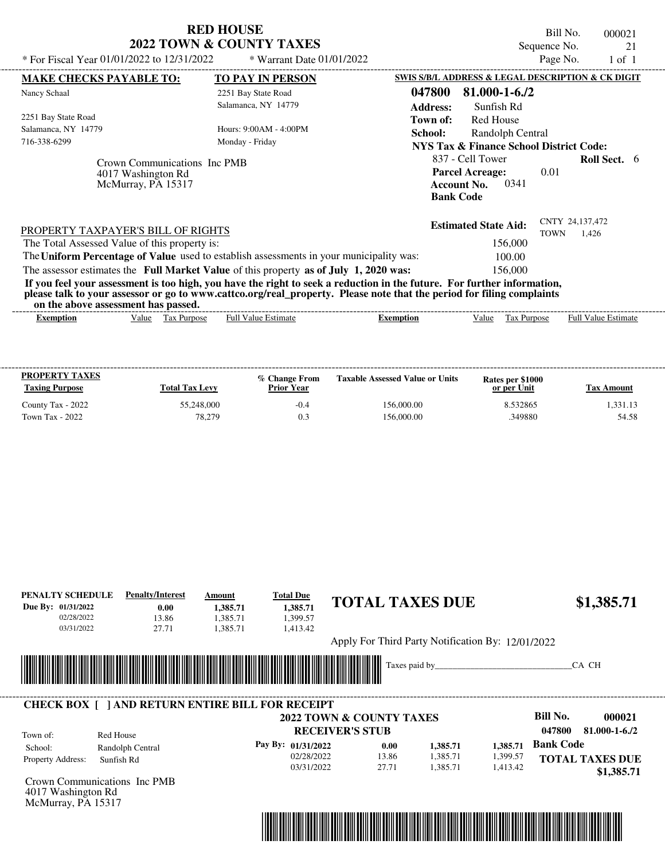|                                                                                                                                                                                                                                                                                         | <b>RED HOUSE</b><br><b>2022 TOWN &amp; COUNTY TAXES</b> |                  |                                                                   | Bill No.<br>Sequence No. | 000021                     | 21 |  |
|-----------------------------------------------------------------------------------------------------------------------------------------------------------------------------------------------------------------------------------------------------------------------------------------|---------------------------------------------------------|------------------|-------------------------------------------------------------------|--------------------------|----------------------------|----|--|
| * For Fiscal Year 01/01/2022 to 12/31/2022                                                                                                                                                                                                                                              | * Warrant Date 01/01/2022                               |                  |                                                                   | Page No.                 | $1$ of $1$                 |    |  |
| <b>MAKE CHECKS PAYABLE TO:</b>                                                                                                                                                                                                                                                          | <b>TO PAY IN PERSON</b>                                 |                  | SWIS S/B/L ADDRESS & LEGAL DESCRIPTION & CK DIGIT                 |                          |                            |    |  |
| Nancy Schaal                                                                                                                                                                                                                                                                            | 2251 Bay State Road                                     | 047800           | $81.000 - 1 - 6.72$                                               |                          |                            |    |  |
|                                                                                                                                                                                                                                                                                         | Salamanca, NY 14779                                     | <b>Address:</b>  | Sunfish Rd                                                        |                          |                            |    |  |
| 2251 Bay State Road                                                                                                                                                                                                                                                                     |                                                         | Town of:         | Red House                                                         |                          |                            |    |  |
| Salamanca, NY 14779                                                                                                                                                                                                                                                                     | Hours: 9:00 AM - 4:00 PM                                | School:          | Randolph Central                                                  |                          |                            |    |  |
| 716-338-6299                                                                                                                                                                                                                                                                            | Monday - Friday                                         |                  | NYS Tax & Finance School District Code:                           |                          |                            |    |  |
| Crown Communications Inc PMB<br>4017 Washington Rd<br>McMurray, PA 15317                                                                                                                                                                                                                |                                                         | <b>Bank Code</b> | 837 - Cell Tower<br><b>Parcel Acreage:</b><br>0341<br>Account No. | 0.01                     | <b>Roll Sect.</b> 6        |    |  |
| PROPERTY TAXPAYER'S BILL OF RIGHTS                                                                                                                                                                                                                                                      |                                                         |                  | <b>Estimated State Aid:</b>                                       | <b>TOWN</b>              | CNTY 24.137.472<br>1.426   |    |  |
| The Total Assessed Value of this property is:                                                                                                                                                                                                                                           |                                                         |                  | 156,000                                                           |                          |                            |    |  |
| The Uniform Percentage of Value used to establish assessments in your municipality was:                                                                                                                                                                                                 |                                                         |                  | 100.00                                                            |                          |                            |    |  |
| The assessor estimates the Full Market Value of this property as of July 1, 2020 was:                                                                                                                                                                                                   |                                                         |                  | 156,000                                                           |                          |                            |    |  |
| If you feel your assessment is too high, you have the right to seek a reduction in the future. For further information,<br>please talk to your assessor or go to www.cattco.org/real_property. Please note that the period for filing complaints<br>on the above assessment has passed. |                                                         |                  |                                                                   |                          |                            |    |  |
| Tax Purpose<br><b>Exemption</b><br>Value                                                                                                                                                                                                                                                | <b>Full Value Estimate</b>                              | Exemption        | Tax Purpose<br>Value                                              |                          | <b>Full Value Estimate</b> |    |  |

| <b>PROPERTY TAXES</b><br><b>Taxing Purpose</b> | <b>Total Tax Levy</b> | % Change From<br><b>Prior Year</b> | <b>Taxable Assessed Value or Units</b> | Rates per \$1000<br>or per Unit | Tax Amount |
|------------------------------------------------|-----------------------|------------------------------------|----------------------------------------|---------------------------------|------------|
| County Tax - 2022                              | 55,248,000            | $-0.4$                             | 156,000.00                             | 8.532865                        | 1.331.13   |
| Town Tax - 2022                                | 78.279                | 0.3                                | 156,000.00                             | .349880                         | 54.58      |

| PENALTY SCHEDULE<br>Due By: 01/31/2022<br>02/28/2022<br>03/31/2022 | <b>Penalty/Interest</b><br>0.00<br>13.86<br>27.71                    | Amount<br>1,385.71<br>1,385.71<br>1,385.71 | <b>Total Due</b><br>1,385.71<br>1,399.57<br>1,413.42 | <b>TOTAL TAXES DUE</b>                                        |                                  |                                  | \$1,385.71                                               |
|--------------------------------------------------------------------|----------------------------------------------------------------------|--------------------------------------------|------------------------------------------------------|---------------------------------------------------------------|----------------------------------|----------------------------------|----------------------------------------------------------|
|                                                                    |                                                                      |                                            |                                                      | Apply For Third Party Notification By: 12/01/2022             |                                  |                                  |                                                          |
|                                                                    |                                                                      |                                            |                                                      | <u> Hill</u>                                                  | Taxes paid by                    |                                  | CA CH                                                    |
| Town of:                                                           | <b>CHECK BOX [ ] AND RETURN ENTIRE BILL FOR RECEIPT</b><br>Red House |                                            |                                                      | <b>2022 TOWN &amp; COUNTY TAXES</b><br><b>RECEIVER'S STUB</b> |                                  |                                  | <b>Bill No.</b><br>000021<br>81.000-1-6./2<br>047800     |
| School:<br>Property Address:                                       | Randolph Central<br>Sunfish Rd                                       |                                            | Pay By: 01/31/2022<br>02/28/2022<br>03/31/2022       | 0.00<br>13.86<br>27.71                                        | 1,385.71<br>1,385.71<br>1,385.71 | 1,385.71<br>1,399.57<br>1,413.42 | <b>Bank Code</b><br><b>TOTAL TAXES DUE</b><br>\$1,385.71 |
| 4017 Washington Rd<br>McMurray, PA 15317                           | Crown Communications Inc PMB                                         |                                            |                                                      |                                                               |                                  |                                  |                                                          |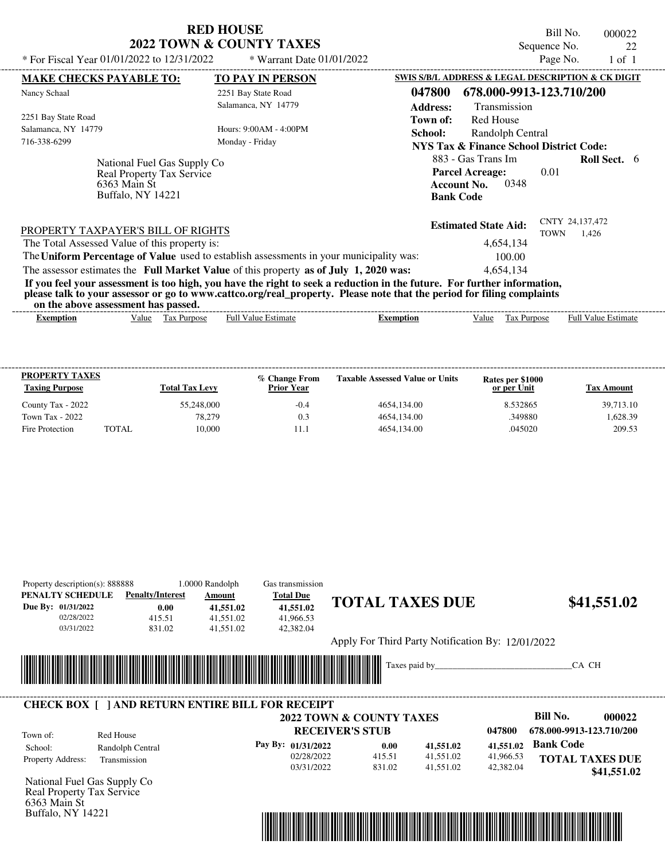| <b>RED HOUSE</b>                    |
|-------------------------------------|
| <b>2022 TOWN &amp; COUNTY TAXES</b> |

Bill No. 000022 Sequence No. 22<br>Page No. 1 of 1

| SWIS S/B/L ADDRESS & LEGAL DESCRIPTION & CK DIGIT<br><b>MAKE CHECKS PAYABLE TO:</b><br><b>TO PAY IN PERSON</b><br>047800<br>678.000-9913-123.710/200<br>Nancy Schaal<br>2251 Bay State Road<br>Salamanca, NY 14779<br><b>Address:</b><br>Transmission<br>2251 Bay State Road<br><b>Red House</b><br>Town of:<br>Salamanca, NY 14779<br>Hours: 9:00 AM - 4:00 PM<br>School:<br>Randolph Central<br>716-338-6299<br>Monday - Friday<br><b>NYS Tax &amp; Finance School District Code:</b><br>883 - Gas Trans Im<br>National Fuel Gas Supply Co<br><b>Parcel Acreage:</b><br>Real Property Tax Service<br>0348<br>6363 Main St<br><b>Account No.</b><br>Buffalo, NY 14221<br><b>Bank Code</b> | 0.01        | <b>Roll Sect.</b> 6        |  |
|--------------------------------------------------------------------------------------------------------------------------------------------------------------------------------------------------------------------------------------------------------------------------------------------------------------------------------------------------------------------------------------------------------------------------------------------------------------------------------------------------------------------------------------------------------------------------------------------------------------------------------------------------------------------------------------------|-------------|----------------------------|--|
|                                                                                                                                                                                                                                                                                                                                                                                                                                                                                                                                                                                                                                                                                            |             |                            |  |
|                                                                                                                                                                                                                                                                                                                                                                                                                                                                                                                                                                                                                                                                                            |             |                            |  |
|                                                                                                                                                                                                                                                                                                                                                                                                                                                                                                                                                                                                                                                                                            |             |                            |  |
|                                                                                                                                                                                                                                                                                                                                                                                                                                                                                                                                                                                                                                                                                            |             |                            |  |
|                                                                                                                                                                                                                                                                                                                                                                                                                                                                                                                                                                                                                                                                                            |             |                            |  |
|                                                                                                                                                                                                                                                                                                                                                                                                                                                                                                                                                                                                                                                                                            |             |                            |  |
|                                                                                                                                                                                                                                                                                                                                                                                                                                                                                                                                                                                                                                                                                            |             |                            |  |
|                                                                                                                                                                                                                                                                                                                                                                                                                                                                                                                                                                                                                                                                                            |             |                            |  |
|                                                                                                                                                                                                                                                                                                                                                                                                                                                                                                                                                                                                                                                                                            |             |                            |  |
|                                                                                                                                                                                                                                                                                                                                                                                                                                                                                                                                                                                                                                                                                            |             |                            |  |
|                                                                                                                                                                                                                                                                                                                                                                                                                                                                                                                                                                                                                                                                                            |             |                            |  |
| <b>Estimated State Aid:</b><br>PROPERTY TAXPAYER'S BILL OF RIGHTS                                                                                                                                                                                                                                                                                                                                                                                                                                                                                                                                                                                                                          |             | CNTY 24,137,472            |  |
| The Total Assessed Value of this property is:<br>4,654,134                                                                                                                                                                                                                                                                                                                                                                                                                                                                                                                                                                                                                                 | <b>TOWN</b> | 1.426                      |  |
| The Uniform Percentage of Value used to establish assessments in your municipality was:<br>100.00                                                                                                                                                                                                                                                                                                                                                                                                                                                                                                                                                                                          |             |                            |  |
| The assessor estimates the Full Market Value of this property as of July 1, 2020 was:<br>4,654,134                                                                                                                                                                                                                                                                                                                                                                                                                                                                                                                                                                                         |             |                            |  |
|                                                                                                                                                                                                                                                                                                                                                                                                                                                                                                                                                                                                                                                                                            |             |                            |  |
| If you feel your assessment is too high, you have the right to seek a reduction in the future. For further information,<br>please talk to your assessor or go to www.cattco.org/real_property. Please note that the period for filing complaints                                                                                                                                                                                                                                                                                                                                                                                                                                           |             |                            |  |
| on the above assessment has passed.                                                                                                                                                                                                                                                                                                                                                                                                                                                                                                                                                                                                                                                        |             |                            |  |
| <b>Full Value Estimate</b><br>Tax Purpose<br><b>Exemption</b><br>Value<br><b>Exemption</b><br>Value                                                                                                                                                                                                                                                                                                                                                                                                                                                                                                                                                                                        | Tax Purpose | <b>Full Value Estimate</b> |  |
|                                                                                                                                                                                                                                                                                                                                                                                                                                                                                                                                                                                                                                                                                            |             |                            |  |
|                                                                                                                                                                                                                                                                                                                                                                                                                                                                                                                                                                                                                                                                                            |             |                            |  |

| <b>PROPERTY TAXES</b><br><b>Taxing Purpose</b> |       | <b>Total Tax Levy</b> | % Change From<br><b>Prior Year</b> | <b>Taxable Assessed Value or Units</b> | Rates per \$1000<br>or per Unit | Tax Amount |
|------------------------------------------------|-------|-----------------------|------------------------------------|----------------------------------------|---------------------------------|------------|
| County Tax - 2022                              |       | 55,248,000            | $-0.4$                             | 4654.134.00                            | 8.532865                        | 39.713.10  |
| Town Tax - 2022                                |       | 78,279                | 0.3                                | 4654.134.00                            | .349880                         | 1.628.39   |
| Fire Protection                                | TOTAL | 10.000                |                                    | 4654.134.00                            | .045020                         | 209.53     |

| Property description(s): 888888<br>PENALTY SCHEDULE | <b>Penalty/Interest</b> | 1.0000 Randolph<br>Amount                               | Gas transmission<br><b>Total Due</b> |                                                   |                |           |                          |
|-----------------------------------------------------|-------------------------|---------------------------------------------------------|--------------------------------------|---------------------------------------------------|----------------|-----------|--------------------------|
| Due By: 01/31/2022                                  | 0.00                    | 41,551.02                                               | 41,551.02                            | <b>TOTAL TAXES DUE</b>                            |                |           | \$41,551.02              |
| 02/28/2022                                          | 415.51                  | 41,551.02                                               | 41,966.53                            |                                                   |                |           |                          |
| 03/31/2022                                          | 831.02                  | 41,551.02                                               | 42,382.04                            |                                                   |                |           |                          |
|                                                     |                         |                                                         |                                      | Apply For Third Party Notification By: 12/01/2022 |                |           |                          |
|                                                     |                         |                                                         |                                      |                                                   | Taxes paid by_ |           | CA CH                    |
|                                                     |                         |                                                         |                                      |                                                   |                |           |                          |
|                                                     |                         |                                                         |                                      |                                                   |                |           |                          |
|                                                     |                         | <b>CHECK BOX [ ] AND RETURN ENTIRE BILL FOR RECEIPT</b> |                                      |                                                   |                |           |                          |
|                                                     |                         |                                                         |                                      | 2022 TOWN & COUNTY TAXES                          |                |           | Bill No.<br>000022       |
| Town of:                                            | Red House               |                                                         |                                      | <b>RECEIVER'S STUB</b>                            |                | 047800    | 678.000-9913-123.710/200 |
| School:                                             | Randolph Central        |                                                         | Pay By: 01/31/2022                   | 0.00                                              | 41,551.02      | 41,551.02 | <b>Bank Code</b>         |
| Property Address:                                   | Transmission            |                                                         | 02/28/2022                           | 415.51                                            | 41,551.02      | 41,966.53 | <b>TOTAL TAXES DUE</b>   |
|                                                     |                         |                                                         | 03/31/2022                           | 831.02                                            | 41,551.02      | 42,382.04 | \$41,551.02              |
| National Fuel Gas Supply Co                         |                         |                                                         |                                      |                                                   |                |           |                          |
| Real Property Tax Service<br>6363 Main St           |                         |                                                         |                                      |                                                   |                |           |                          |
| <b>Buffalo, NY 14221</b>                            |                         |                                                         |                                      |                                                   |                |           |                          |
|                                                     |                         |                                                         |                                      |                                                   |                |           |                          |
|                                                     |                         |                                                         |                                      |                                                   |                |           |                          |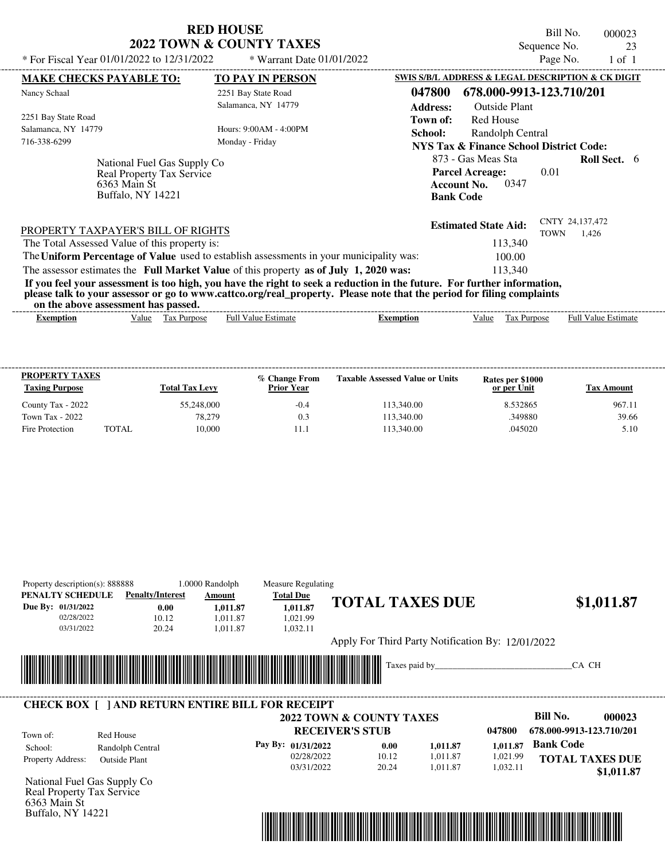| <b>RED HOUSE</b>                    |
|-------------------------------------|
| <b>2022 TOWN &amp; COUNTY TAXES</b> |

Bill No. 000023 Sequence No. 23

| * For Fiscal Year 01/01/2022 to 12/31/2022                                              | * Warrant Date 01/01/2022                                                                                               |                  |                                                    | Page No.    | $1$ of $1$                 |  |
|-----------------------------------------------------------------------------------------|-------------------------------------------------------------------------------------------------------------------------|------------------|----------------------------------------------------|-------------|----------------------------|--|
| <b>MAKE CHECKS PAYABLE TO:</b>                                                          | <b>TO PAY IN PERSON</b>                                                                                                 |                  | SWIS S/B/L ADDRESS & LEGAL DESCRIPTION & CK DIGIT  |             |                            |  |
| Nancy Schaal                                                                            | 2251 Bay State Road                                                                                                     | 047800           | 678.000-9913-123.710/201                           |             |                            |  |
|                                                                                         | Salamanca, NY 14779                                                                                                     | <b>Address:</b>  | <b>Outside Plant</b>                               |             |                            |  |
| 2251 Bay State Road                                                                     |                                                                                                                         | Town of:         | <b>Red House</b>                                   |             |                            |  |
| Salamanca, NY 14779                                                                     | Hours: 9:00 AM - 4:00 PM                                                                                                | School:          | Randolph Central                                   |             |                            |  |
| 716-338-6299                                                                            | Monday - Friday                                                                                                         |                  | <b>NYS Tax &amp; Finance School District Code:</b> |             |                            |  |
| National Fuel Gas Supply Co                                                             |                                                                                                                         |                  | 873 - Gas Meas Sta                                 |             | <b>Roll Sect.</b> 6        |  |
| Real Property Tax Service                                                               |                                                                                                                         |                  | <b>Parcel Acreage:</b>                             | 0.01        |                            |  |
| 6363 Main St                                                                            |                                                                                                                         |                  | 0347<br><b>Account No.</b>                         |             |                            |  |
| <b>Buffalo, NY 14221</b>                                                                |                                                                                                                         |                  | <b>Bank Code</b>                                   |             |                            |  |
|                                                                                         |                                                                                                                         |                  |                                                    |             |                            |  |
| PROPERTY TAXPAYER'S BILL OF RIGHTS                                                      |                                                                                                                         |                  | <b>Estimated State Aid:</b>                        |             | CNTY 24,137,472            |  |
| The Total Assessed Value of this property is:                                           |                                                                                                                         |                  | 113,340                                            | <b>TOWN</b> | 1.426                      |  |
| The Uniform Percentage of Value used to establish assessments in your municipality was: |                                                                                                                         |                  | 100.00                                             |             |                            |  |
| The assessor estimates the Full Market Value of this property as of July 1, 2020 was:   |                                                                                                                         |                  | 113.340                                            |             |                            |  |
|                                                                                         | If you feel your assessment is too high, you have the right to seek a reduction in the future. For further information, |                  |                                                    |             |                            |  |
|                                                                                         | please talk to your assessor or go to www.cattco.org/real_property. Please note that the period for filing complaints   |                  |                                                    |             |                            |  |
| on the above assessment has passed.                                                     |                                                                                                                         |                  |                                                    |             |                            |  |
| Tax Purpose<br><b>Exemption</b><br>Value                                                | <b>Full Value Estimate</b>                                                                                              | <b>Exemption</b> | Tax Purpose<br>Value                               |             | <b>Full Value Estimate</b> |  |
|                                                                                         |                                                                                                                         |                  |                                                    |             |                            |  |
|                                                                                         |                                                                                                                         |                  |                                                    |             |                            |  |

| <b>PROPERTY TAXES</b><br><b>Taxing Purpose</b> |       | <b>Total Tax Levy</b> | % Change From<br><b>Prior Year</b> | <b>Taxable Assessed Value or Units</b> | Rates per \$1000<br>or per Unit | Tax Amount |
|------------------------------------------------|-------|-----------------------|------------------------------------|----------------------------------------|---------------------------------|------------|
| County Tax - 2022                              |       | 55,248,000            | $-0.4$                             | 113,340.00                             | 8.532865                        | 967.11     |
| Town Tax - 2022                                |       | 78.279                | 0.3                                | 113,340.00                             | .349880                         | 39.66      |
| Fire Protection                                | TOTAL | 10.000                |                                    | 113,340.00                             | .045020                         | 5.10       |

| Property description(s): 888888           |                      |                         | 1.0000 Randolph                                         | Measure Regulating |                                                   |               |          |                          |
|-------------------------------------------|----------------------|-------------------------|---------------------------------------------------------|--------------------|---------------------------------------------------|---------------|----------|--------------------------|
| PENALTY SCHEDULE                          |                      | <b>Penalty/Interest</b> | Amount                                                  | <b>Total Due</b>   |                                                   |               |          |                          |
| Due By: 01/31/2022                        |                      | 0.00                    | 1,011.87                                                | 1,011.87           | <b>TOTAL TAXES DUE</b>                            |               |          | \$1,011.87               |
| 02/28/2022                                |                      | 10.12                   | 1,011.87                                                | 1,021.99           |                                                   |               |          |                          |
| 03/31/2022                                |                      | 20.24                   | 1,011.87                                                | 1,032.11           |                                                   |               |          |                          |
|                                           |                      |                         |                                                         |                    | Apply For Third Party Notification By: 12/01/2022 |               |          |                          |
|                                           |                      |                         |                                                         |                    |                                                   |               |          |                          |
|                                           |                      |                         | <u> 1989 - Johann Stoff, Amerikaansk politiker (</u>    |                    | <u> Hillingan ka</u>                              | Taxes paid by |          | CA CH                    |
|                                           |                      |                         |                                                         |                    |                                                   |               |          |                          |
|                                           |                      |                         |                                                         |                    |                                                   |               |          |                          |
|                                           |                      |                         |                                                         |                    |                                                   |               |          |                          |
|                                           |                      |                         |                                                         |                    |                                                   |               |          |                          |
|                                           |                      |                         | <b>CHECK BOX [ ] AND RETURN ENTIRE BILL FOR RECEIPT</b> |                    |                                                   |               |          | Bill No.                 |
|                                           |                      |                         |                                                         |                    | 2022 TOWN & COUNTY TAXES                          |               |          | 000023                   |
|                                           | Red House            |                         |                                                         |                    | <b>RECEIVER'S STUB</b>                            |               | 047800   | 678.000-9913-123.710/201 |
| Town of:<br>School:                       | Randolph Central     |                         |                                                         | Pay By: 01/31/2022 | 0.00                                              | 1,011.87      | 1.011.87 | <b>Bank Code</b>         |
|                                           |                      |                         |                                                         | 02/28/2022         | 10.12                                             | 1,011.87      | 1,021.99 |                          |
| Property Address:                         | <b>Outside Plant</b> |                         |                                                         | 03/31/2022         | 20.24                                             | 1,011.87      | 1,032.11 | <b>TOTAL TAXES DUE</b>   |
|                                           |                      |                         |                                                         |                    |                                                   |               |          | \$1,011.87               |
| National Fuel Gas Supply Co               |                      |                         |                                                         |                    |                                                   |               |          |                          |
| Real Property Tax Service<br>6363 Main St |                      |                         |                                                         |                    |                                                   |               |          |                          |

Buffalo, NY 14221

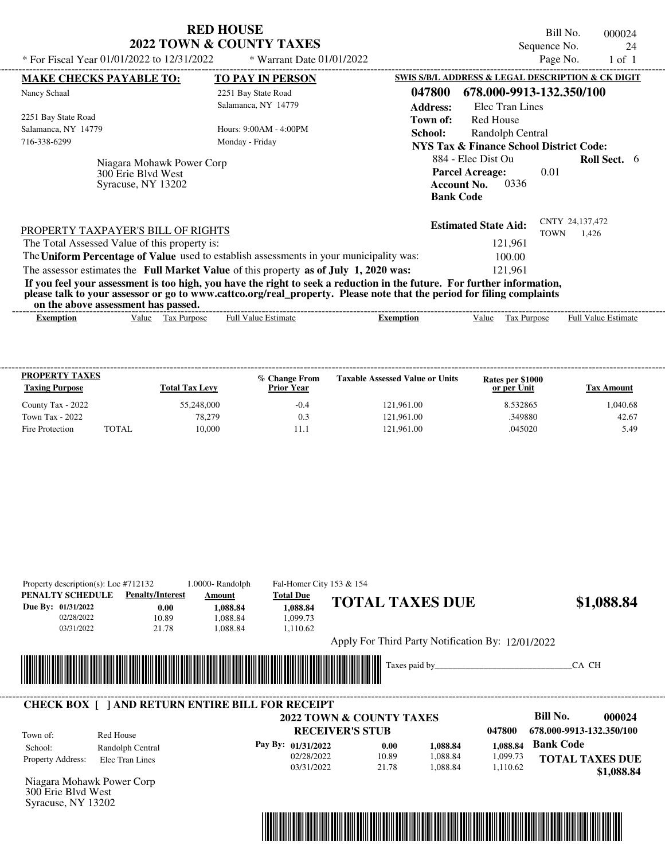|                                                                                     | <b>RED HOUSE</b><br><b>2022 TOWN &amp; COUNTY TAXES</b>                                 | Bill No.<br>000024<br>Sequence No.<br>24                                                                                                                                                                                                                    |
|-------------------------------------------------------------------------------------|-----------------------------------------------------------------------------------------|-------------------------------------------------------------------------------------------------------------------------------------------------------------------------------------------------------------------------------------------------------------|
| * For Fiscal Year 01/01/2022 to $12/31/2022$                                        | * Warrant Date $01/01/2022$                                                             | Page No.<br>$1$ of $1$                                                                                                                                                                                                                                      |
| <b>MAKE CHECKS PAYABLE TO:</b>                                                      | <b>TO PAY IN PERSON</b>                                                                 | SWIS S/B/L ADDRESS & LEGAL DESCRIPTION & CK DIGIT                                                                                                                                                                                                           |
| Nancy Schaal                                                                        | 2251 Bay State Road<br>Salamanca, NY 14779                                              | 678.000-9913-132.350/100<br>047800<br><b>Address:</b><br>Elec Tran Lines                                                                                                                                                                                    |
| 2251 Bay State Road<br>Salamanca, NY 14779<br>716-338-6299                          | Hours: $9:00AM - 4:00PM$<br>Monday - Friday                                             | Red House<br>Town of:<br>School:<br>Randolph Central<br><b>NYS Tax &amp; Finance School District Code:</b>                                                                                                                                                  |
| Niagara Mohawk Power Corp<br>300 Erie Blyd West<br>Syracuse, NY 13202               |                                                                                         | 884 - Elec Dist Ou<br><b>Roll Sect.</b> 6<br><b>Parcel Acreage:</b><br>0.01<br>0336<br><b>Account No.</b><br><b>Bank Code</b>                                                                                                                               |
| PROPERTY TAXPAYER'S BILL OF RIGHTS<br>The Total Assessed Value of this property is: |                                                                                         | CNTY 24,137,472<br><b>Estimated State Aid:</b><br><b>TOWN</b><br>1,426<br>121,961                                                                                                                                                                           |
|                                                                                     | The Uniform Percentage of Value used to establish assessments in your municipality was: | 100.00                                                                                                                                                                                                                                                      |
|                                                                                     | The assessor estimates the Full Market Value of this property as of July 1, 2020 was:   | 121.961<br>If you feel your assessment is too high, you have the right to seek a reduction in the future. For further information,<br>please talk to your assessor or go to www.cattco.org/real_property. Please note that the period for filing complaints |

**on the above assessment has passed.**

| on the above assessment nas basseur                                                                                        |                                              |
|----------------------------------------------------------------------------------------------------------------------------|----------------------------------------------|
| - Full <sup>V</sup><br>alue<br>Value<br><b>Estimate</b><br>Purnose<br>tax<br>Ful<br><b>Purpose</b><br>emption<br>Exemption | $\overline{\phantom{a}}$<br>Estimate<br>alu⁄ |

| <b>PROPERTY TAXES</b><br><b>Taxing Purpose</b> |              | <b>Total Tax Levy</b> | % Change From<br><b>Prior Year</b> | <b>Taxable Assessed Value or Units</b> | Rates per \$1000<br>or per Unit | Tax Amount |
|------------------------------------------------|--------------|-----------------------|------------------------------------|----------------------------------------|---------------------------------|------------|
| County Tax - 2022                              |              | 55,248,000            | $-0.4$                             | 121.961.00                             | 8.532865                        | 1.040.68   |
| Town Tax - 2022                                |              | 78.279                | 0.3                                | 121.961.00                             | .349880                         | 42.67      |
| Fire Protection                                | <b>TOTAL</b> | 10.000                |                                    | 121,961.00                             | .045020                         | 5.49       |

| PENALTY SCHEDULE<br>Due By: 01/31/2022<br>02/28/2022<br>03/31/2022 | <b>Penalty/Interest</b><br>0.00<br>10.89<br>21.78       | Amount<br>1,088.84<br>1,088.84<br>1,088.84 | <b>Total Due</b><br>1,088.84<br>1,099.73<br>1,110.62 | <b>TOTAL TAXES DUE</b>                            |        | \$1,088.84                  |
|--------------------------------------------------------------------|---------------------------------------------------------|--------------------------------------------|------------------------------------------------------|---------------------------------------------------|--------|-----------------------------|
|                                                                    |                                                         |                                            |                                                      | Apply For Third Party Notification By: 12/01/2022 |        |                             |
|                                                                    |                                                         |                                            |                                                      |                                                   |        |                             |
|                                                                    | <b>CHECK BOX [ ] AND RETURN ENTIRE BILL FOR RECEIPT</b> | <u> Tanzania (h. 1888).</u>                |                                                      | Taxes paid by_                                    |        | CA CH<br>Bill No.<br>000024 |
| Town of:                                                           | Red House                                               |                                            | <b>RECEIVER'S STUB</b>                               | 2022 TOWN & COUNTY TAXES                          | 047800 | 678.000-9913-132.350/100    |



Syracuse, NY 13202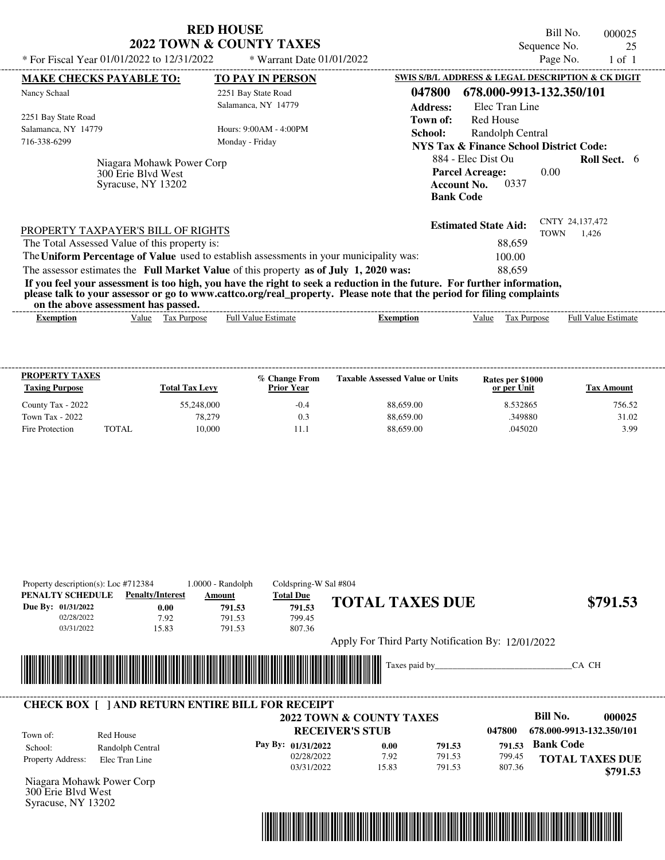| * For Fiscal Year 01/01/2022 to 12/31/2022                                          | <b>RED HOUSE</b><br>2022 TOWN & COUNTY TAXES<br>* Warrant Date 01/01/2022               | Bill No.<br>000025<br>Sequence No.<br>25<br>Page No.<br>$1$ of $1$                                                                                                                                                                               |
|-------------------------------------------------------------------------------------|-----------------------------------------------------------------------------------------|--------------------------------------------------------------------------------------------------------------------------------------------------------------------------------------------------------------------------------------------------|
| <b>MAKE CHECKS PAYABLE TO:</b>                                                      | <b>TO PAY IN PERSON</b>                                                                 | SWIS S/B/L ADDRESS & LEGAL DESCRIPTION & CK DIGIT                                                                                                                                                                                                |
| Nancy Schaal                                                                        | 2251 Bay State Road                                                                     | 678.000-9913-132.350/101<br>047800                                                                                                                                                                                                               |
|                                                                                     | Salamanca, NY 14779                                                                     | <b>Address:</b><br>Elec Tran Line                                                                                                                                                                                                                |
| 2251 Bay State Road                                                                 |                                                                                         | Red House<br>Town of:                                                                                                                                                                                                                            |
| Salamanca, NY 14779                                                                 | Hours: 9:00 AM - 4:00 PM                                                                | School:<br>Randolph Central                                                                                                                                                                                                                      |
| 716-338-6299                                                                        | Monday - Friday                                                                         | <b>NYS Tax &amp; Finance School District Code:</b>                                                                                                                                                                                               |
| Niagara Mohawk Power Corp<br>300 Erie Blvd West<br>Syracuse, NY 13202               |                                                                                         | 884 - Elec Dist Ou<br><b>Roll Sect.</b> 6<br><b>Parcel Acreage:</b><br>0.00<br>0337<br><b>Account No.</b><br><b>Bank Code</b>                                                                                                                    |
| PROPERTY TAXPAYER'S BILL OF RIGHTS<br>The Total Assessed Value of this property is: |                                                                                         | CNTY 24,137,472<br><b>Estimated State Aid:</b><br>TOWN<br>1,426<br>88,659                                                                                                                                                                        |
|                                                                                     | The Uniform Percentage of Value used to establish assessments in your municipality was: | 100.00                                                                                                                                                                                                                                           |
|                                                                                     | The assessor estimates the Full Market Value of this property as of July 1, 2020 was:   | 88.659                                                                                                                                                                                                                                           |
| on the above assessment has passed.                                                 |                                                                                         | If you feel your assessment is too high, you have the right to seek a reduction in the future. For further information,<br>please talk to your assessor or go to www.cattco.org/real_property. Please note that the period for filing complaints |

| on the above assessment nas basseur |       |                             |                  |         |      |                                  |                                        |  |
|-------------------------------------|-------|-----------------------------|------------------|---------|------|----------------------------------|----------------------------------------|--|
| Exemption                           | Value | lax<br><b>Purpose</b><br>__ | Estimate<br>Full | emption | alue | $\sim$<br><b>Purpose</b><br>. uz | - Full <sup>V</sup><br>Estimate<br>alu |  |
|                                     |       |                             |                  |         |      |                                  |                                        |  |

| <b>PROPERTY TAXES</b><br><b>Taxing Purpose</b> |       | <b>Total Tax Levy</b> | % Change From<br><b>Prior Year</b> | <b>Taxable Assessed Value or Units</b> | Rates per \$1000<br>or per Unit | Tax Amount |
|------------------------------------------------|-------|-----------------------|------------------------------------|----------------------------------------|---------------------------------|------------|
| County Tax - 2022                              |       | 55,248,000            | $-0.4$                             | 88,659.00                              | 8.532865                        | 756.52     |
| Town Tax - 2022                                |       | 78.279                | 0.3                                | 88,659.00                              | .349880                         | 31.02      |
| Fire Protection                                | TOTAL | 10.000                |                                    | 88,659.00                              | .045020                         | 3.99       |

| Property description(s): Loc $#712384$<br>PENALTY SCHEDULE<br>Due By: 01/31/2022<br>02/28/2022<br>03/31/2022 | <b>Penalty/Interest</b><br>0.00<br>7.92<br>15.83 | $1.0000 - Random$<br>Amount<br>791.53<br>791.53<br>791.53                                                       | Coldspring-W Sal #804<br><b>Total Due</b><br>791.53<br>799.45<br>807.36 |                        | <b>TOTAL TAXES DUE</b><br>Apply For Third Party Notification By: 12/01/2022 |                            |                            |                          | \$791.53                           |
|--------------------------------------------------------------------------------------------------------------|--------------------------------------------------|-----------------------------------------------------------------------------------------------------------------|-------------------------------------------------------------------------|------------------------|-----------------------------------------------------------------------------|----------------------------|----------------------------|--------------------------|------------------------------------|
|                                                                                                              |                                                  | <u> 1989 - Johann Stoff, Amerikaansk politiker (</u><br><b>CHECK BOX [ ] AND RETURN ENTIRE BILL FOR RECEIPT</b> | 2022 TOWN & COUNTY TAXES                                                |                        |                                                                             |                            |                            | CA CH<br>Bill No.        | 000025                             |
| Town of:                                                                                                     | Red House                                        |                                                                                                                 |                                                                         | <b>RECEIVER'S STUB</b> |                                                                             |                            | 047800                     | 678.000-9913-132.350/101 |                                    |
| School:<br>Property Address:<br>Niagara Mohawk Power Corp<br>300 Erie Blyd West                              | Randolph Central<br>Elec Tran Line               |                                                                                                                 | Pay By: 01/31/2022<br>02/28/2022<br>03/31/2022                          | 0.00<br>7.92<br>15.83  |                                                                             | 791.53<br>791.53<br>791.53 | 791.53<br>799.45<br>807.36 | <b>Bank Code</b>         | <b>TOTAL TAXES DUE</b><br>\$791.53 |

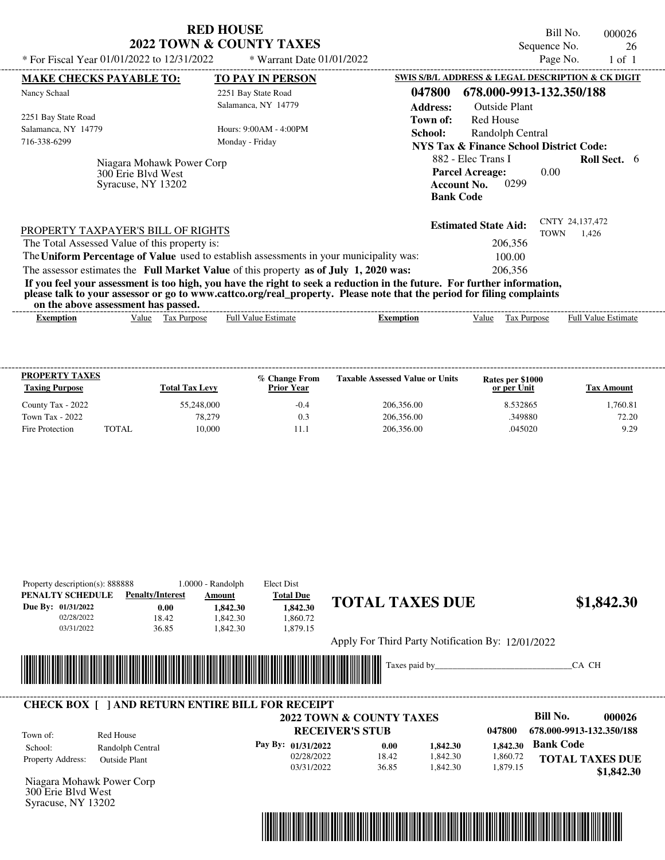|                                                                                                                                                                                                                                                                                         | <b>RED HOUSE</b>                    |                                                                                                | Bill No.                       | 000026                     |
|-----------------------------------------------------------------------------------------------------------------------------------------------------------------------------------------------------------------------------------------------------------------------------------------|-------------------------------------|------------------------------------------------------------------------------------------------|--------------------------------|----------------------------|
|                                                                                                                                                                                                                                                                                         | <b>2022 TOWN &amp; COUNTY TAXES</b> |                                                                                                | Sequence No.                   | 26                         |
| * For Fiscal Year 01/01/2022 to 12/31/2022                                                                                                                                                                                                                                              | * Warrant Date 01/01/2022           |                                                                                                | Page No.                       | $1$ of $1$                 |
| <b>MAKE CHECKS PAYABLE TO:</b>                                                                                                                                                                                                                                                          | <b>TO PAY IN PERSON</b>             | SWIS S/B/L ADDRESS & LEGAL DESCRIPTION & CK DIGIT                                              |                                |                            |
| Nancy Schaal                                                                                                                                                                                                                                                                            | 2251 Bay State Road                 | 047800<br>678.000-9913-132.350/188                                                             |                                |                            |
|                                                                                                                                                                                                                                                                                         | Salamanca, NY 14779                 | <b>Outside Plant</b><br><b>Address:</b>                                                        |                                |                            |
| 2251 Bay State Road                                                                                                                                                                                                                                                                     |                                     | <b>Red House</b><br>Town of:                                                                   |                                |                            |
| Salamanca, NY 14779                                                                                                                                                                                                                                                                     | Hours: 9:00AM - 4:00PM              | Randolph Central<br>School:                                                                    |                                |                            |
| 716-338-6299                                                                                                                                                                                                                                                                            | Monday - Friday                     | <b>NYS Tax &amp; Finance School District Code:</b>                                             |                                |                            |
| Niagara Mohawk Power Corp<br>300 Erie Blyd West<br>Syracuse, NY 13202                                                                                                                                                                                                                   |                                     | 882 - Elec Trans I<br><b>Parcel Acreage:</b><br>0299<br><b>Account No.</b><br><b>Bank Code</b> | 0.00                           | <b>Roll Sect.</b> 6        |
| PROPERTY TAXPAYER'S BILL OF RIGHTS                                                                                                                                                                                                                                                      |                                     | <b>Estimated State Aid:</b>                                                                    | CNTY 24,137,472<br><b>TOWN</b> | 1.426                      |
| The Total Assessed Value of this property is:                                                                                                                                                                                                                                           |                                     | 206,356                                                                                        |                                |                            |
| The Uniform Percentage of Value used to establish assessments in your municipality was:                                                                                                                                                                                                 |                                     | 100.00                                                                                         |                                |                            |
| The assessor estimates the Full Market Value of this property as of July 1, 2020 was:                                                                                                                                                                                                   |                                     | 206,356                                                                                        |                                |                            |
| If you feel your assessment is too high, you have the right to seek a reduction in the future. For further information,<br>please talk to your assessor or go to www.cattco.org/real_property. Please note that the period for filing complaints<br>on the above assessment has passed. |                                     |                                                                                                |                                |                            |
| Value Tax Purpose<br><b>Exemption</b>                                                                                                                                                                                                                                                   | <b>Full Value Estimate</b>          | <b>Exemption</b><br>Value<br>Tax Purpose                                                       |                                | <b>Full Value Estimate</b> |

| <b>PROPERTY TAXES</b><br><b>Taxing Purpose</b> |       | <b>Total Tax Levy</b> | % Change From<br><b>Prior Year</b> | <b>Taxable Assessed Value or Units</b> | Rates per \$1000<br>or per Unit | Tax Amount |
|------------------------------------------------|-------|-----------------------|------------------------------------|----------------------------------------|---------------------------------|------------|
| County Tax - 2022                              |       | 55,248,000            | $-0.4$                             | 206,356.00                             | 8.532865                        | 1.760.81   |
| Town Tax - 2022                                |       | 78,279                | 0.3                                | 206,356.00                             | .349880                         | 72.20      |
| Fire Protection                                | TOTAL | 10.000                |                                    | 206,356.00                             | .045020                         | 9.29       |

|                               | Property description(s): 888888                         | $1.0000 - Random$ | Elect Dist         |                                                   |          |          |                                      |
|-------------------------------|---------------------------------------------------------|-------------------|--------------------|---------------------------------------------------|----------|----------|--------------------------------------|
| PENALTY SCHEDULE              | <b>Penalty/Interest</b>                                 | Amount            | <b>Total Due</b>   |                                                   |          |          |                                      |
| Due By: 01/31/2022            | 0.00                                                    | 1,842.30          | 1,842.30           | <b>TOTAL TAXES DUE</b>                            |          |          | \$1,842.30                           |
| 02/28/2022                    | 18.42                                                   | 1.842.30          | 1,860.72           |                                                   |          |          |                                      |
| 03/31/2022                    | 36.85                                                   | 1,842.30          | 1,879.15           |                                                   |          |          |                                      |
|                               |                                                         |                   |                    | Apply For Third Party Notification By: 12/01/2022 |          |          |                                      |
|                               |                                                         |                   |                    |                                                   |          |          |                                      |
|                               |                                                         |                   |                    | <b>THE REAL PROPERTY</b><br>Taxes paid by         |          |          | CA CH                                |
|                               |                                                         |                   |                    |                                                   |          |          |                                      |
|                               |                                                         |                   |                    |                                                   |          |          |                                      |
|                               |                                                         |                   |                    |                                                   |          |          |                                      |
|                               | <b>CHECK BOX [ ] AND RETURN ENTIRE BILL FOR RECEIPT</b> |                   |                    |                                                   |          |          |                                      |
|                               |                                                         |                   |                    | 2022 TOWN & COUNTY TAXES                          |          |          | Bill No.<br>000026                   |
|                               | Red House                                               |                   |                    | <b>RECEIVER'S STUB</b>                            |          | 047800   | 678.000-9913-132.350/188             |
| School:                       | Randolph Central                                        |                   | Pay By: 01/31/2022 | 0.00                                              | 1,842.30 | 1,842.30 | <b>Bank Code</b>                     |
|                               |                                                         |                   | 02/28/2022         | 18.42                                             | 1,842.30 | 1,860.72 |                                      |
| Town of:<br>Property Address: | <b>Outside Plant</b>                                    |                   | 03/31/2022         | 36.85                                             | 1,842.30 | 1,879.15 | <b>TOTAL TAXES DUE</b><br>\$1,842.30 |

Syracuse, NY 13202

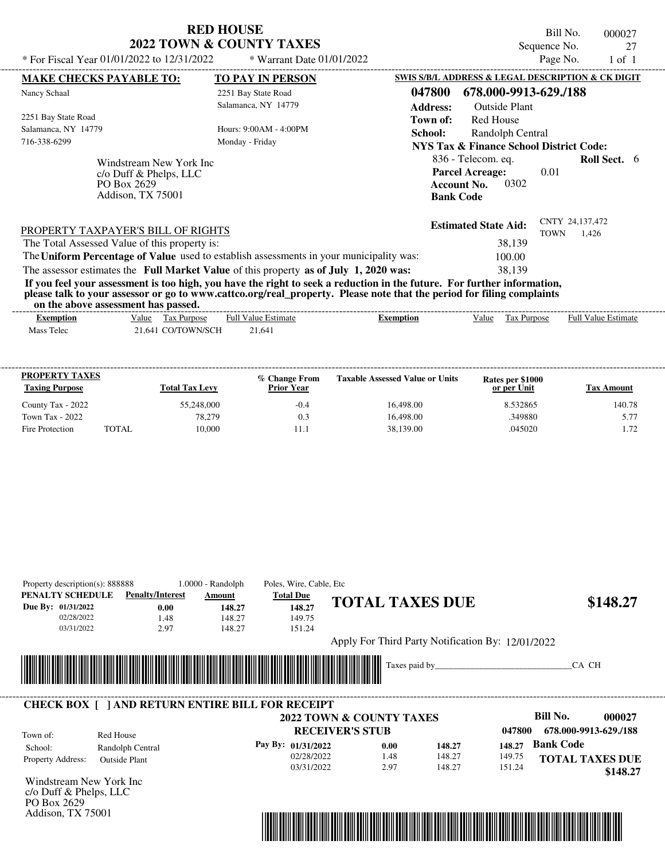| <b>RED HOUSE</b>                    |
|-------------------------------------|
| <b>2022 TOWN &amp; COUNTY TAXES</b> |

Bill No. 000027 Sequence No. 27

| * For Fiscal Year 01/01/2022 to $12/31/2022$                                             | * Warrant Date $01/01/2022$                                                                                                                                                                                                                      |                           |                                                                                     | Page No.                | 1 of 1              |  |
|------------------------------------------------------------------------------------------|--------------------------------------------------------------------------------------------------------------------------------------------------------------------------------------------------------------------------------------------------|---------------------------|-------------------------------------------------------------------------------------|-------------------------|---------------------|--|
| <b>MAKE CHECKS PAYABLE TO:</b>                                                           | <b>TO PAY IN PERSON</b>                                                                                                                                                                                                                          |                           | SWIS S/B/L ADDRESS & LEGAL DESCRIPTION & CK DIGIT                                   |                         |                     |  |
| Nancy Schaal                                                                             | 2251 Bay State Road<br>Salamanca, NY 14779                                                                                                                                                                                                       | 047800<br><b>Address:</b> | 678.000-9913-629./188<br>Outside Plant                                              |                         |                     |  |
| 2251 Bay State Road<br>Salamanca, NY 14779<br>716-338-6299                               | Hours: 9:00AM - 4:00PM<br>Monday - Friday                                                                                                                                                                                                        | Town of:<br>School:       | Red House<br>Randolph Central<br><b>NYS Tax &amp; Finance School District Code:</b> |                         |                     |  |
| Windstream New York Inc<br>$c$ /o Duff & Phelps, LLC<br>PO Box 2629<br>Addison, TX 75001 |                                                                                                                                                                                                                                                  | <b>Bank Code</b>          | 836 - Telecom. eq.<br><b>Parcel Acreage:</b><br>0302<br><b>Account No.</b>          | 0.01                    | <b>Roll Sect.</b> 6 |  |
| PROPERTY TAXPAYER'S BILL OF RIGHTS<br>The Total Assessed Value of this property is:      |                                                                                                                                                                                                                                                  |                           | <b>Estimated State Aid:</b><br>38,139                                               | CNTY 24,137,472<br>TOWN | 1,426               |  |
|                                                                                          | The Uniform Percentage of Value used to establish assessments in your municipality was:                                                                                                                                                          |                           | 100.00                                                                              |                         |                     |  |
|                                                                                          | The assessor estimates the Full Market Value of this property as of July 1, 2020 was:                                                                                                                                                            |                           | 38,139                                                                              |                         |                     |  |
| on the above assessment has passed.                                                      | If you feel your assessment is too high, you have the right to seek a reduction in the future. For further information,<br>please talk to your assessor or go to www.cattco.org/real_property. Please note that the period for filing complaints |                           |                                                                                     |                         |                     |  |

| on the above assessment has bassed. |                                                          |                        |           |                   |                                               |                            |
|-------------------------------------|----------------------------------------------------------|------------------------|-----------|-------------------|-----------------------------------------------|----------------------------|
| <b>⊻xemption</b>                    | <u>Value</u><br>I ax Purpose                             | Value Estimate<br>Full | Exemption | $\cdots$<br>Value | $\overline{\phantom{a}}$<br>. Purpose<br>1 ax | <b>Full Value Estimate</b> |
| m.<br>Mass<br>Telec                 | TOWN/SCH<br>$\gamma$ $\gamma$ $\gamma$ $\gamma$<br>1.641 | $^{\sim}$ 1<br>21,641  |           |                   |                                               |                            |
|                                     |                                                          |                        |           |                   |                                               |                            |

| <b>PROPERTY TAXES</b><br><b>Taxing Purpose</b> |       | <b>Total Tax Levy</b> | % Change From<br><b>Prior Year</b> | <b>Taxable Assessed Value or Units</b> | Rates per \$1000<br>or per Unit | <b>Tax Amount</b> |
|------------------------------------------------|-------|-----------------------|------------------------------------|----------------------------------------|---------------------------------|-------------------|
| County Tax - 2022                              |       | 55,248,000            | $-0.4$                             | 16.498.00                              | 8.532865                        | 140.78            |
| Town Tax - 2022                                |       | 78,279                | 0.3                                | 16,498.00                              | .349880                         | 5.77              |
| Fire Protection                                | TOTAL | 10.000                | 11.1                               | 38.139.00                              | .045020                         | 1.72              |

| Property description(s): 888888<br>PENALTY SCHEDULE | <b>Penalty/Interest</b>                                 | $1.0000 - Random$<br>Amount | Poles, Wire, Cable, Etc.<br><b>Total Due</b> |                                                   |        |        |                  |                        |
|-----------------------------------------------------|---------------------------------------------------------|-----------------------------|----------------------------------------------|---------------------------------------------------|--------|--------|------------------|------------------------|
| Due By: 01/31/2022                                  | 0.00                                                    | 148.27                      | 148.27                                       | <b>TOTAL TAXES DUE</b>                            |        |        |                  | \$148.27               |
| 02/28/2022                                          | 1.48                                                    | 148.27                      | 149.75                                       |                                                   |        |        |                  |                        |
| 03/31/2022                                          | 2.97                                                    | 148.27                      | 151.24                                       |                                                   |        |        |                  |                        |
|                                                     |                                                         |                             |                                              | Apply For Third Party Notification By: 12/01/2022 |        |        |                  |                        |
|                                                     |                                                         |                             |                                              | Taxes paid by                                     |        |        |                  | CA CH                  |
|                                                     |                                                         |                             |                                              |                                                   |        |        |                  |                        |
|                                                     |                                                         |                             |                                              |                                                   |        |        |                  |                        |
|                                                     | <b>CHECK BOX [ ] AND RETURN ENTIRE BILL FOR RECEIPT</b> |                             |                                              |                                                   |        |        |                  |                        |
|                                                     |                                                         |                             |                                              | 2022 TOWN & COUNTY TAXES                          |        |        | <b>Bill No.</b>  | 000027                 |
| Town of:                                            | Red House                                               |                             | <b>RECEIVER'S STUB</b>                       |                                                   |        | 047800 |                  | 678.000-9913-629./188  |
| School:                                             | Randolph Central                                        |                             | Pay By: 01/31/2022                           | 0.00                                              | 148.27 | 148.27 | <b>Bank Code</b> |                        |
| Property Address:                                   | <b>Outside Plant</b>                                    |                             | 02/28/2022                                   | 1.48                                              | 148.27 | 149.75 |                  | <b>TOTAL TAXES DUE</b> |
|                                                     |                                                         |                             | 03/31/2022                                   | 2.97                                              | 148.27 | 151.24 |                  | \$148.27               |
| Windstream New York Inc                             |                                                         |                             |                                              |                                                   |        |        |                  |                        |
| c/o Duff & Phelps, LLC                              |                                                         |                             |                                              |                                                   |        |        |                  |                        |
| PO Box 2629                                         |                                                         |                             |                                              |                                                   |        |        |                  |                        |
| Addison, TX 75001                                   |                                                         |                             |                                              |                                                   |        |        |                  |                        |

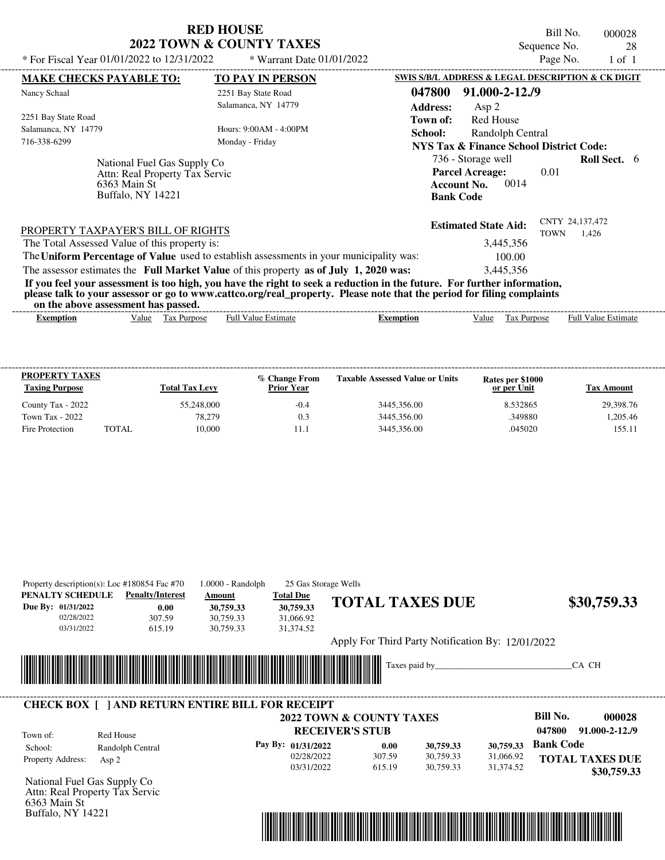| <b>RED HOUSE</b>                    |
|-------------------------------------|
| <b>2022 TOWN &amp; COUNTY TAXES</b> |

Bill No. 000028 Sequence No. 28

| * For Fiscal Year 01/01/2022 to 12/31/2022                                          |                                          |                                                               | * Warrant Date 01/01/2022                                                               |                                                                                                                                                                                                                                                  |                                                                                                       | Page No.                       | $1$ of $1$                 |  |
|-------------------------------------------------------------------------------------|------------------------------------------|---------------------------------------------------------------|-----------------------------------------------------------------------------------------|--------------------------------------------------------------------------------------------------------------------------------------------------------------------------------------------------------------------------------------------------|-------------------------------------------------------------------------------------------------------|--------------------------------|----------------------------|--|
| <b>MAKE CHECKS PAYABLE TO:</b>                                                      |                                          |                                                               | <b>TO PAY IN PERSON</b>                                                                 |                                                                                                                                                                                                                                                  | SWIS S/B/L ADDRESS & LEGAL DESCRIPTION & CK DIGIT                                                     |                                |                            |  |
| Nancy Schaal                                                                        |                                          |                                                               | 2251 Bay State Road<br>Salamanca, NY 14779                                              | 047800<br><b>Address:</b>                                                                                                                                                                                                                        | 91.000-2-12./9<br>Asp $2$                                                                             |                                |                            |  |
| 2251 Bay State Road<br>Salamanca, NY 14779<br>716-338-6299                          |                                          |                                                               | Hours: 9:00AM - 4:00PM<br>Monday - Friday                                               | Town of:<br>School:                                                                                                                                                                                                                              | <b>Red House</b><br>Randolph Central<br>NYS Tax & Finance School District Code:<br>736 - Storage well |                                | Roll Sect. 6               |  |
|                                                                                     | 6363 Main St<br><b>Buffalo, NY 14221</b> | National Fuel Gas Supply Co<br>Attn: Real Property Tax Servic |                                                                                         | <b>Bank Code</b>                                                                                                                                                                                                                                 | <b>Parcel Acreage:</b><br>0014<br><b>Account No.</b>                                                  | 0.01                           |                            |  |
| PROPERTY TAXPAYER'S BILL OF RIGHTS<br>The Total Assessed Value of this property is: |                                          |                                                               | The Uniform Percentage of Value used to establish assessments in your municipality was: |                                                                                                                                                                                                                                                  | <b>Estimated State Aid:</b><br>3,445,356<br>100.00                                                    | CNTY 24,137,472<br><b>TOWN</b> | 1,426                      |  |
| on the above assessment has passed.                                                 |                                          |                                                               | The assessor estimates the Full Market Value of this property as of July 1, 2020 was:   | If you feel your assessment is too high, you have the right to seek a reduction in the future. For further information,<br>please talk to your assessor or go to www.cattco.org/real_property. Please note that the period for filing complaints | 3,445,356                                                                                             |                                |                            |  |
| <b>Exemption</b>                                                                    |                                          | Value Tax Purpose                                             | <b>Full Value Estimate</b>                                                              | <b>Exemption</b>                                                                                                                                                                                                                                 | Value Tax Purpose                                                                                     |                                | <b>Full Value Estimate</b> |  |
| PROPERTY TAXES<br><b>Taxing Purpose</b>                                             |                                          | <b>Total Tax Levy</b>                                         | % Change From<br><b>Prior Year</b>                                                      | <b>Taxable Assessed Value or Units</b>                                                                                                                                                                                                           | Rates per \$1000<br>or per Unit                                                                       |                                | <b>Tax Amount</b>          |  |
| County Tax - 2022                                                                   |                                          | 55,248,000                                                    | $-0.4$                                                                                  | 3445,356.00                                                                                                                                                                                                                                      | 8.532865                                                                                              |                                | 29,398.76                  |  |
| <b>Town Tax - 2022</b>                                                              |                                          | 78.279                                                        | 0.3                                                                                     | 3445.356.00                                                                                                                                                                                                                                      | .349880                                                                                               |                                | 1.205.46                   |  |
| Fire Protection                                                                     | <b>TOTAL</b>                             | 10.000                                                        | 11.1                                                                                    | 3445.356.00                                                                                                                                                                                                                                      | .045020                                                                                               |                                | 155.11                     |  |

| PENALTY SCHEDULE<br>Due By: 01/31/2022<br>02/28/2022<br>03/31/2022 | Property description(s): Loc #180854 Fac #70<br><b>Penalty/Interest</b><br>0.00<br>307.59<br>615.19 | 1.0000 - Randolph<br>Amount<br>30,759.33<br>30,759.33<br>30,759.33 | 25 Gas Storage Wells<br><b>Total Due</b><br>30,759.33<br>31,066.92<br>31,374.52 | <b>TOTAL TAXES DUE</b> |      |                                                                            |                            | \$30,759.33                           |
|--------------------------------------------------------------------|-----------------------------------------------------------------------------------------------------|--------------------------------------------------------------------|---------------------------------------------------------------------------------|------------------------|------|----------------------------------------------------------------------------|----------------------------|---------------------------------------|
|                                                                    |                                                                                                     |                                                                    |                                                                                 |                        |      | Apply For Third Party Notification By: 12/01/2022                          |                            |                                       |
|                                                                    | <b>CHECK BOX [ ] AND RETURN ENTIRE BILL FOR RECEIPT</b>                                             |                                                                    |                                                                                 |                        |      |                                                                            |                            | CA CH                                 |
|                                                                    |                                                                                                     |                                                                    | 2022 TOWN & COUNTY TAXES                                                        |                        |      |                                                                            | <b>Bill No.</b>            | 000028                                |
| Town of:                                                           | Red House                                                                                           |                                                                    |                                                                                 | <b>RECEIVER'S STUB</b> |      |                                                                            | 047800<br><b>Bank Code</b> | $91.000 - 2 - 12.79$                  |
| School:<br>Property Address:                                       | Randolph Central<br>Asp $2$                                                                         |                                                                    | Pay By: 01/31/2022<br>02/28/2022<br>03/31/2022                                  | 307.59<br>615.19       | 0.00 | 30,759.33<br>30,759.33<br>30,759.33<br>31,066.92<br>30,759.33<br>31,374.52 |                            | <b>TOTAL TAXES DUE</b><br>\$30,759.33 |
|                                                                    | National Fuel Gas Supply Co                                                                         |                                                                    |                                                                                 |                        |      |                                                                            |                            |                                       |